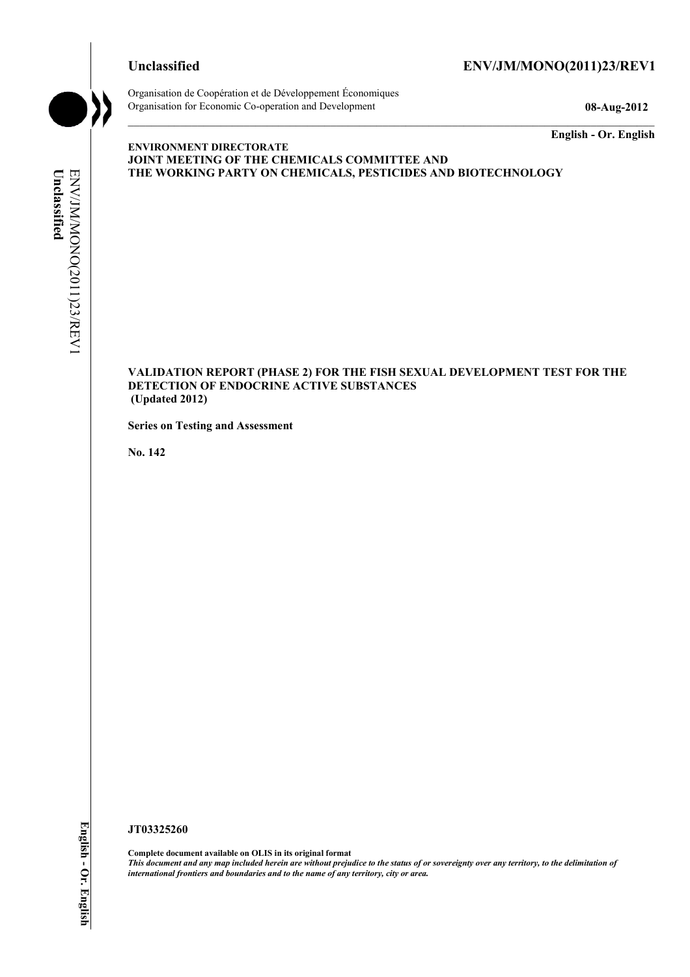

Organisation de Coopération et de Développement Économiques Organisation for Economic Co-operation and Development **08-Aug-2012** 

**English - Or. English** 

#### **ENVIRONMENT DIRECTORATE JOINT MEETING OF THE CHEMICALS COMMITTEE AND THE WORKING PARTY ON CHEMICALS, PESTICIDES AND BIOTECHNOLOGY**

ENV/JM/MONO(2011)23/REV1 Unclassified **Unclassified**  ENV/JM/MONO(2011)23/REV1

#### **VALIDATION REPORT (PHASE 2) FOR THE FISH SEXUAL DEVELOPMENT TEST FOR THE DETECTION OF ENDOCRINE ACTIVE SUBSTANCES (Updated 2012)**

**Series on Testing and Assessment** 

**No. 142** 

**JT03325260** 

**Complete document available on OLIS in its original format** *This document and any map included herein are without prejudice to the status of or sovereignty over any territory, to the delimitation of international frontiers and boundaries and to the name of any territory, city or area.*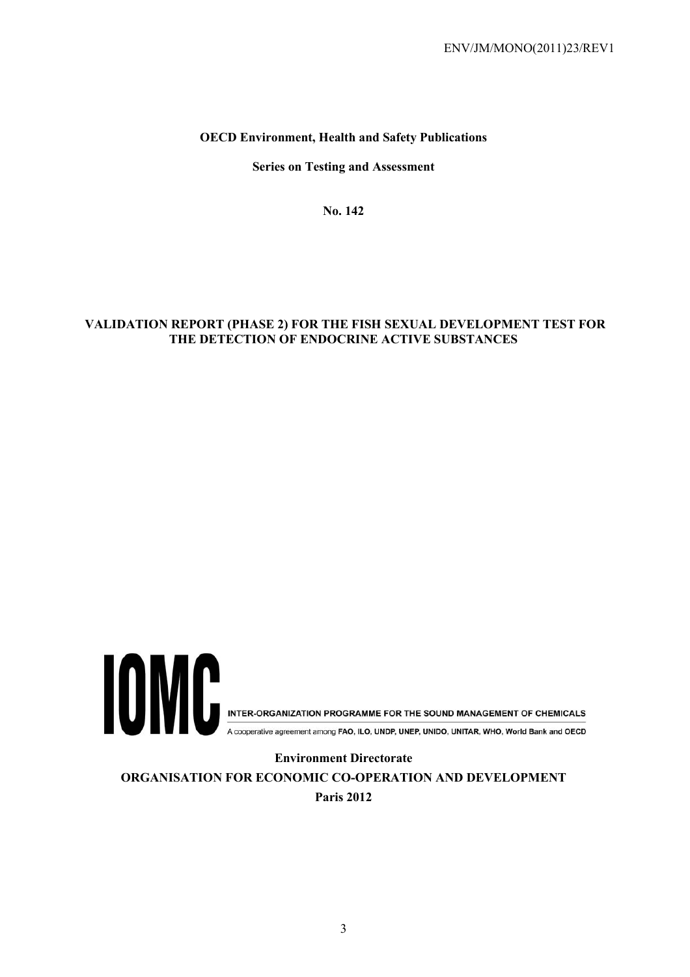# **OECD Environment, Health and Safety Publications**

**Series on Testing and Assessment** 

**No. 142** 

# **VALIDATION REPORT (PHASE 2) FOR THE FISH SEXUAL DEVELOPMENT TEST FOR THE DETECTION OF ENDOCRINE ACTIVE SUBSTANCES**



A cooperative agreement among FAO, ILO, UNDP, UNEP, UNIDO, UNITAR, WHO, World Bank and OECD

**Environment Directorate ORGANISATION FOR ECONOMIC CO-OPERATION AND DEVELOPMENT Paris 2012**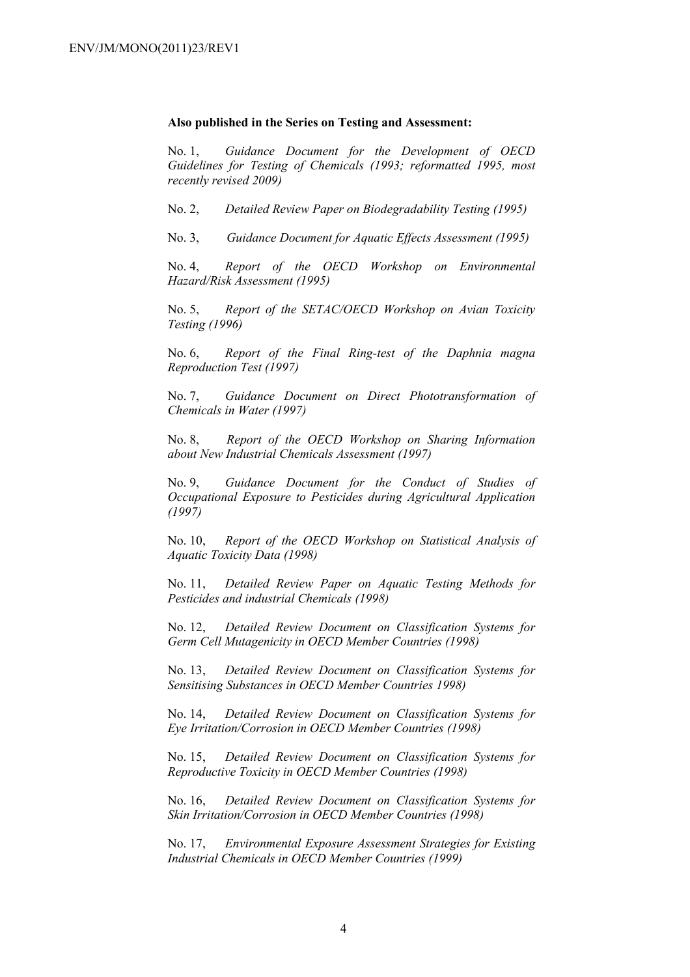#### **Also published in the Series on Testing and Assessment:**

No. 1, *Guidance Document for the Development of OECD Guidelines for Testing of Chemicals (1993; reformatted 1995, most recently revised 2009)*

No. 2, *Detailed Review Paper on Biodegradability Testing (1995)*

No. 3, *Guidance Document for Aquatic Effects Assessment (1995)* 

No. 4, *Report of the OECD Workshop on Environmental Hazard/Risk Assessment (1995)*

No. 5, *Report of the SETAC/OECD Workshop on Avian Toxicity Testing (1996)*

No. 6, *Report of the Final Ring-test of the Daphnia magna Reproduction Test (1997)*

No. 7, *Guidance Document on Direct Phototransformation of Chemicals in Water (1997)* 

No. 8, *Report of the OECD Workshop on Sharing Information about New Industrial Chemicals Assessment (1997)*

No. 9, *Guidance Document for the Conduct of Studies of Occupational Exposure to Pesticides during Agricultural Application (1997)*

No. 10, *Report of the OECD Workshop on Statistical Analysis of Aquatic Toxicity Data (1998)*

No. 11, *Detailed Review Paper on Aquatic Testing Methods for Pesticides and industrial Chemicals (1998)*

No. 12, *Detailed Review Document on Classification Systems for Germ Cell Mutagenicity in OECD Member Countries (1998)*

No. 13, *Detailed Review Document on Classification Systems for Sensitising Substances in OECD Member Countries 1998)*

No. 14, *Detailed Review Document on Classification Systems for Eye Irritation/Corrosion in OECD Member Countries (1998)*

No. 15, *Detailed Review Document on Classification Systems for Reproductive Toxicity in OECD Member Countries (1998)*

No. 16, *Detailed Review Document on Classification Systems for Skin Irritation/Corrosion in OECD Member Countries (1998)*

No. 17, *Environmental Exposure Assessment Strategies for Existing Industrial Chemicals in OECD Member Countries (1999)*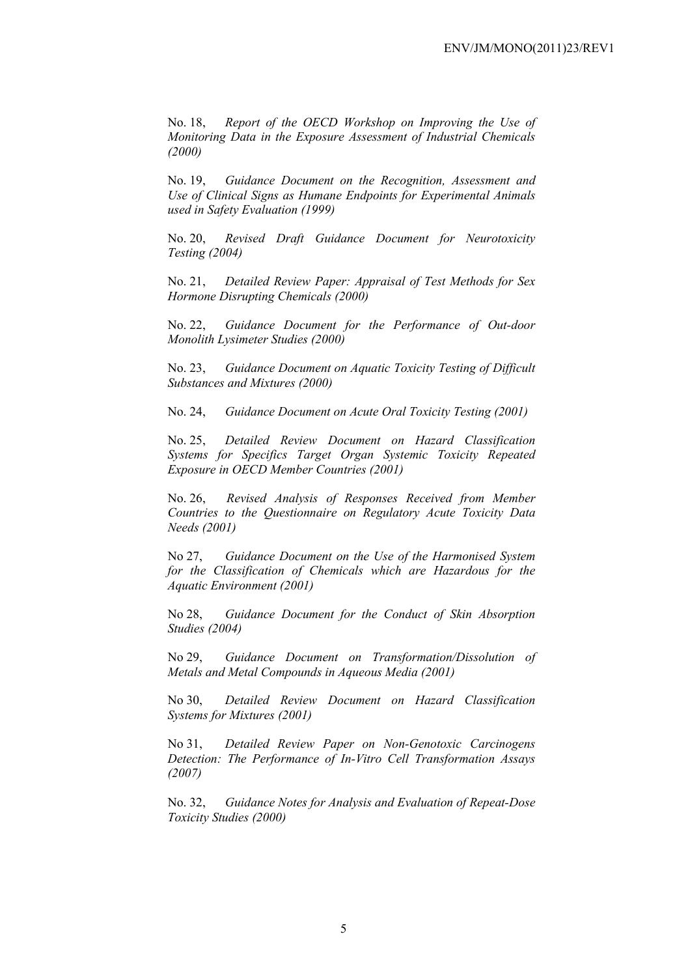No. 18, *Report of the OECD Workshop on Improving the Use of Monitoring Data in the Exposure Assessment of Industrial Chemicals (2000)*

No. 19, *Guidance Document on the Recognition, Assessment and Use of Clinical Signs as Humane Endpoints for Experimental Animals used in Safety Evaluation (1999)*

No. 20, *Revised Draft Guidance Document for Neurotoxicity Testing (2004)*

No. 21, *Detailed Review Paper: Appraisal of Test Methods for Sex Hormone Disrupting Chemicals (2000)*

No. 22, *Guidance Document for the Performance of Out-door Monolith Lysimeter Studies (2000)*

No. 23, *Guidance Document on Aquatic Toxicity Testing of Difficult Substances and Mixtures (2000)*

No. 24, *Guidance Document on Acute Oral Toxicity Testing (2001)*

No. 25, *Detailed Review Document on Hazard Classification Systems for Specifics Target Organ Systemic Toxicity Repeated Exposure in OECD Member Countries (2001)*

No. 26, *Revised Analysis of Responses Received from Member Countries to the Questionnaire on Regulatory Acute Toxicity Data Needs (2001)*

No 27, *Guidance Document on the Use of the Harmonised System for the Classification of Chemicals which are Hazardous for the Aquatic Environment (2001)*

No 28, *Guidance Document for the Conduct of Skin Absorption Studies (2004)*

No 29, *Guidance Document on Transformation/Dissolution of Metals and Metal Compounds in Aqueous Media (2001)*

No 30, *Detailed Review Document on Hazard Classification Systems for Mixtures (2001)*

No 31, *Detailed Review Paper on Non-Genotoxic Carcinogens Detection: The Performance of In-Vitro Cell Transformation Assays (2007)* 

No. 32, *Guidance Notes for Analysis and Evaluation of Repeat-Dose Toxicity Studies (2000)*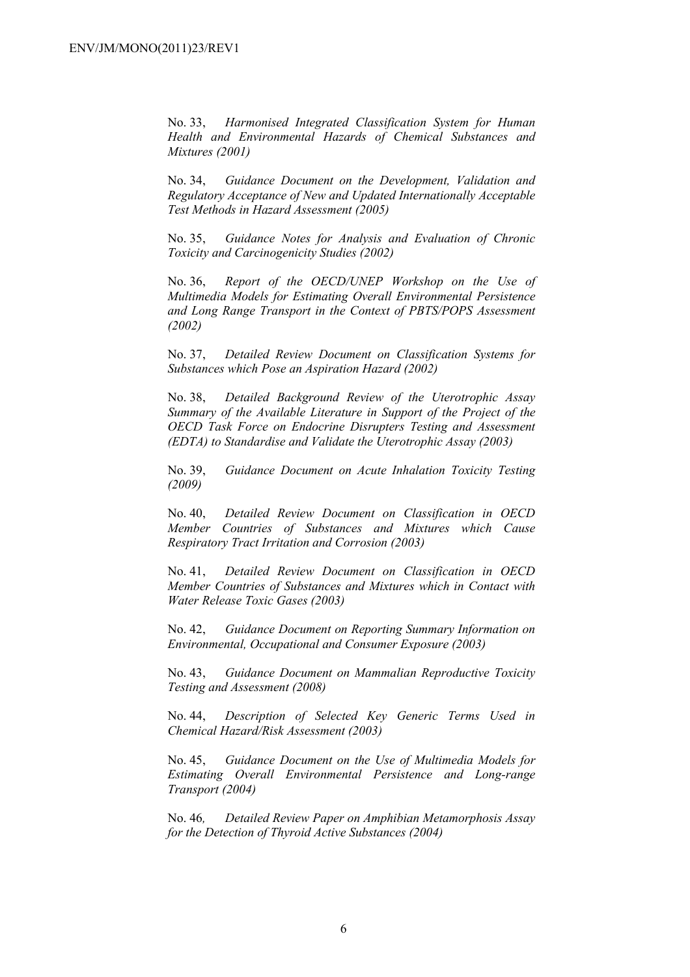No. 33, *Harmonised Integrated Classification System for Human Health and Environmental Hazards of Chemical Substances and Mixtures (2001)*

No. 34, *Guidance Document on the Development, Validation and Regulatory Acceptance of New and Updated Internationally Acceptable Test Methods in Hazard Assessment (2005)*

No. 35, *Guidance Notes for Analysis and Evaluation of Chronic Toxicity and Carcinogenicity Studies (2002)*

No. 36, *Report of the OECD/UNEP Workshop on the Use of Multimedia Models for Estimating Overall Environmental Persistence and Long Range Transport in the Context of PBTS/POPS Assessment (2002)*

No. 37, *Detailed Review Document on Classification Systems for Substances which Pose an Aspiration Hazard (2002)*

No. 38, *Detailed Background Review of the Uterotrophic Assay Summary of the Available Literature in Support of the Project of the OECD Task Force on Endocrine Disrupters Testing and Assessment (EDTA) to Standardise and Validate the Uterotrophic Assay (2003)*

No. 39, *Guidance Document on Acute Inhalation Toxicity Testing (2009)*

No. 40, *Detailed Review Document on Classification in OECD Member Countries of Substances and Mixtures which Cause Respiratory Tract Irritation and Corrosion (2003)*

No. 41, *Detailed Review Document on Classification in OECD Member Countries of Substances and Mixtures which in Contact with Water Release Toxic Gases (2003)*

No. 42, *Guidance Document on Reporting Summary Information on Environmental, Occupational and Consumer Exposure (2003)*

No. 43, *Guidance Document on Mammalian Reproductive Toxicity Testing and Assessment (2008)*

No. 44, *Description of Selected Key Generic Terms Used in Chemical Hazard/Risk Assessment (2003)* 

No. 45, *Guidance Document on the Use of Multimedia Models for Estimating Overall Environmental Persistence and Long-range Transport (2004)*

No. 46*, Detailed Review Paper on Amphibian Metamorphosis Assay for the Detection of Thyroid Active Substances (2004)*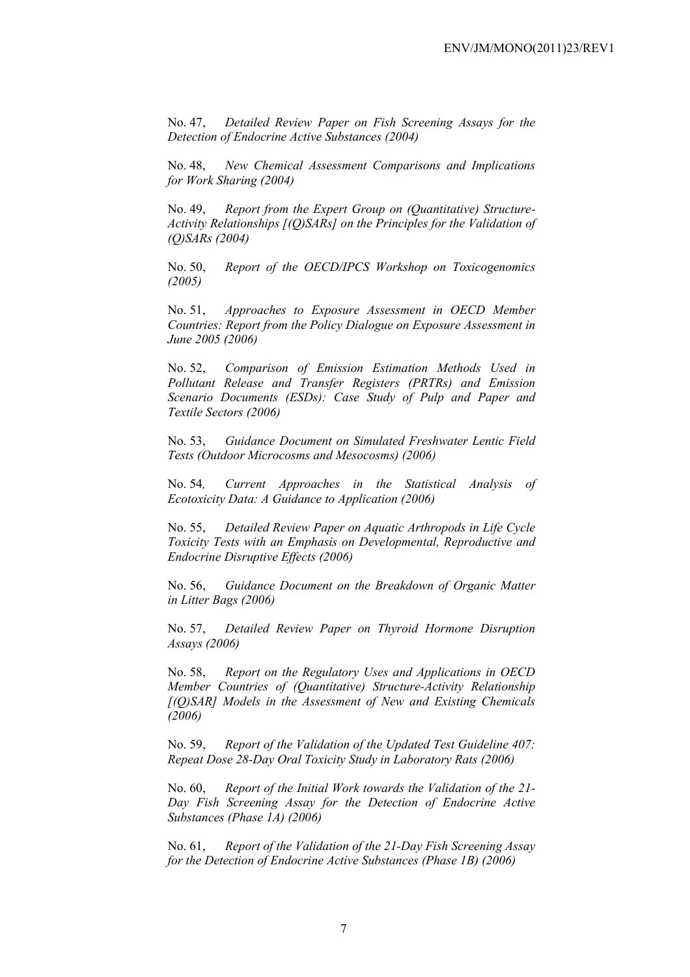No. 47, *Detailed Review Paper on Fish Screening Assays for the Detection of Endocrine Active Substances (2004)* 

No. 48, *New Chemical Assessment Comparisons and Implications for Work Sharing (2004)* 

No. 49, *Report from the Expert Group on (Quantitative) Structure-Activity Relationships [(Q)SARs] on the Principles for the Validation of (Q)SARs (2004)* 

No. 50, *Report of the OECD/IPCS Workshop on Toxicogenomics (2005)* 

No. 51, *Approaches to Exposure Assessment in OECD Member Countries: Report from the Policy Dialogue on Exposure Assessment in June 2005 (2006)* 

No. 52, *Comparison of Emission Estimation Methods Used in Pollutant Release and Transfer Registers (PRTRs) and Emission Scenario Documents (ESDs): Case Study of Pulp and Paper and Textile Sectors (2006)* 

No. 53, *Guidance Document on Simulated Freshwater Lentic Field Tests (Outdoor Microcosms and Mesocosms) (2006)* 

No. 54*, Current Approaches in the Statistical Analysis of Ecotoxicity Data: A Guidance to Application (2006)* 

No. 55, *Detailed Review Paper on Aquatic Arthropods in Life Cycle Toxicity Tests with an Emphasis on Developmental, Reproductive and Endocrine Disruptive Effects (2006)* 

No. 56, *Guidance Document on the Breakdown of Organic Matter in Litter Bags (2006)* 

No. 57, *Detailed Review Paper on Thyroid Hormone Disruption Assays (2006)* 

No. 58, *Report on the Regulatory Uses and Applications in OECD Member Countries of (Quantitative) Structure-Activity Relationship [(Q)SAR] Models in the Assessment of New and Existing Chemicals (2006)* 

No. 59, *Report of the Validation of the Updated Test Guideline 407: Repeat Dose 28-Day Oral Toxicity Study in Laboratory Rats (2006)* 

No. 60, *Report of the Initial Work towards the Validation of the 21- Day Fish Screening Assay for the Detection of Endocrine Active Substances (Phase 1A) (2006)* 

No. 61, *Report of the Validation of the 21-Day Fish Screening Assay for the Detection of Endocrine Active Substances (Phase 1B) (2006)*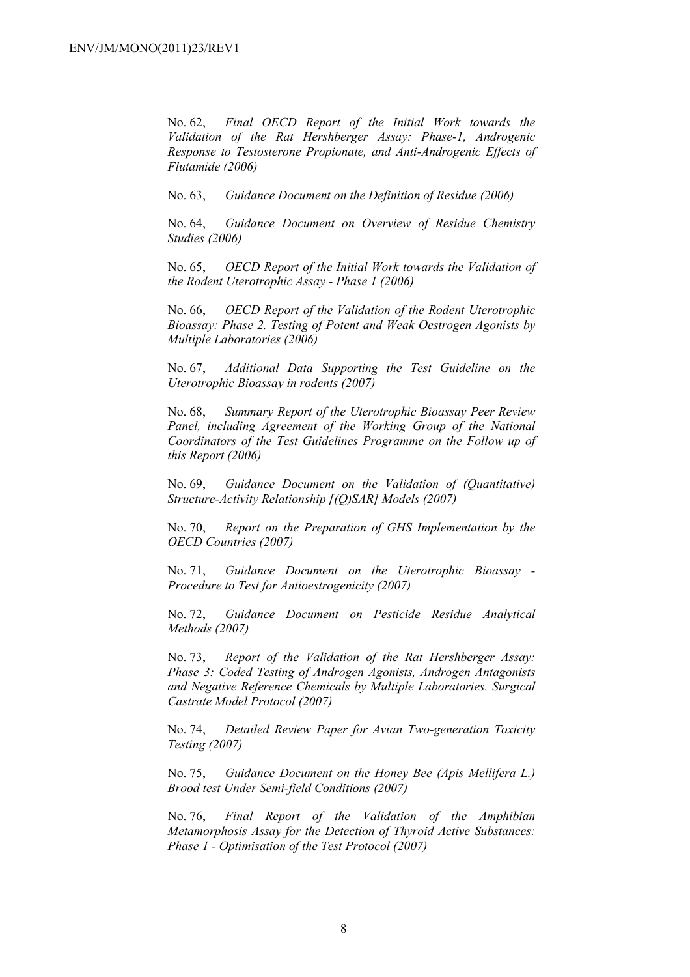No. 62, *Final OECD Report of the Initial Work towards the Validation of the Rat Hershberger Assay: Phase-1, Androgenic Response to Testosterone Propionate, and Anti-Androgenic Effects of Flutamide (2006)* 

No. 63, *Guidance Document on the Definition of Residue (2006)* 

No. 64, *Guidance Document on Overview of Residue Chemistry Studies (2006)* 

No. 65, *OECD Report of the Initial Work towards the Validation of the Rodent Uterotrophic Assay - Phase 1 (2006)* 

No. 66, *OECD Report of the Validation of the Rodent Uterotrophic Bioassay: Phase 2. Testing of Potent and Weak Oestrogen Agonists by Multiple Laboratories (2006)* 

No. 67, *Additional Data Supporting the Test Guideline on the Uterotrophic Bioassay in rodents (2007)* 

No. 68, *Summary Report of the Uterotrophic Bioassay Peer Review Panel, including Agreement of the Working Group of the National Coordinators of the Test Guidelines Programme on the Follow up of this Report (2006)* 

No. 69, *Guidance Document on the Validation of (Quantitative) Structure-Activity Relationship [(Q)SAR] Models (2007)* 

No. 70, *Report on the Preparation of GHS Implementation by the OECD Countries (2007)*

No. 71, *Guidance Document on the Uterotrophic Bioassay - Procedure to Test for Antioestrogenicity (2007)*

No. 72, *Guidance Document on Pesticide Residue Analytical Methods (2007)* 

No. 73, *Report of the Validation of the Rat Hershberger Assay: Phase 3: Coded Testing of Androgen Agonists, Androgen Antagonists and Negative Reference Chemicals by Multiple Laboratories. Surgical Castrate Model Protocol (2007)* 

No. 74, *Detailed Review Paper for Avian Two-generation Toxicity Testing (2007)*

No. 75, *Guidance Document on the Honey Bee (Apis Mellifera L.) Brood test Under Semi-field Conditions (2007)* 

No. 76, *Final Report of the Validation of the Amphibian Metamorphosis Assay for the Detection of Thyroid Active Substances: Phase 1 - Optimisation of the Test Protocol (2007)*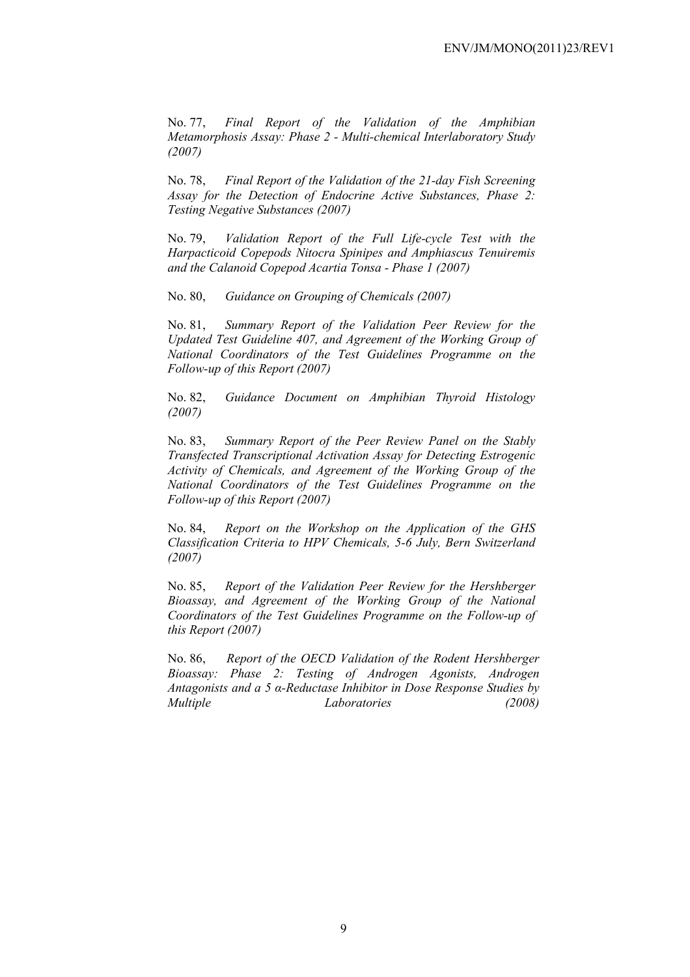No. 77, *Final Report of the Validation of the Amphibian Metamorphosis Assay: Phase 2 - Multi-chemical Interlaboratory Study (2007)* 

No. 78, *Final Report of the Validation of the 21-day Fish Screening Assay for the Detection of Endocrine Active Substances, Phase 2: Testing Negative Substances (2007)* 

No. 79, *Validation Report of the Full Life-cycle Test with the Harpacticoid Copepods Nitocra Spinipes and Amphiascus Tenuiremis and the Calanoid Copepod Acartia Tonsa - Phase 1 (2007)* 

No. 80, *Guidance on Grouping of Chemicals (2007)* 

No. 81, *Summary Report of the Validation Peer Review for the Updated Test Guideline 407, and Agreement of the Working Group of National Coordinators of the Test Guidelines Programme on the Follow-up of this Report (2007)* 

No. 82, *Guidance Document on Amphibian Thyroid Histology (2007)* 

No. 83, *Summary Report of the Peer Review Panel on the Stably Transfected Transcriptional Activation Assay for Detecting Estrogenic Activity of Chemicals, and Agreement of the Working Group of the National Coordinators of the Test Guidelines Programme on the Follow-up of this Report (2007)* 

No. 84, *Report on the Workshop on the Application of the GHS Classification Criteria to HPV Chemicals, 5-6 July, Bern Switzerland (2007)* 

No. 85, *Report of the Validation Peer Review for the Hershberger Bioassay, and Agreement of the Working Group of the National Coordinators of the Test Guidelines Programme on the Follow-up of this Report (2007)* 

No. 86, *Report of the OECD Validation of the Rodent Hershberger Bioassay: Phase 2: Testing of Androgen Agonists, Androgen Antagonists and a 5 α-Reductase Inhibitor in Dose Response Studies by Multiple Laboratories (2008)*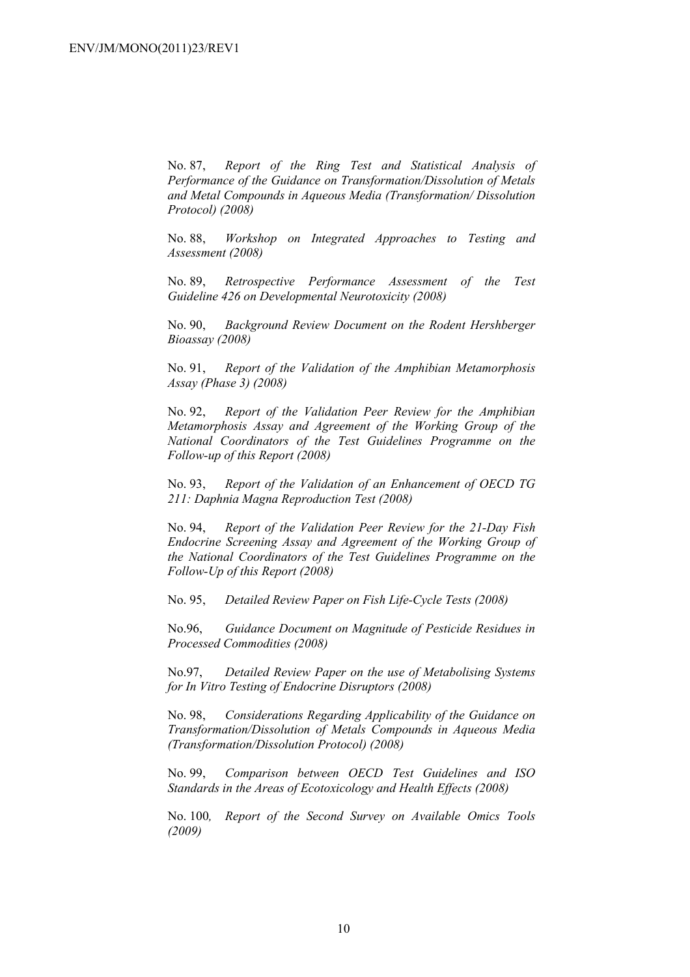No. 87, *Report of the Ring Test and Statistical Analysis of Performance of the Guidance on Transformation/Dissolution of Metals and Metal Compounds in Aqueous Media (Transformation/ Dissolution Protocol) (2008)*

No. 88, *Workshop on Integrated Approaches to Testing and Assessment (2008)* 

No. 89, *Retrospective Performance Assessment of the Test Guideline 426 on Developmental Neurotoxicity (2008)* 

No. 90, *Background Review Document on the Rodent Hershberger Bioassay (2008)* 

No. 91, *Report of the Validation of the Amphibian Metamorphosis Assay (Phase 3) (2008)* 

No. 92, *Report of the Validation Peer Review for the Amphibian Metamorphosis Assay and Agreement of the Working Group of the National Coordinators of the Test Guidelines Programme on the Follow-up of this Report (2008)* 

No. 93, *Report of the Validation of an Enhancement of OECD TG 211: Daphnia Magna Reproduction Test (2008)* 

No. 94, *Report of the Validation Peer Review for the 21-Day Fish Endocrine Screening Assay and Agreement of the Working Group of the National Coordinators of the Test Guidelines Programme on the Follow-Up of this Report (2008)* 

No. 95, *Detailed Review Paper on Fish Life-Cycle Tests (2008)* 

No.96, *Guidance Document on Magnitude of Pesticide Residues in Processed Commodities (2008)* 

No.97, *Detailed Review Paper on the use of Metabolising Systems for In Vitro Testing of Endocrine Disruptors (2008)* 

No. 98, *Considerations Regarding Applicability of the Guidance on Transformation/Dissolution of Metals Compounds in Aqueous Media (Transformation/Dissolution Protocol) (2008)*

No. 99, *Comparison between OECD Test Guidelines and ISO Standards in the Areas of Ecotoxicology and Health Effects (2008)* 

No. 100*, Report of the Second Survey on Available Omics Tools (2009)*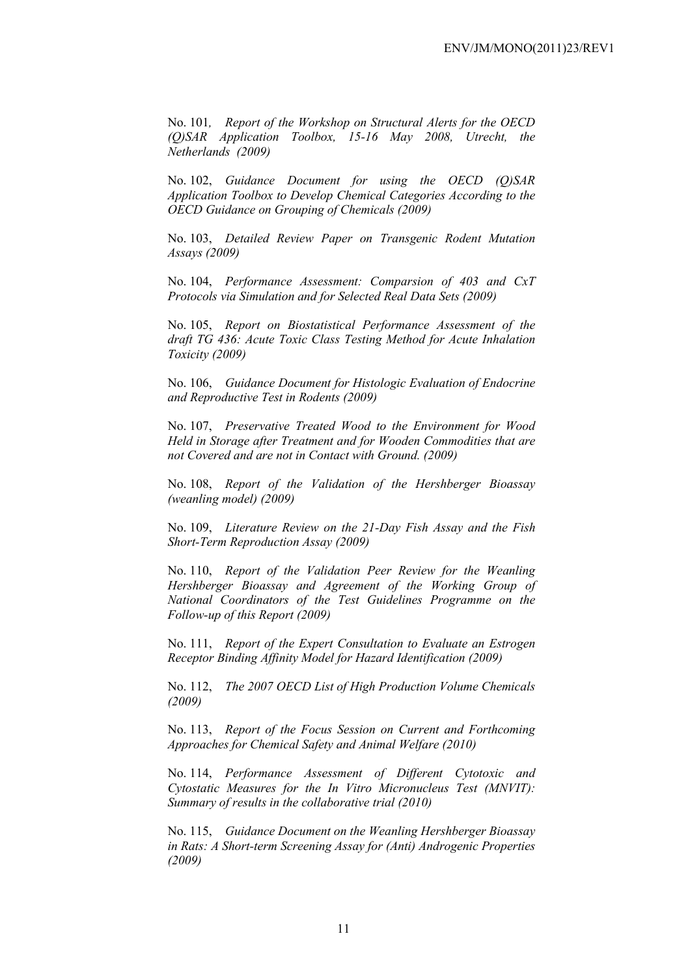No. 101*, Report of the Workshop on Structural Alerts for the OECD (Q)SAR Application Toolbox, 15-16 May 2008, Utrecht, the Netherlands (2009)* 

No. 102, *Guidance Document for using the OECD (Q)SAR Application Toolbox to Develop Chemical Categories According to the OECD Guidance on Grouping of Chemicals (2009)* 

No. 103, *Detailed Review Paper on Transgenic Rodent Mutation Assays (2009)* 

No. 104, *Performance Assessment: Comparsion of 403 and CxT Protocols via Simulation and for Selected Real Data Sets (2009)* 

No. 105, *Report on Biostatistical Performance Assessment of the draft TG 436: Acute Toxic Class Testing Method for Acute Inhalation Toxicity (2009)* 

No. 106, *Guidance Document for Histologic Evaluation of Endocrine and Reproductive Test in Rodents (2009)* 

No. 107, *Preservative Treated Wood to the Environment for Wood Held in Storage after Treatment and for Wooden Commodities that are not Covered and are not in Contact with Ground. (2009)* 

No. 108, *Report of the Validation of the Hershberger Bioassay (weanling model) (2009)* 

No. 109, *Literature Review on the 21-Day Fish Assay and the Fish Short-Term Reproduction Assay (2009)* 

No. 110, *Report of the Validation Peer Review for the Weanling Hershberger Bioassay and Agreement of the Working Group of National Coordinators of the Test Guidelines Programme on the Follow-up of this Report (2009)* 

No. 111, *Report of the Expert Consultation to Evaluate an Estrogen Receptor Binding Affinity Model for Hazard Identification (2009)* 

No. 112, *The 2007 OECD List of High Production Volume Chemicals (2009)* 

No. 113, *Report of the Focus Session on Current and Forthcoming Approaches for Chemical Safety and Animal Welfare (2010)* 

No. 114, *Performance Assessment of Different Cytotoxic and Cytostatic Measures for the In Vitro Micronucleus Test (MNVIT): Summary of results in the collaborative trial (2010)* 

No. 115, *Guidance Document on the Weanling Hershberger Bioassay in Rats: A Short-term Screening Assay for (Anti) Androgenic Properties (2009)*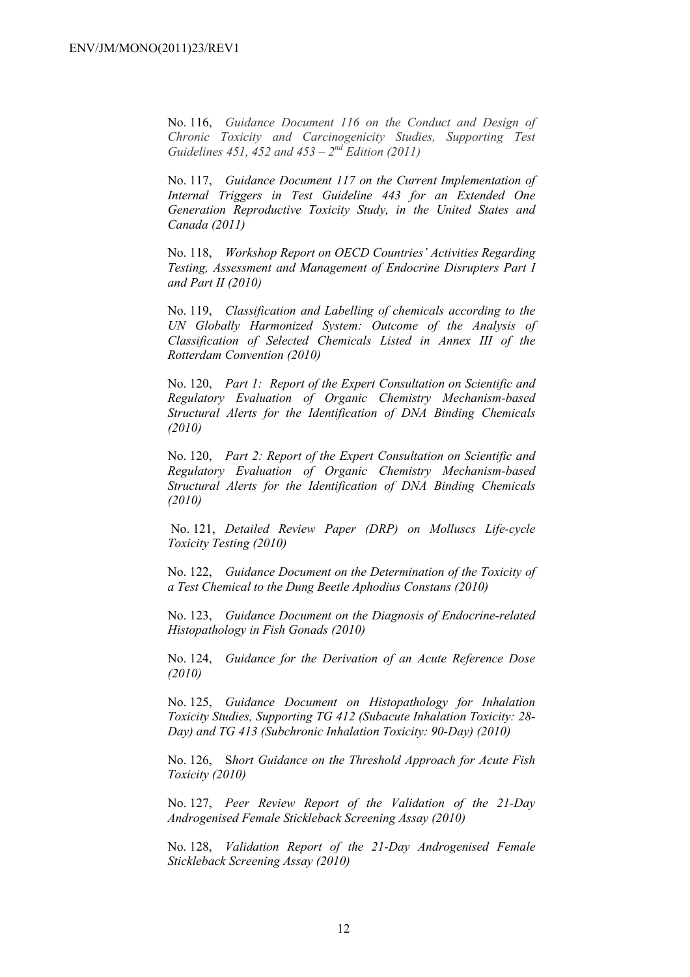No. 116, *Guidance Document 116 on the Conduct and Design of Chronic Toxicity and Carcinogenicity Studies, Supporting Test Guidelines 451, 452 and 453 – 2nd Edition (2011)*

No. 117, *Guidance Document 117 on the Current Implementation of Internal Triggers in Test Guideline 443 for an Extended One Generation Reproductive Toxicity Study, in the United States and Canada (2011)*

No. 118, *Workshop Report on OECD Countries' Activities Regarding Testing, Assessment and Management of Endocrine Disrupters Part I and Part II (2010)* 

No. 119, *Classification and Labelling of chemicals according to the UN Globally Harmonized System: Outcome of the Analysis of Classification of Selected Chemicals Listed in Annex III of the Rotterdam Convention (2010)* 

No. 120, *Part 1: Report of the Expert Consultation on Scientific and Regulatory Evaluation of Organic Chemistry Mechanism-based Structural Alerts for the Identification of DNA Binding Chemicals (2010)* 

No. 120, *Part 2: Report of the Expert Consultation on Scientific and Regulatory Evaluation of Organic Chemistry Mechanism-based Structural Alerts for the Identification of DNA Binding Chemicals (2010)* 

 No. 121, *Detailed Review Paper (DRP) on Molluscs Life-cycle Toxicity Testing (2010)* 

No. 122, *Guidance Document on the Determination of the Toxicity of a Test Chemical to the Dung Beetle Aphodius Constans (2010)* 

No. 123, *Guidance Document on the Diagnosis of Endocrine-related Histopathology in Fish Gonads (2010)* 

No. 124, *Guidance for the Derivation of an Acute Reference Dose (2010)* 

No. 125, *Guidance Document on Histopathology for Inhalation Toxicity Studies, Supporting TG 412 (Subacute Inhalation Toxicity: 28- Day) and TG 413 (Subchronic Inhalation Toxicity: 90-Day) (2010)* 

No. 126, S*hort Guidance on the Threshold Approach for Acute Fish Toxicity (2010)* 

No. 127, *Peer Review Report of the Validation of the 21-Day Androgenised Female Stickleback Screening Assay (2010)* 

No. 128, *Validation Report of the 21-Day Androgenised Female Stickleback Screening Assay (2010)*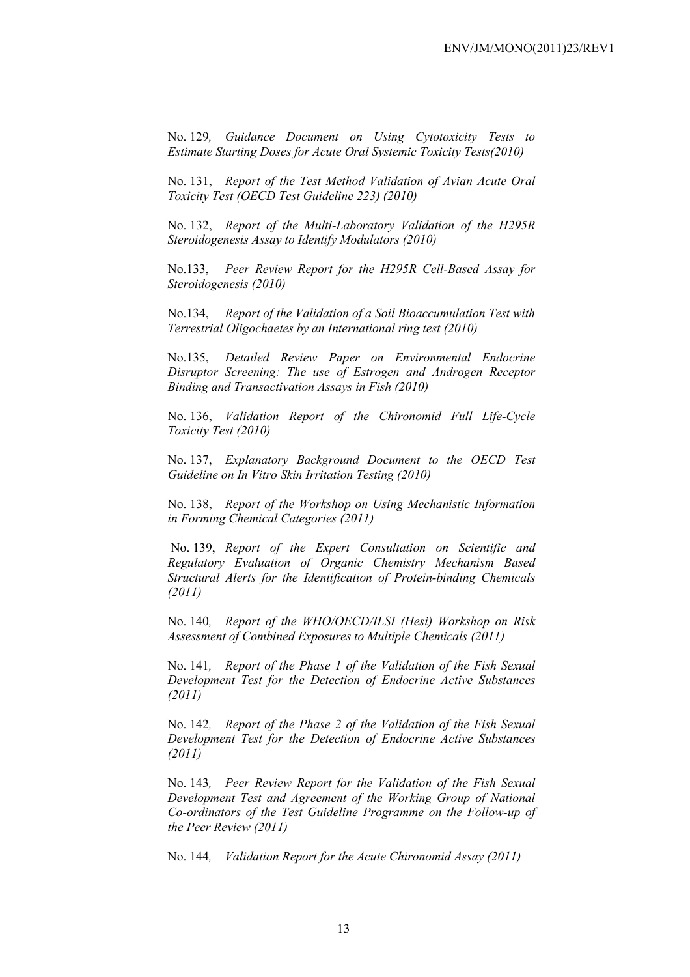No. 129*, Guidance Document on Using Cytotoxicity Tests to Estimate Starting Doses for Acute Oral Systemic Toxicity Tests(2010)* 

No. 131, *Report of the Test Method Validation of Avian Acute Oral Toxicity Test (OECD Test Guideline 223) (2010)* 

No. 132, *Report of the Multi-Laboratory Validation of the H295R Steroidogenesis Assay to Identify Modulators (2010)* 

No.133, *Peer Review Report for the H295R Cell-Based Assay for Steroidogenesis (2010)* 

No.134, *Report of the Validation of a Soil Bioaccumulation Test with Terrestrial Oligochaetes by an International ring test (2010)* 

No.135, *Detailed Review Paper on Environmental Endocrine Disruptor Screening: The use of Estrogen and Androgen Receptor Binding and Transactivation Assays in Fish (2010)* 

No. 136, *Validation Report of the Chironomid Full Life-Cycle Toxicity Test (2010)* 

No. 137, *Explanatory Background Document to the OECD Test Guideline on In Vitro Skin Irritation Testing (2010)* 

No. 138, *Report of the Workshop on Using Mechanistic Information in Forming Chemical Categories (2011)* 

 No. 139, *Report of the Expert Consultation on Scientific and Regulatory Evaluation of Organic Chemistry Mechanism Based Structural Alerts for the Identification of Protein-binding Chemicals (2011)* 

No. 140*, Report of the WHO/OECD/ILSI (Hesi) Workshop on Risk Assessment of Combined Exposures to Multiple Chemicals (2011)* 

No. 141*, Report of the Phase 1 of the Validation of the Fish Sexual Development Test for the Detection of Endocrine Active Substances (2011)* 

No. 142*, Report of the Phase 2 of the Validation of the Fish Sexual Development Test for the Detection of Endocrine Active Substances (2011)* 

No. 143*, Peer Review Report for the Validation of the Fish Sexual Development Test and Agreement of the Working Group of National Co-ordinators of the Test Guideline Programme on the Follow-up of the Peer Review (2011)* 

No. 144*, Validation Report for the Acute Chironomid Assay (2011)*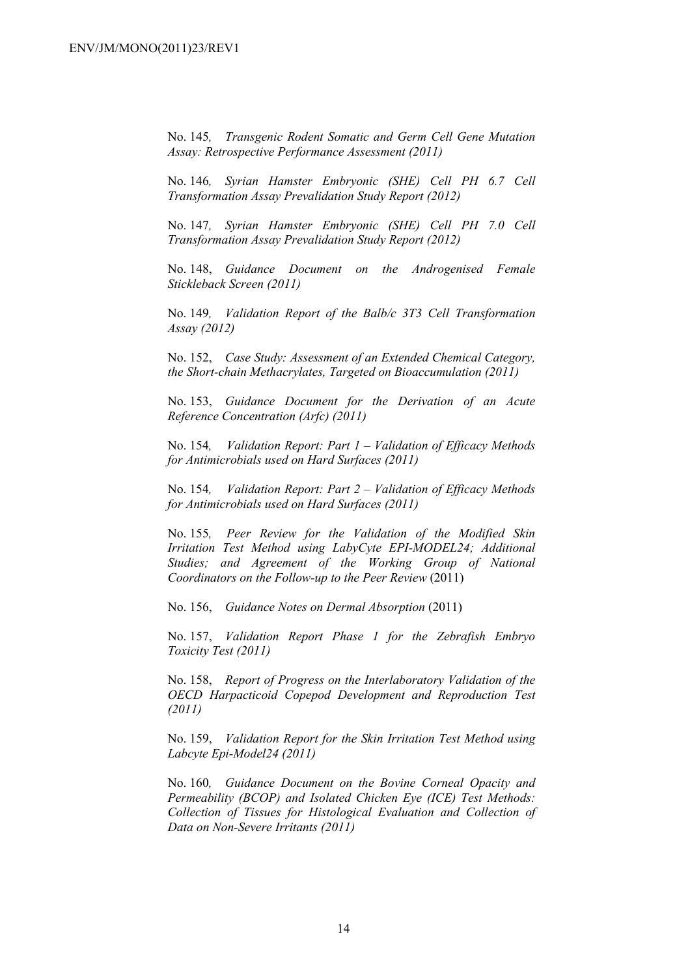No. 145*, Transgenic Rodent Somatic and Germ Cell Gene Mutation Assay: Retrospective Performance Assessment (2011)* 

No. 146*, Syrian Hamster Embryonic (SHE) Cell PH 6.7 Cell Transformation Assay Prevalidation Study Report (2012)* 

No. 147*, Syrian Hamster Embryonic (SHE) Cell PH 7.0 Cell Transformation Assay Prevalidation Study Report (2012)* 

No. 148, *Guidance Document on the Androgenised Female Stickleback Screen (2011)* 

No. 149*, Validation Report of the Balb/c 3T3 Cell Transformation Assay (2012)* 

No. 152, *Case Study: Assessment of an Extended Chemical Category, the Short-chain Methacrylates, Targeted on Bioaccumulation (2011)* 

No. 153, *Guidance Document for the Derivation of an Acute Reference Concentration (Arfc) (2011)* 

No. 154*, Validation Report: Part 1 – Validation of Efficacy Methods for Antimicrobials used on Hard Surfaces (2011)* 

No. 154*, Validation Report: Part 2 – Validation of Efficacy Methods for Antimicrobials used on Hard Surfaces (2011)* 

No. 155*, Peer Review for the Validation of the Modified Skin Irritation Test Method using LabyCyte EPI-MODEL24; Additional Studies; and Agreement of the Working Group of National Coordinators on the Follow-up to the Peer Review* (2011)

No. 156, *Guidance Notes on Dermal Absorption* (2011)

No. 157, *Validation Report Phase 1 for the Zebrafish Embryo Toxicity Test (2011)* 

No. 158, *Report of Progress on the Interlaboratory Validation of the OECD Harpacticoid Copepod Development and Reproduction Test (2011)* 

No. 159, *Validation Report for the Skin Irritation Test Method using Labcyte Epi-Model24 (2011)* 

No. 160*, Guidance Document on the Bovine Corneal Opacity and Permeability (BCOP) and Isolated Chicken Eye (ICE) Test Methods: Collection of Tissues for Histological Evaluation and Collection of Data on Non-Severe Irritants (2011)*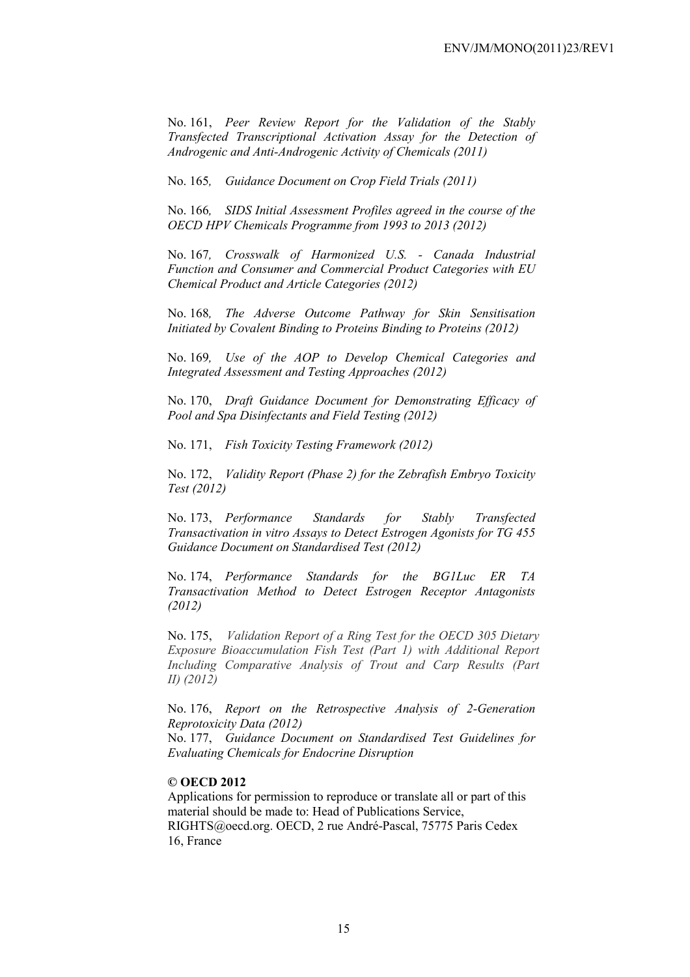No. 161, *Peer Review Report for the Validation of the Stably Transfected Transcriptional Activation Assay for the Detection of Androgenic and Anti-Androgenic Activity of Chemicals (2011)* 

No. 165*, Guidance Document on Crop Field Trials (2011)* 

No. 166*, SIDS Initial Assessment Profiles agreed in the course of the OECD HPV Chemicals Programme from 1993 to 2013 (2012)* 

No. 167*, Crosswalk of Harmonized U.S. - Canada Industrial Function and Consumer and Commercial Product Categories with EU Chemical Product and Article Categories (2012)* 

No. 168*, The Adverse Outcome Pathway for Skin Sensitisation Initiated by Covalent Binding to Proteins Binding to Proteins (2012)* 

No. 169*, Use of the AOP to Develop Chemical Categories and Integrated Assessment and Testing Approaches (2012)* 

No. 170, *Draft Guidance Document for Demonstrating Efficacy of Pool and Spa Disinfectants and Field Testing (2012)* 

No. 171, *Fish Toxicity Testing Framework (2012)* 

No. 172, *Validity Report (Phase 2) for the Zebrafish Embryo Toxicity Test (2012)* 

No. 173, *Performance Standards for Stably Transfected Transactivation in vitro Assays to Detect Estrogen Agonists for TG 455 Guidance Document on Standardised Test (2012)* 

No. 174, *Performance Standards for the BG1Luc ER TA Transactivation Method to Detect Estrogen Receptor Antagonists (2012)* 

No. 175, *Validation Report of a Ring Test for the OECD 305 Dietary Exposure Bioaccumulation Fish Test (Part 1) with Additional Report Including Comparative Analysis of Trout and Carp Results (Part II) (2012)* 

No. 176, *Report on the Retrospective Analysis of 2-Generation Reprotoxicity Data (2012)* 

No. 177, *Guidance Document on Standardised Test Guidelines for Evaluating Chemicals for Endocrine Disruption* 

#### **© OECD 2012**

Applications for permission to reproduce or translate all or part of this material should be made to: Head of Publications Service, RIGHTS@oecd.org. OECD, 2 rue André-Pascal, 75775 Paris Cedex 16, France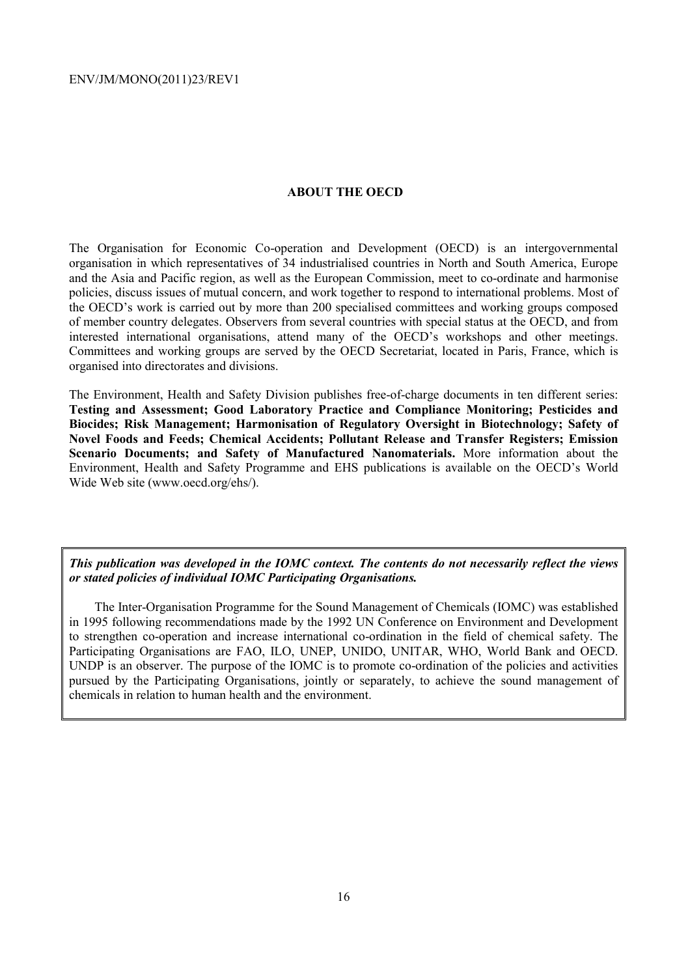#### **ABOUT THE OECD**

The Organisation for Economic Co-operation and Development (OECD) is an intergovernmental organisation in which representatives of 34 industrialised countries in North and South America, Europe and the Asia and Pacific region, as well as the European Commission, meet to co-ordinate and harmonise policies, discuss issues of mutual concern, and work together to respond to international problems. Most of the OECD's work is carried out by more than 200 specialised committees and working groups composed of member country delegates. Observers from several countries with special status at the OECD, and from interested international organisations, attend many of the OECD's workshops and other meetings. Committees and working groups are served by the OECD Secretariat, located in Paris, France, which is organised into directorates and divisions.

The Environment, Health and Safety Division publishes free-of-charge documents in ten different series: **Testing and Assessment; Good Laboratory Practice and Compliance Monitoring; Pesticides and Biocides; Risk Management; Harmonisation of Regulatory Oversight in Biotechnology; Safety of Novel Foods and Feeds; Chemical Accidents; Pollutant Release and Transfer Registers; Emission Scenario Documents; and Safety of Manufactured Nanomaterials.** More information about the Environment, Health and Safety Programme and EHS publications is available on the OECD's World Wide Web site (www.oecd.org/ehs/).

*This publication was developed in the IOMC context. The contents do not necessarily reflect the views or stated policies of individual IOMC Participating Organisations.* 

The Inter-Organisation Programme for the Sound Management of Chemicals (IOMC) was established in 1995 following recommendations made by the 1992 UN Conference on Environment and Development to strengthen co-operation and increase international co-ordination in the field of chemical safety. The Participating Organisations are FAO, ILO, UNEP, UNIDO, UNITAR, WHO, World Bank and OECD. UNDP is an observer. The purpose of the IOMC is to promote co-ordination of the policies and activities pursued by the Participating Organisations, jointly or separately, to achieve the sound management of chemicals in relation to human health and the environment.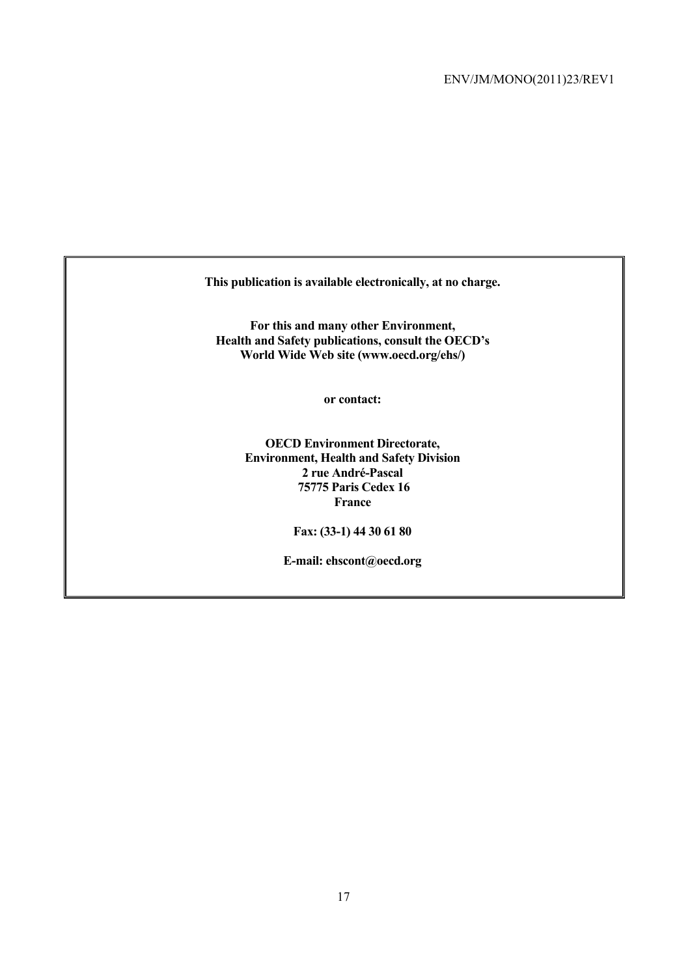**This publication is available electronically, at no charge.** 

**For this and many other Environment, Health and Safety publications, consult the OECD's World Wide Web site (www.oecd.org/ehs/)** 

**or contact:** 

**OECD Environment Directorate, Environment, Health and Safety Division 2 rue André-Pascal 75775 Paris Cedex 16 France** 

**Fax: (33-1) 44 30 61 80** 

**E-mail: ehscont@oecd.org**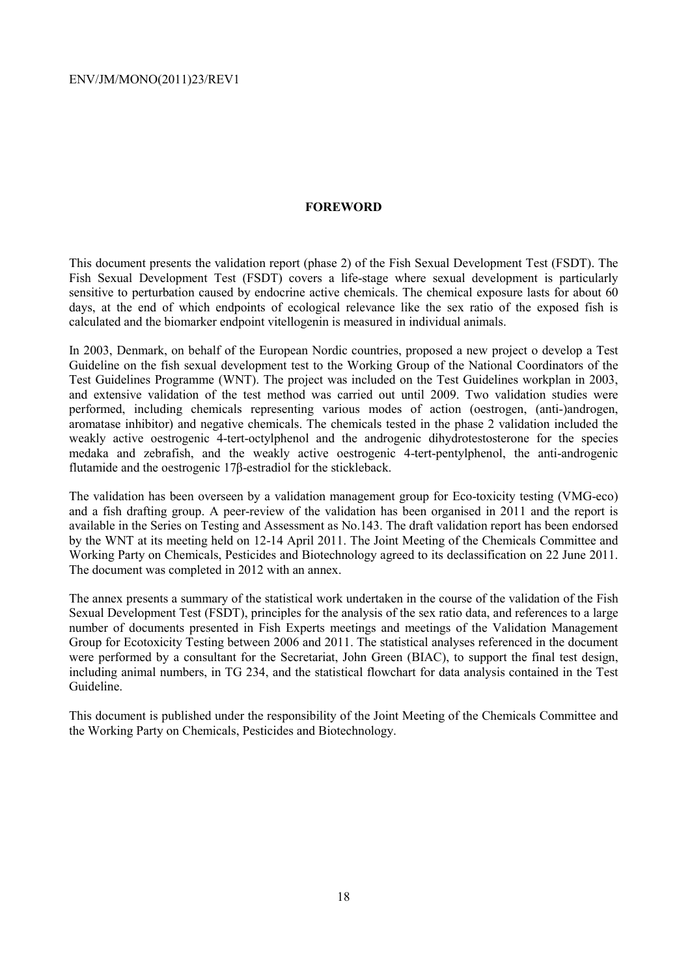#### **FOREWORD**

This document presents the validation report (phase 2) of the Fish Sexual Development Test (FSDT). The Fish Sexual Development Test (FSDT) covers a life-stage where sexual development is particularly sensitive to perturbation caused by endocrine active chemicals. The chemical exposure lasts for about 60 days, at the end of which endpoints of ecological relevance like the sex ratio of the exposed fish is calculated and the biomarker endpoint vitellogenin is measured in individual animals.

In 2003, Denmark, on behalf of the European Nordic countries, proposed a new project o develop a Test Guideline on the fish sexual development test to the Working Group of the National Coordinators of the Test Guidelines Programme (WNT). The project was included on the Test Guidelines workplan in 2003, and extensive validation of the test method was carried out until 2009. Two validation studies were performed, including chemicals representing various modes of action (oestrogen, (anti-)androgen, aromatase inhibitor) and negative chemicals. The chemicals tested in the phase 2 validation included the weakly active oestrogenic 4-tert-octylphenol and the androgenic dihydrotestosterone for the species medaka and zebrafish, and the weakly active oestrogenic 4-tert-pentylphenol, the anti-androgenic flutamide and the oestrogenic 17β-estradiol for the stickleback.

The validation has been overseen by a validation management group for Eco-toxicity testing (VMG-eco) and a fish drafting group. A peer-review of the validation has been organised in 2011 and the report is available in the Series on Testing and Assessment as No.143. The draft validation report has been endorsed by the WNT at its meeting held on 12-14 April 2011. The Joint Meeting of the Chemicals Committee and Working Party on Chemicals, Pesticides and Biotechnology agreed to its declassification on 22 June 2011. The document was completed in 2012 with an annex.

The annex presents a summary of the statistical work undertaken in the course of the validation of the Fish Sexual Development Test (FSDT), principles for the analysis of the sex ratio data, and references to a large number of documents presented in Fish Experts meetings and meetings of the Validation Management Group for Ecotoxicity Testing between 2006 and 2011. The statistical analyses referenced in the document were performed by a consultant for the Secretariat, John Green (BIAC), to support the final test design, including animal numbers, in TG 234, and the statistical flowchart for data analysis contained in the Test Guideline.

This document is published under the responsibility of the Joint Meeting of the Chemicals Committee and the Working Party on Chemicals, Pesticides and Biotechnology.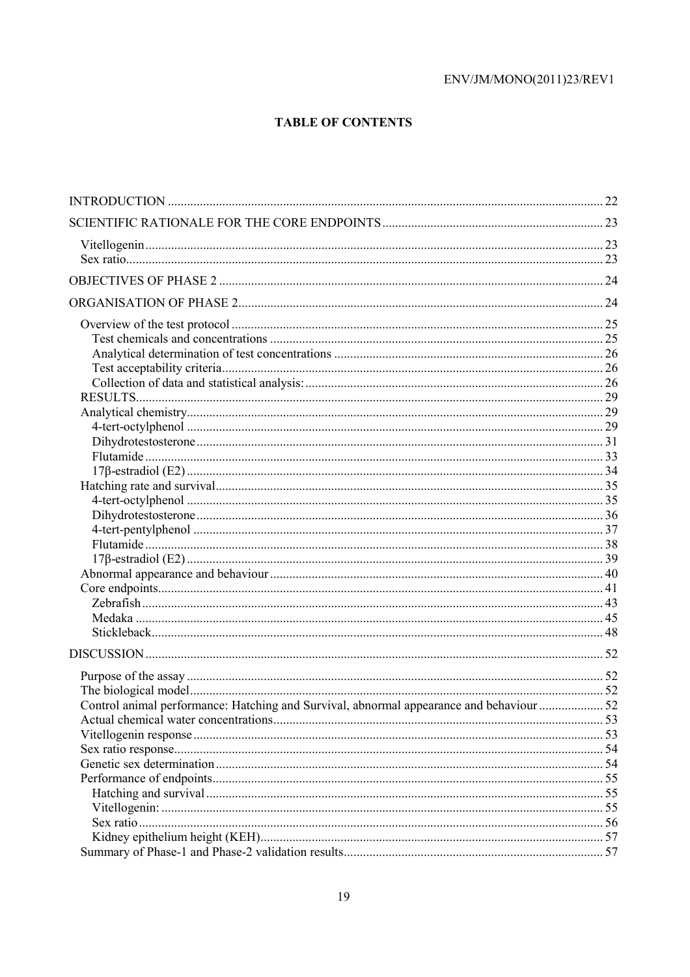# **TABLE OF CONTENTS**

| Control animal performance: Hatching and Survival, abnormal appearance and behaviour  52 |  |
|------------------------------------------------------------------------------------------|--|
|                                                                                          |  |
|                                                                                          |  |
|                                                                                          |  |
|                                                                                          |  |
|                                                                                          |  |
|                                                                                          |  |
|                                                                                          |  |
|                                                                                          |  |
|                                                                                          |  |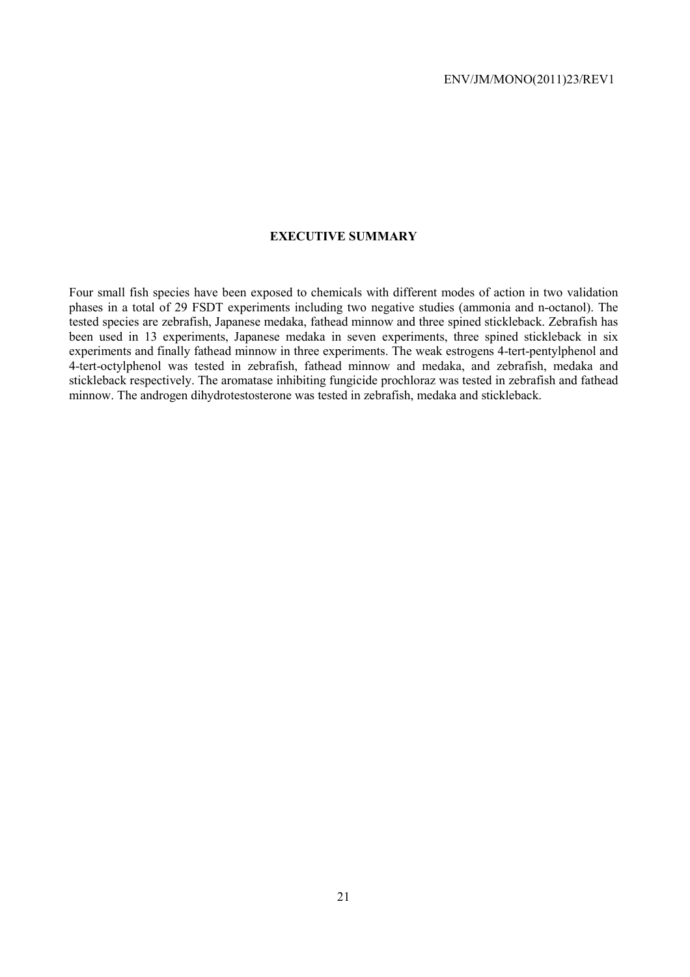# **EXECUTIVE SUMMARY**

Four small fish species have been exposed to chemicals with different modes of action in two validation phases in a total of 29 FSDT experiments including two negative studies (ammonia and n-octanol). The tested species are zebrafish, Japanese medaka, fathead minnow and three spined stickleback. Zebrafish has been used in 13 experiments, Japanese medaka in seven experiments, three spined stickleback in six experiments and finally fathead minnow in three experiments. The weak estrogens 4-tert-pentylphenol and 4-tert-octylphenol was tested in zebrafish, fathead minnow and medaka, and zebrafish, medaka and stickleback respectively. The aromatase inhibiting fungicide prochloraz was tested in zebrafish and fathead minnow. The androgen dihydrotestosterone was tested in zebrafish, medaka and stickleback.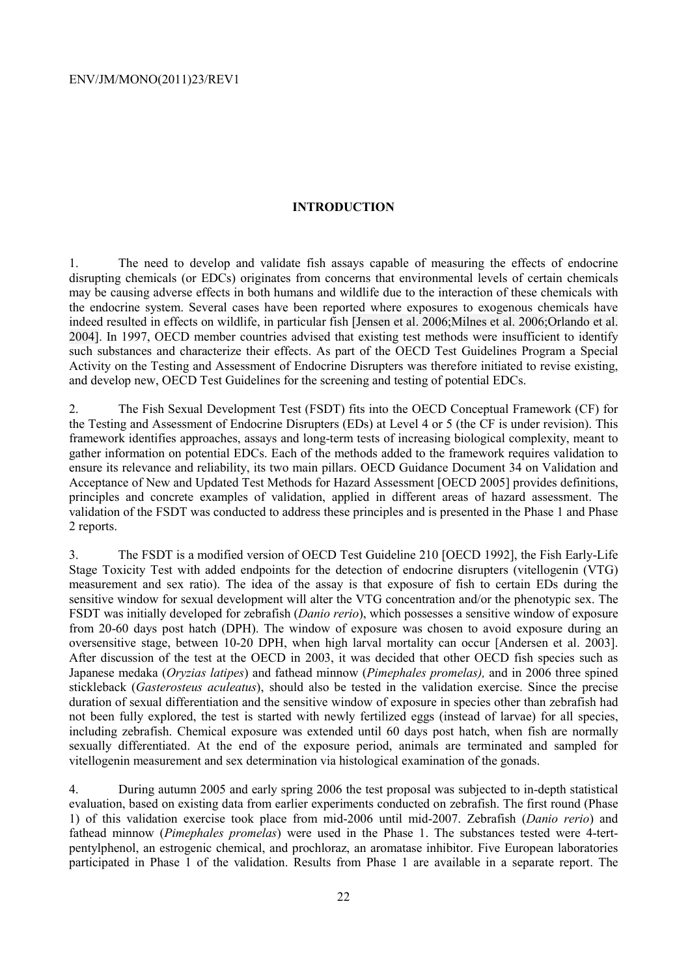#### **INTRODUCTION**

1. The need to develop and validate fish assays capable of measuring the effects of endocrine disrupting chemicals (or EDCs) originates from concerns that environmental levels of certain chemicals may be causing adverse effects in both humans and wildlife due to the interaction of these chemicals with the endocrine system. Several cases have been reported where exposures to exogenous chemicals have indeed resulted in effects on wildlife, in particular fish [Jensen et al. 2006;Milnes et al. 2006;Orlando et al. 2004]. In 1997, OECD member countries advised that existing test methods were insufficient to identify such substances and characterize their effects. As part of the OECD Test Guidelines Program a Special Activity on the Testing and Assessment of Endocrine Disrupters was therefore initiated to revise existing, and develop new, OECD Test Guidelines for the screening and testing of potential EDCs.

2. The Fish Sexual Development Test (FSDT) fits into the OECD Conceptual Framework (CF) for the Testing and Assessment of Endocrine Disrupters (EDs) at Level 4 or 5 (the CF is under revision). This framework identifies approaches, assays and long-term tests of increasing biological complexity, meant to gather information on potential EDCs. Each of the methods added to the framework requires validation to ensure its relevance and reliability, its two main pillars. OECD Guidance Document 34 on Validation and Acceptance of New and Updated Test Methods for Hazard Assessment [OECD 2005] provides definitions, principles and concrete examples of validation, applied in different areas of hazard assessment. The validation of the FSDT was conducted to address these principles and is presented in the Phase 1 and Phase 2 reports.

3. The FSDT is a modified version of OECD Test Guideline 210 [OECD 1992], the Fish Early-Life Stage Toxicity Test with added endpoints for the detection of endocrine disrupters (vitellogenin (VTG) measurement and sex ratio). The idea of the assay is that exposure of fish to certain EDs during the sensitive window for sexual development will alter the VTG concentration and/or the phenotypic sex. The FSDT was initially developed for zebrafish (*Danio rerio*), which possesses a sensitive window of exposure from 20-60 days post hatch (DPH). The window of exposure was chosen to avoid exposure during an oversensitive stage, between 10-20 DPH, when high larval mortality can occur [Andersen et al. 2003]. After discussion of the test at the OECD in 2003, it was decided that other OECD fish species such as Japanese medaka (*Oryzias latipes*) and fathead minnow (*Pimephales promelas),* and in 2006 three spined stickleback (*Gasterosteus aculeatus*), should also be tested in the validation exercise. Since the precise duration of sexual differentiation and the sensitive window of exposure in species other than zebrafish had not been fully explored, the test is started with newly fertilized eggs (instead of larvae) for all species, including zebrafish. Chemical exposure was extended until 60 days post hatch, when fish are normally sexually differentiated. At the end of the exposure period, animals are terminated and sampled for vitellogenin measurement and sex determination via histological examination of the gonads.

4. During autumn 2005 and early spring 2006 the test proposal was subjected to in-depth statistical evaluation, based on existing data from earlier experiments conducted on zebrafish. The first round (Phase 1) of this validation exercise took place from mid-2006 until mid-2007. Zebrafish (*Danio rerio*) and fathead minnow (*Pimephales promelas*) were used in the Phase 1. The substances tested were 4-tertpentylphenol, an estrogenic chemical, and prochloraz, an aromatase inhibitor. Five European laboratories participated in Phase 1 of the validation. Results from Phase 1 are available in a separate report. The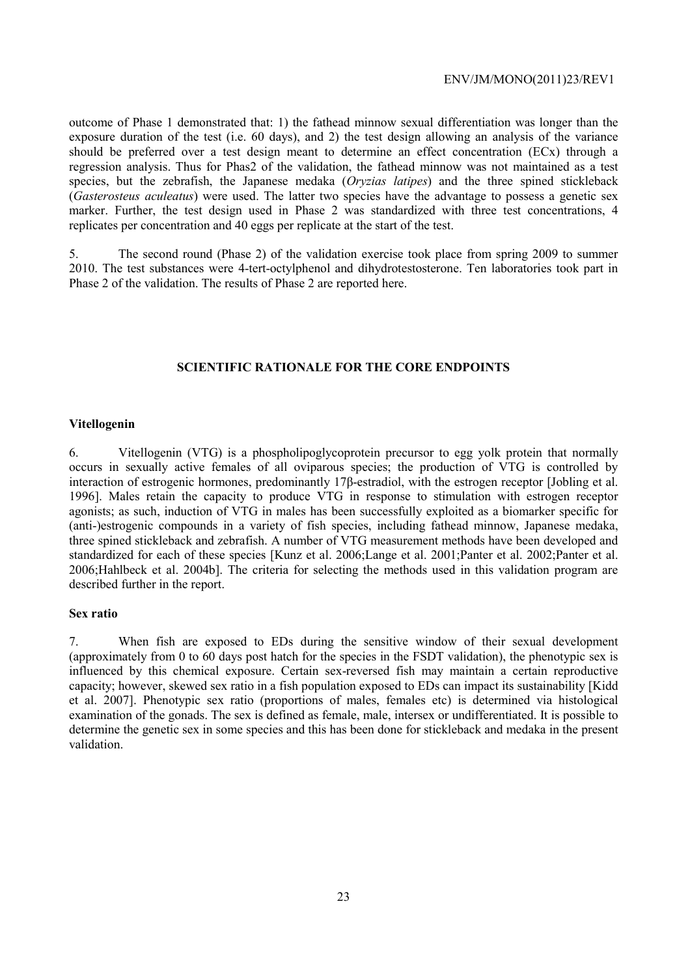outcome of Phase 1 demonstrated that: 1) the fathead minnow sexual differentiation was longer than the exposure duration of the test (i.e. 60 days), and 2) the test design allowing an analysis of the variance should be preferred over a test design meant to determine an effect concentration (ECx) through a regression analysis. Thus for Phas2 of the validation, the fathead minnow was not maintained as a test species, but the zebrafish, the Japanese medaka (*Oryzias latipes*) and the three spined stickleback (*Gasterosteus aculeatus*) were used. The latter two species have the advantage to possess a genetic sex marker. Further, the test design used in Phase 2 was standardized with three test concentrations, 4 replicates per concentration and 40 eggs per replicate at the start of the test.

5. The second round (Phase 2) of the validation exercise took place from spring 2009 to summer 2010. The test substances were 4-tert-octylphenol and dihydrotestosterone. Ten laboratories took part in Phase 2 of the validation. The results of Phase 2 are reported here.

# **SCIENTIFIC RATIONALE FOR THE CORE ENDPOINTS**

#### **Vitellogenin**

6. Vitellogenin (VTG) is a phospholipoglycoprotein precursor to egg yolk protein that normally occurs in sexually active females of all oviparous species; the production of VTG is controlled by interaction of estrogenic hormones, predominantly 17β-estradiol, with the estrogen receptor [Jobling et al. 1996]. Males retain the capacity to produce VTG in response to stimulation with estrogen receptor agonists; as such, induction of VTG in males has been successfully exploited as a biomarker specific for (anti-)estrogenic compounds in a variety of fish species, including fathead minnow, Japanese medaka, three spined stickleback and zebrafish. A number of VTG measurement methods have been developed and standardized for each of these species [Kunz et al. 2006;Lange et al. 2001;Panter et al. 2002;Panter et al. 2006;Hahlbeck et al. 2004b]. The criteria for selecting the methods used in this validation program are described further in the report.

#### **Sex ratio**

7. When fish are exposed to EDs during the sensitive window of their sexual development (approximately from 0 to 60 days post hatch for the species in the FSDT validation), the phenotypic sex is influenced by this chemical exposure. Certain sex-reversed fish may maintain a certain reproductive capacity; however, skewed sex ratio in a fish population exposed to EDs can impact its sustainability [Kidd et al. 2007]. Phenotypic sex ratio (proportions of males, females etc) is determined via histological examination of the gonads. The sex is defined as female, male, intersex or undifferentiated. It is possible to determine the genetic sex in some species and this has been done for stickleback and medaka in the present validation.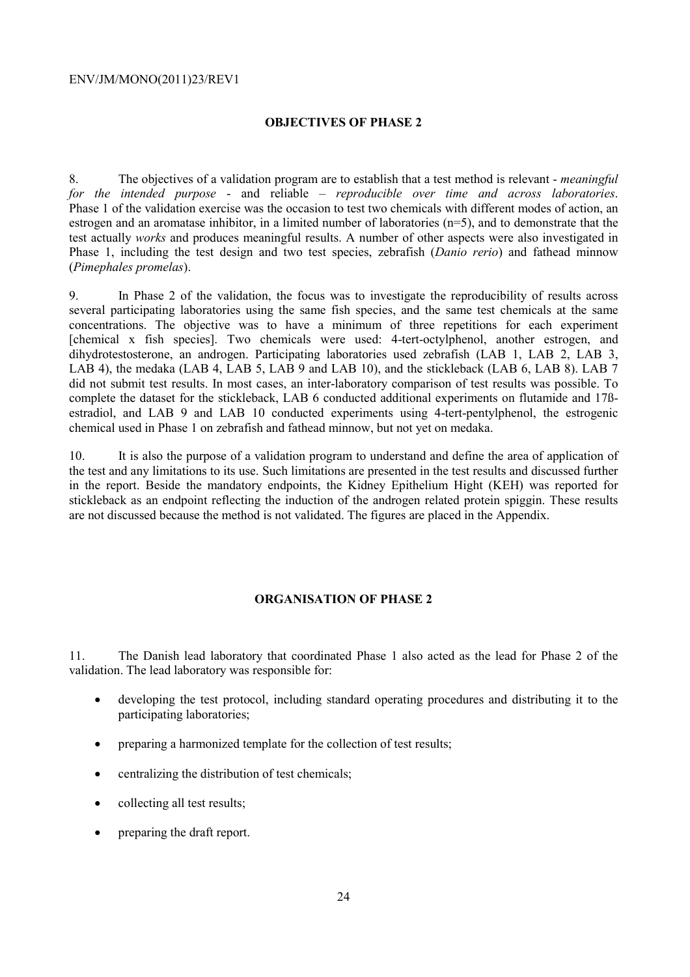# **OBJECTIVES OF PHASE 2**

8. The objectives of a validation program are to establish that a test method is relevant - *meaningful for the intended purpose* - and reliable – *reproducible over time and across laboratories*. Phase 1 of the validation exercise was the occasion to test two chemicals with different modes of action, an estrogen and an aromatase inhibitor, in a limited number of laboratories (n=5), and to demonstrate that the test actually *works* and produces meaningful results. A number of other aspects were also investigated in Phase 1, including the test design and two test species, zebrafish (*Danio rerio*) and fathead minnow (*Pimephales promelas*).

9. In Phase 2 of the validation, the focus was to investigate the reproducibility of results across several participating laboratories using the same fish species, and the same test chemicals at the same concentrations. The objective was to have a minimum of three repetitions for each experiment [chemical x fish species]. Two chemicals were used: 4-tert-octylphenol, another estrogen, and dihydrotestosterone, an androgen. Participating laboratories used zebrafish (LAB 1, LAB 2, LAB 3, LAB 4), the medaka (LAB 4, LAB 5, LAB 9 and LAB 10), and the stickleback (LAB 6, LAB 8). LAB 7 did not submit test results. In most cases, an inter-laboratory comparison of test results was possible. To complete the dataset for the stickleback, LAB 6 conducted additional experiments on flutamide and 17ßestradiol, and LAB 9 and LAB 10 conducted experiments using 4-tert-pentylphenol, the estrogenic chemical used in Phase 1 on zebrafish and fathead minnow, but not yet on medaka.

10. It is also the purpose of a validation program to understand and define the area of application of the test and any limitations to its use. Such limitations are presented in the test results and discussed further in the report. Beside the mandatory endpoints, the Kidney Epithelium Hight (KEH) was reported for stickleback as an endpoint reflecting the induction of the androgen related protein spiggin. These results are not discussed because the method is not validated. The figures are placed in the Appendix.

#### **ORGANISATION OF PHASE 2**

11. The Danish lead laboratory that coordinated Phase 1 also acted as the lead for Phase 2 of the validation. The lead laboratory was responsible for:

- developing the test protocol, including standard operating procedures and distributing it to the participating laboratories;
- preparing a harmonized template for the collection of test results;
- centralizing the distribution of test chemicals;
- collecting all test results;
- preparing the draft report.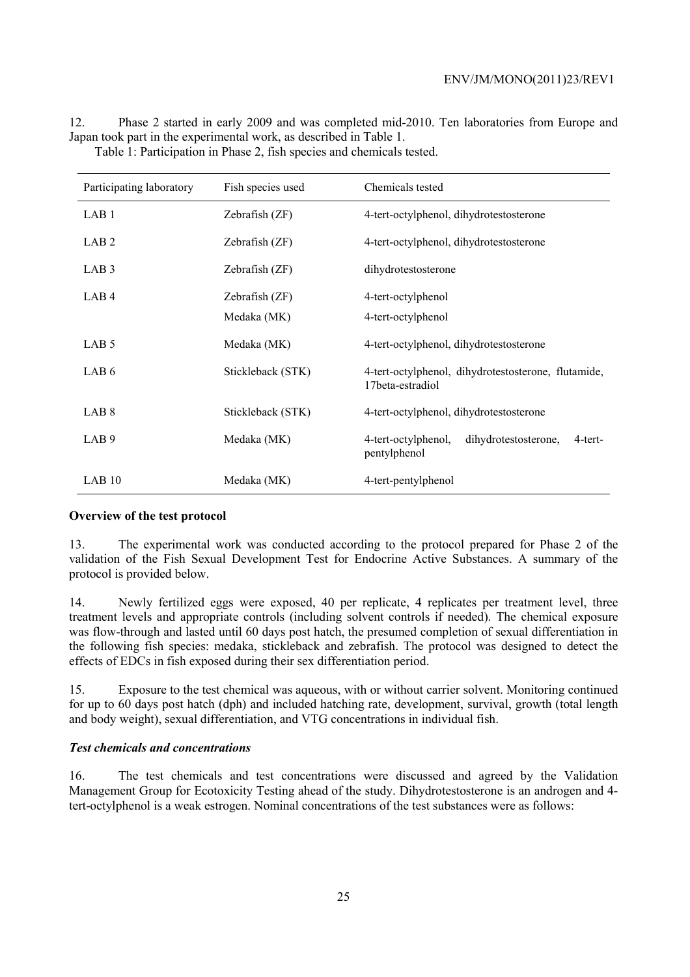| Participating laboratory | Fish species used | Chemicals tested                                                        |
|--------------------------|-------------------|-------------------------------------------------------------------------|
| LAB <sub>1</sub>         | Zebrafish (ZF)    | 4-tert-octylphenol, dihydrotestosterone                                 |
| LAB <sub>2</sub>         | Zebrafish (ZF)    | 4-tert-octylphenol, dihydrotestosterone                                 |
| LAB <sub>3</sub>         | Zebrafish (ZF)    | dihydrotestosterone                                                     |
| LAB <sub>4</sub>         | Zebrafish (ZF)    | 4-tert-octylphenol                                                      |
|                          | Medaka (MK)       | 4-tert-octylphenol                                                      |
| LAB <sub>5</sub>         | Medaka (MK)       | 4-tert-octylphenol, dihydrotestosterone                                 |
| LAB <sub>6</sub>         | Stickleback (STK) | 4-tert-octylphenol, dihydrotestosterone, flutamide,<br>17beta-estradiol |
| LAB <sub>8</sub>         | Stickleback (STK) | 4-tert-octylphenol, dihydrotestosterone                                 |
| LAB <sub>9</sub>         | Medaka (MK)       | 4-tert-octylphenol,<br>dihydrotestosterone,<br>4-tert-<br>pentylphenol  |
| LAB 10                   | Medaka (MK)       | 4-tert-pentylphenol                                                     |

12. Phase 2 started in early 2009 and was completed mid-2010. Ten laboratories from Europe and Japan took part in the experimental work, as described in Table 1. Table 1: Participation in Phase 2, fish species and chemicals tested.

#### **Overview of the test protocol**

13. The experimental work was conducted according to the protocol prepared for Phase 2 of the validation of the Fish Sexual Development Test for Endocrine Active Substances. A summary of the protocol is provided below.

14. Newly fertilized eggs were exposed, 40 per replicate, 4 replicates per treatment level, three treatment levels and appropriate controls (including solvent controls if needed). The chemical exposure was flow-through and lasted until 60 days post hatch, the presumed completion of sexual differentiation in the following fish species: medaka, stickleback and zebrafish. The protocol was designed to detect the effects of EDCs in fish exposed during their sex differentiation period.

15. Exposure to the test chemical was aqueous, with or without carrier solvent. Monitoring continued for up to 60 days post hatch (dph) and included hatching rate, development, survival, growth (total length and body weight), sexual differentiation, and VTG concentrations in individual fish.

#### *Test chemicals and concentrations*

16. The test chemicals and test concentrations were discussed and agreed by the Validation Management Group for Ecotoxicity Testing ahead of the study. Dihydrotestosterone is an androgen and 4 tert-octylphenol is a weak estrogen. Nominal concentrations of the test substances were as follows: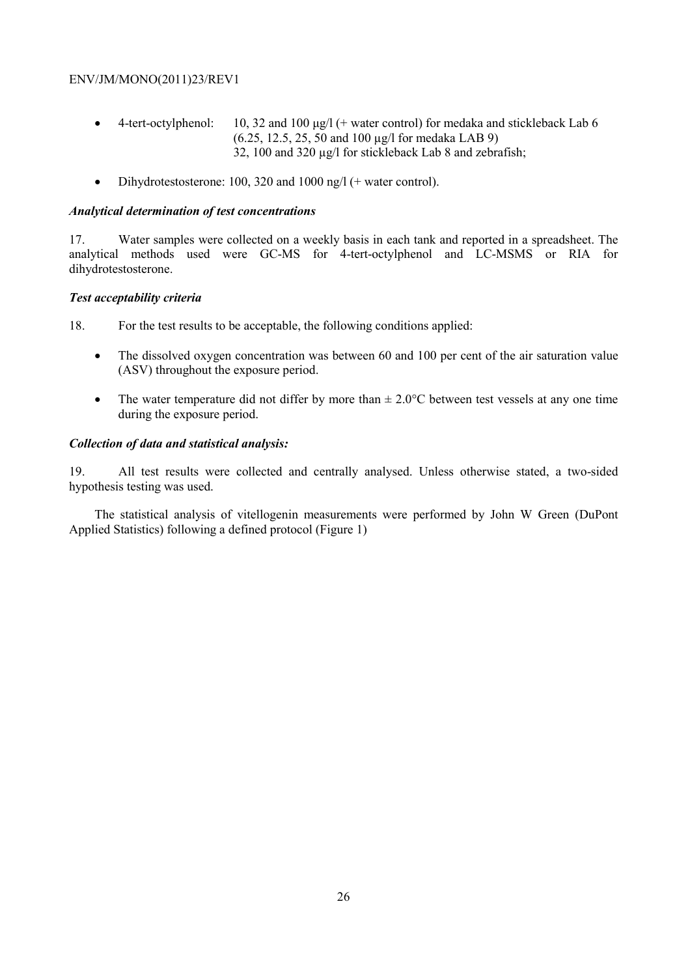- 4-tert-octylphenol: 10, 32 and 100  $\mu$ g/l (+ water control) for medaka and stickleback Lab 6 (6.25, 12.5, 25, 50 and 100 µg/l for medaka LAB 9) 32, 100 and 320 µg/l for stickleback Lab 8 and zebrafish;
- Dihydrotestosterone: 100, 320 and 1000 ng/l (+ water control).

#### *Analytical determination of test concentrations*

17. Water samples were collected on a weekly basis in each tank and reported in a spreadsheet. The analytical methods used were GC-MS for 4-tert-octylphenol and LC-MSMS or RIA for dihydrotestosterone.

# *Test acceptability criteria*

18. For the test results to be acceptable, the following conditions applied:

- The dissolved oxygen concentration was between 60 and 100 per cent of the air saturation value (ASV) throughout the exposure period.
- The water temperature did not differ by more than  $\pm 2.0^{\circ}$ C between test vessels at any one time during the exposure period.

# *Collection of data and statistical analysis:*

19. All test results were collected and centrally analysed. Unless otherwise stated, a two-sided hypothesis testing was used.

The statistical analysis of vitellogenin measurements were performed by John W Green (DuPont Applied Statistics) following a defined protocol (Figure 1)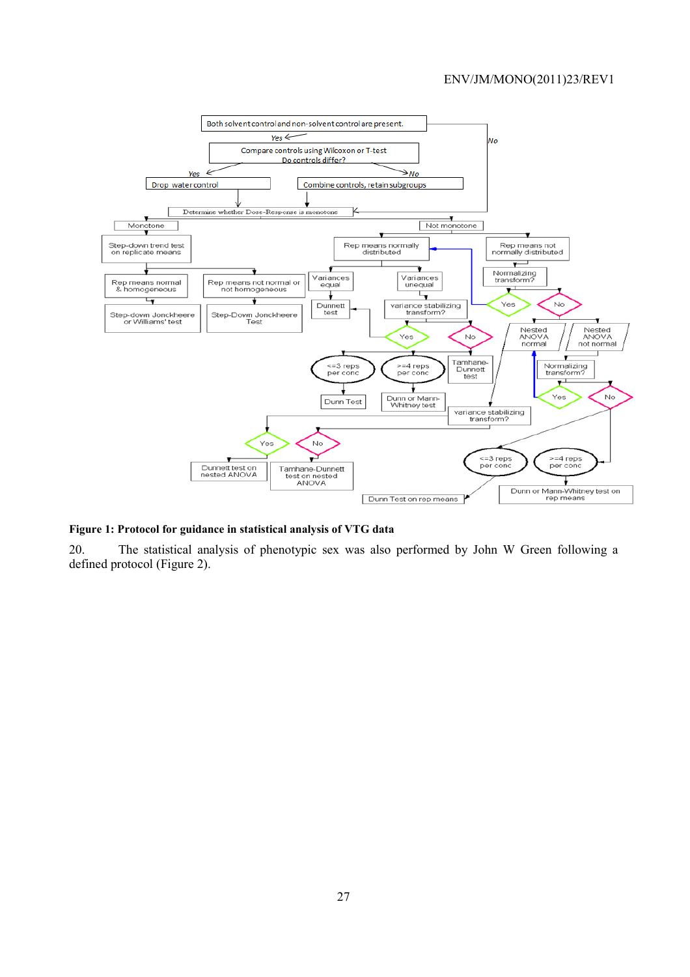

#### **Figure 1: Protocol for guidance in statistical analysis of VTG data**

20. The statistical analysis of phenotypic sex was also performed by John W Green following a defined protocol (Figure 2).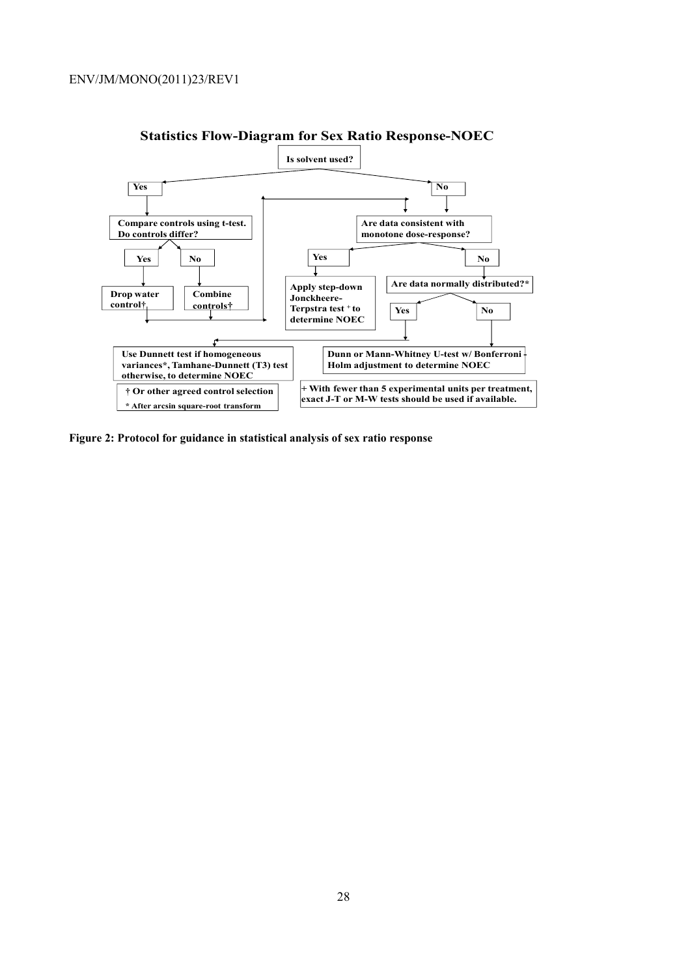

# **Statistics Flow-Diagram for Sex Ratio Response-NOEC**

**Figure 2: Protocol for guidance in statistical analysis of sex ratio response**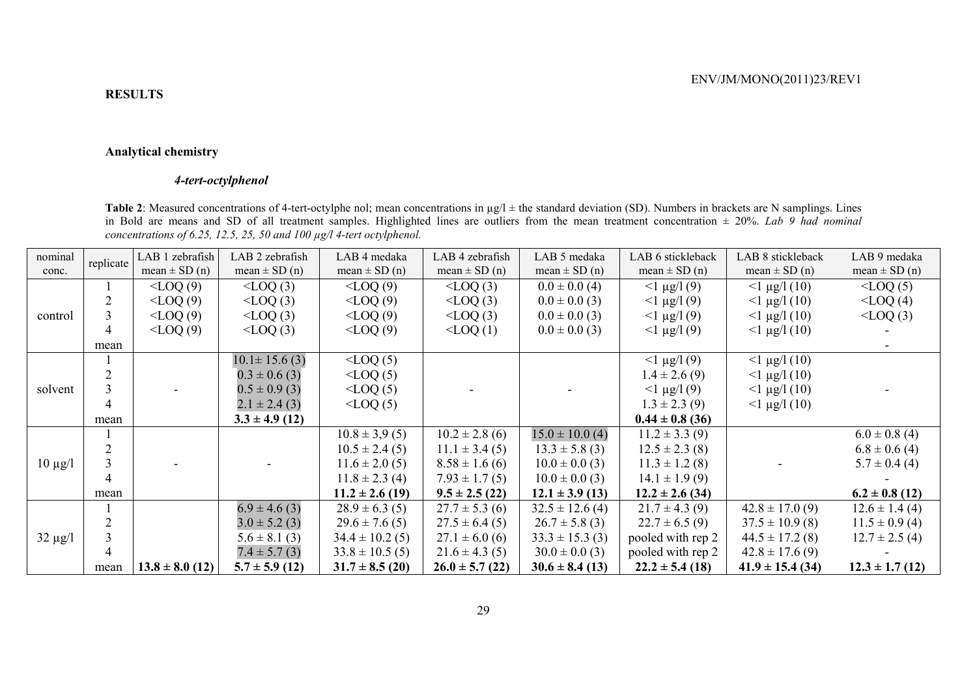#### **Analytical chemistry**

# *4-tert-octylphenol*

**Table 2**: Measured concentrations of 4-tert-octylphe nol; mean concentrations in  $\mu$ g/l ± the standard deviation (SD). Numbers in brackets are N samplings. Lines in Bold are means and SD of all treatment samples. Highlighted lines are outliers from the mean treatment concentration ± 20%. *Lab 9 had nominal concentrations of 6.25, 12.5, 25, 50 and 100 µg/l 4-tert octylphenol.* 

| nominal      | replicate | LAB 1 zebrafish     | LAB 2 zebrafish     | LAB 4 medaka        | LAB 4 zebrafish     | LAB 5 medaka        | LAB 6 stickleback   | LAB 8 stickleback    | LAB 9 medaka        |
|--------------|-----------|---------------------|---------------------|---------------------|---------------------|---------------------|---------------------|----------------------|---------------------|
| conc.        |           | mean $\pm$ SD (n)   | mean $\pm$ SD (n)   | mean $\pm$ SD (n)   | mean $\pm$ SD (n)   | mean $\pm$ SD (n)   | mean $\pm$ SD (n)   | mean $\pm$ SD (n)    | mean $\pm$ SD (n)   |
|              |           | $\langle$ LOQ $(9)$ | $\langle$ LOQ $(3)$ | $\langle$ LOQ $(9)$ | $\langle$ LOQ $(3)$ | $0.0 \pm 0.0$ (4)   | $<$ 1 µg/l (9)      | $<$ 1 µg/l (10)      | $\text{LOQ}(5)$     |
|              |           | $<$ LOQ $(9)$       | $\langle$ LOQ $(3)$ | $<$ LOQ $(9)$       | $\langle$ LOQ $(3)$ | $0.0 \pm 0.0$ (3)   | $<$ 1 µg/l (9)      | $<$ 1 µg/l (10)      | $<$ LOQ $(4)$       |
| control      |           | $\langle$ LOQ $(9)$ | $\langle$ LOQ $(3)$ | $<$ LOQ $(9)$       | $\leq$ LOQ $(3)$    | $0.0 \pm 0.0$ (3)   | $<$ 1 µg/l (9)      | $<$ 1 µg/l (10)      | $\text{LOQ}(3)$     |
|              |           | $\langle$ LOQ(9)    | $\langle$ LOQ $(3)$ | $\langle$ LOQ $(9)$ | $\sim$ LOQ $(1)$    | $0.0 \pm 0.0$ (3)   | $<$ 1 µg/l (9)      | $<$ 1 µg/l (10)      |                     |
|              | mean      |                     |                     |                     |                     |                     |                     |                      |                     |
|              |           |                     | $10.1 \pm 15.6$ (3) | $<$ LOQ $(5)$       |                     |                     | $<$ 1 µg/l (9)      | $<$ 1 µg/l (10)      |                     |
|              |           |                     | $0.3 \pm 0.6$ (3)   | $\text{LOQ}(5)$     |                     |                     | $1.4 \pm 2.6(9)$    | $<$ 1 µg/l (10)      |                     |
| solvent      |           |                     | $0.5 \pm 0.9$ (3)   | $\sim$ LOQ $(5)$    |                     |                     | $<$ 1 µg/l (9)      | $<$ 1 µg/l (10)      |                     |
|              | 4         |                     | $2.1 \pm 2.4$ (3)   | $\text{LOQ}(5)$     |                     |                     | $1.3 \pm 2.3$ (9)   | $<$ 1 µg/l (10)      |                     |
|              | mean      |                     | $3.3 \pm 4.9$ (12)  |                     |                     |                     | $0.44 \pm 0.8$ (36) |                      |                     |
|              |           |                     |                     | $10.8 \pm 3.9(5)$   | $10.2 \pm 2.8$ (6)  | $15.0 \pm 10.0$ (4) | $11.2 \pm 3.3(9)$   |                      | $6.0 \pm 0.8$ (4)   |
|              |           |                     |                     | $10.5 \pm 2.4(5)$   | $11.1 \pm 3.4(5)$   | $13.3 \pm 5.8$ (3)  | $12.5 \pm 2.3$ (8)  |                      | $6.8 \pm 0.6$ (4)   |
| $10 \mu g/l$ |           |                     |                     | $11.6 \pm 2.0$ (5)  | $8.58 \pm 1.6$ (6)  | $10.0 \pm 0.0$ (3)  | $11.3 \pm 1.2$ (8)  |                      | $5.7 \pm 0.4$ (4)   |
|              | 4         |                     |                     | $11.8 \pm 2.3$ (4)  | $7.93 \pm 1.7(5)$   | $10.0 \pm 0.0$ (3)  | $14.1 \pm 1.9(9)$   |                      |                     |
|              | mean      |                     |                     | $11.2 \pm 2.6$ (19) | $9.5 \pm 2.5(22)$   | $12.1 \pm 3.9$ (13) | $12.2 \pm 2.6$ (34) |                      | $6.2 \pm 0.8$ (12)  |
|              |           |                     | $6.9 \pm 4.6$ (3)   | $28.9 \pm 6.3$ (5)  | $27.7 \pm 5.3$ (6)  | $32.5 \pm 12.6$ (4) | $21.7 \pm 4.3$ (9)  | $42.8 \pm 17.0(9)$   | $12.6 \pm 1.4(4)$   |
|              |           |                     | $3.0 \pm 5.2$ (3)   | $29.6 \pm 7.6$ (5)  | $27.5 \pm 6.4(5)$   | $26.7 \pm 5.8$ (3)  | $22.7 \pm 6.5(9)$   | $37.5 \pm 10.9$ (8)  | $11.5 \pm 0.9$ (4)  |
| $32 \mu g/l$ |           |                     | $5.6 \pm 8.1$ (3)   | $34.4 \pm 10.2$ (5) | $27.1 \pm 6.0$ (6)  | $33.3 \pm 15.3$ (3) | pooled with rep 2   | $44.5 \pm 17.2$ (8)  | $12.7 \pm 2.5$ (4)  |
|              | 4         |                     | $7.4 \pm 5.7(3)$    | $33.8 \pm 10.5$ (5) | $21.6 \pm 4.3(5)$   | $30.0 \pm 0.0$ (3)  | pooled with rep 2   | $42.8 \pm 17.6$ (9)  |                     |
|              | mean      | $13.8 \pm 8.0$ (12) | $5.7 \pm 5.9$ (12)  | $31.7 \pm 8.5$ (20) | $26.0 \pm 5.7$ (22) | $30.6 \pm 8.4$ (13) | $22.2 \pm 5.4$ (18) | $41.9 \pm 15.4$ (34) | $12.3 \pm 1.7$ (12) |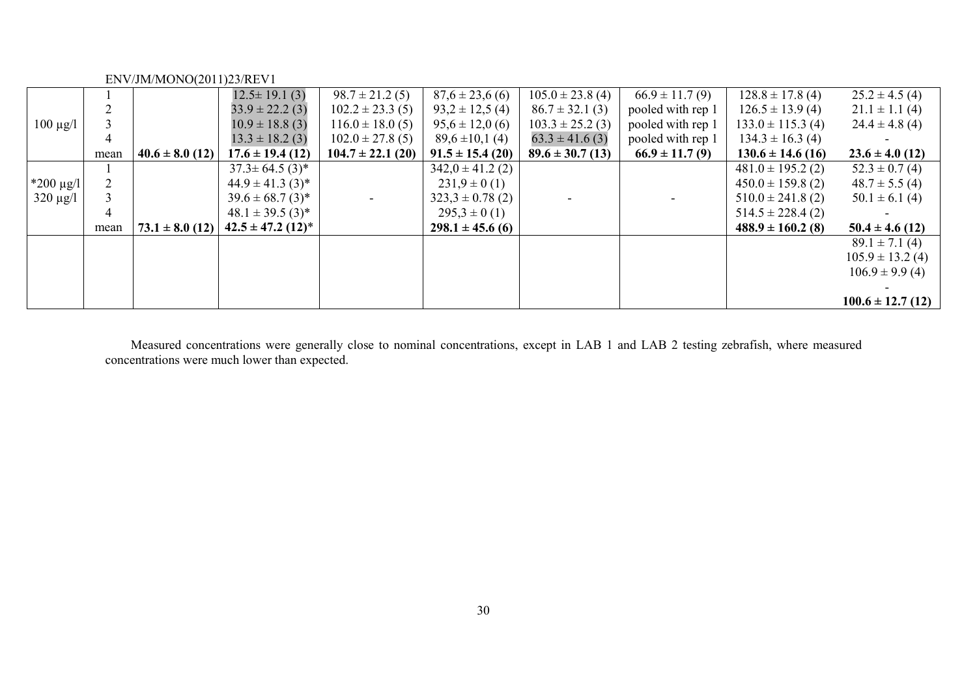|                |      |                     | $12.5 \pm 19.1(3)$                | $98.7 \pm 21.2(5)$    | $87,6 \pm 23,6(6)$   | $105.0 \pm 23.8(4)$  | $66.9 \pm 11.7(9)$ | $128.8 \pm 17.8$ (4)  | $25.2 \pm 4.5$ (4)    |
|----------------|------|---------------------|-----------------------------------|-----------------------|----------------------|----------------------|--------------------|-----------------------|-----------------------|
|                |      |                     | $33.9 \pm 22.2$ (3)               | $102.2 \pm 23.3$ (5)  | $93.2 \pm 12.5(4)$   | $86.7 \pm 32.1$ (3)  | pooled with rep 1  | $126.5 \pm 13.9$ (4)  | $21.1 \pm 1.1$ (4)    |
| $100 \mu g/l$  |      |                     | $10.9 \pm 18.8$ (3)               | $116.0 \pm 18.0(5)$   | $95,6 \pm 12,0(6)$   | $103.3 \pm 25.2$ (3) | pooled with rep 1  | $133.0 \pm 115.3$ (4) | $24.4 \pm 4.8$ (4)    |
|                | 4    |                     | $13.3 \pm 18.2(3)$                | $102.0 \pm 27.8$ (5)  | $89,6 \pm 10,1(4)$   | $63.3 \pm 41.6$ (3)  | pooled with rep 1  | $134.3 \pm 16.3$ (4)  |                       |
|                | mean | $40.6 \pm 8.0$ (12) | $17.6 \pm 19.4(12)$               | $104.7 \pm 22.1$ (20) | $91.5 \pm 15.4(20)$  | $89.6 \pm 30.7$ (13) | $66.9 \pm 11.7(9)$ | $130.6 \pm 14.6$ (16) | $23.6 \pm 4.0$ (12)   |
|                |      |                     | $37.3 \pm 64.5(3)^*$              |                       | $342,0 \pm 41.2$ (2) |                      |                    | $481.0 \pm 195.2$ (2) | $52.3 \pm 0.7(4)$     |
| $*200 \mu g/l$ |      |                     | $44.9 \pm 41.3$ (3)*              |                       | $231.9 \pm 0(1)$     |                      |                    | $450.0 \pm 159.8$ (2) | $48.7 \pm 5.5(4)$     |
| $320 \mu g/l$  |      |                     | $39.6 \pm 68.7$ (3) <sup>*</sup>  |                       | $323.3 \pm 0.78$ (2) |                      |                    | $510.0 \pm 241.8$ (2) | $50.1 \pm 6.1$ (4)    |
|                | 4    |                     | $48.1 \pm 39.5(3)^{*}$            |                       | $295.3 \pm 0(1)$     |                      |                    | $514.5 \pm 228.4(2)$  |                       |
|                | mean | $73.1 \pm 8.0$ (12) | $42.5 \pm 47.2$ (12) <sup>*</sup> |                       | $298.1 \pm 45.6$ (6) |                      |                    | $488.9 \pm 160.2$ (8) | $50.4 \pm 4.6$ (12)   |
|                |      |                     |                                   |                       |                      |                      |                    |                       | $89.1 \pm 7.1(4)$     |
|                |      |                     |                                   |                       |                      |                      |                    |                       | $105.9 \pm 13.2$ (4)  |
|                |      |                     |                                   |                       |                      |                      |                    |                       | $106.9 \pm 9.9(4)$    |
|                |      |                     |                                   |                       |                      |                      |                    |                       |                       |
|                |      |                     |                                   |                       |                      |                      |                    |                       | $100.6 \pm 12.7$ (12) |

Measured concentrations were generally close to nominal concentrations, except in LAB 1 and LAB 2 testing zebrafish, where measured concentrations were much lower than expected.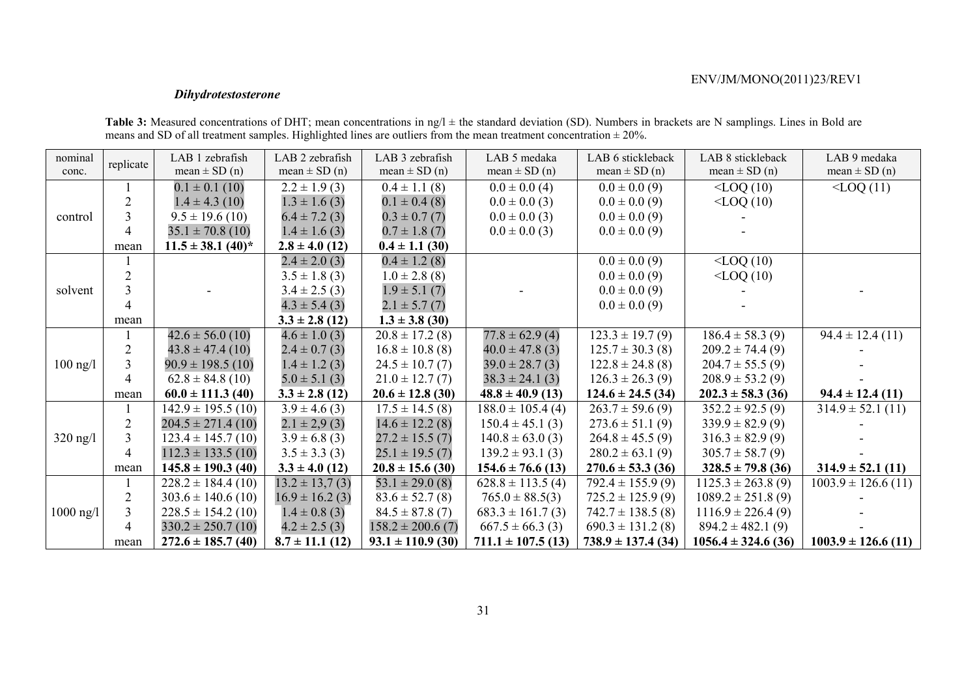# *Dihydrotestosterone*

| nominal    | replicate      | LAB 1 zebrafish                   | LAB 2 zebrafish     | LAB 3 zebrafish       | LAB 5 medaka           | LAB 6 stickleback      | LAB 8 stickleback       | LAB 9 medaka            |
|------------|----------------|-----------------------------------|---------------------|-----------------------|------------------------|------------------------|-------------------------|-------------------------|
| conc.      |                | mean $\pm$ SD (n)                 | mean $\pm$ SD (n)   | mean $\pm$ SD (n)     | mean $\pm$ SD (n)      | mean $\pm$ SD (n)      | mean $\pm$ SD (n)       | mean $\pm$ SD (n)       |
|            |                | $0.1 \pm 0.1$ (10)                | $2.2 \pm 1.9$ (3)   | $0.4 \pm 1.1$ (8)     | $0.0 \pm 0.0$ (4)      | $0.0 \pm 0.0$ (9)      | $<$ LOQ $(10)$          | $<$ LOQ $(11)$          |
|            |                | $1.4 \pm 4.3$ (10)                | $1.3 \pm 1.6$ (3)   | $0.1 \pm 0.4$ (8)     | $0.0 \pm 0.0$ (3)      | $0.0 \pm 0.0$ (9)      | $<$ LOQ $(10)$          |                         |
| control    | 3              | $9.5 \pm 19.6$ (10)               | $6.4 \pm 7.2(3)$    | $0.3 \pm 0.7(7)$      | $0.0 \pm 0.0$ (3)      | $0.0 \pm 0.0$ (9)      |                         |                         |
|            | 4              | $35.1 \pm 70.8$ (10)              | $1.4 \pm 1.6$ (3)   | $0.7 \pm 1.8(7)$      | $0.0 \pm 0.0$ (3)      | $0.0 \pm 0.0$ (9)      |                         |                         |
|            | mean           | $11.5 \pm 38.1$ (40) <sup>*</sup> | $2.8 \pm 4.0$ (12)  | $0.4 \pm 1.1$ (30)    |                        |                        |                         |                         |
|            |                |                                   | $2.4 \pm 2.0$ (3)   | $0.4 \pm 1.2$ (8)     |                        | $0.0 \pm 0.0$ (9)      | $<$ LOQ $(10)$          |                         |
|            |                |                                   | $3.5 \pm 1.8$ (3)   | $1.0 \pm 2.8$ (8)     |                        | $0.0 \pm 0.0$ (9)      | $<$ LOQ $(10)$          |                         |
| solvent    |                |                                   | $3.4 \pm 2.5$ (3)   | $1.9 \pm 5.1(7)$      |                        | $0.0 \pm 0.0$ (9)      |                         |                         |
|            | 4              |                                   | $4.3 \pm 5.4$ (3)   | $2.1 \pm 5.7(7)$      |                        | $0.0 \pm 0.0$ (9)      |                         |                         |
|            | mean           |                                   | $3.3 \pm 2.8$ (12)  | $1.3 \pm 3.8$ (30)    |                        |                        |                         |                         |
|            |                | $42.6 \pm 56.0$ (10)              | $4.6 \pm 1.0$ (3)   | $20.8 \pm 17.2$ (8)   | $77.8 \pm 62.9$ (4)    | $123.3 \pm 19.7(9)$    | $186.4 \pm 58.3(9)$     | $94.4 \pm 12.4(11)$     |
|            |                | $43.8 \pm 47.4(10)$               | $2.4 \pm 0.7$ (3)   | $16.8 \pm 10.8$ (8)   | $40.0 \pm 47.8$ (3)    | $125.7 \pm 30.3$ (8)   | $209.2 \pm 74.4(9)$     |                         |
| $100$ ng/l | 3              | $90.9 \pm 198.5$ (10)             | $1.4 \pm 1.2$ (3)   | $24.5 \pm 10.7(7)$    | $39.0 \pm 28.7$ (3)    | $122.8 \pm 24.8$ (8)   | $204.7 \pm 55.5(9)$     |                         |
|            | 4              | $62.8 \pm 84.8$ (10)              | $5.0 \pm 5.1$ (3)   | $21.0 \pm 12.7(7)$    | $38.3 \pm 24.1(3)$     | $126.3 \pm 26.3(9)$    | $208.9 \pm 53.2(9)$     |                         |
|            | mean           | $60.0 \pm 111.3$ (40)             | $3.3 \pm 2.8$ (12)  | $20.6 \pm 12.8$ (30)  | $48.8 \pm 40.9$ (13)   | $124.6 \pm 24.5$ (34)  | $202.3 \pm 58.3$ (36)   | $94.4 \pm 12.4(11)$     |
|            |                | $142.9 \pm 195.5$ (10)            | $3.9 \pm 4.6$ (3)   | $17.5 \pm 14.5$ (8)   | $188.0 \pm 105.4(4)$   | $263.7 \pm 59.6$ (9)   | $352.2 \pm 92.5(9)$     | $314.9 \pm 52.1(11)$    |
|            |                | $204.5 \pm 271.4(10)$             | $2.1 \pm 2.9$ (3)   | $14.6 \pm 12.2$ (8)   | $150.4 \pm 45.1$ (3)   | $273.6 \pm 51.1(9)$    | $339.9 \pm 82.9(9)$     |                         |
| $320$ ng/l | $\overline{3}$ | $123.4 \pm 145.7$ (10)            | $3.9 \pm 6.8$ (3)   | $27.2 \pm 15.5(7)$    | $140.8 \pm 63.0$ (3)   | $264.8 \pm 45.5(9)$    | $316.3 \pm 82.9(9)$     |                         |
|            | 4              | $112.3 \pm 133.5$ (10)            | $3.5 \pm 3.3$ (3)   | $25.1 \pm 19.5(7)$    | $139.2 \pm 93.1$ (3)   | $280.2 \pm 63.1(9)$    | $305.7 \pm 58.7(9)$     |                         |
|            | mean           | $145.8 \pm 190.3$ (40)            | $3.3 \pm 4.0$ (12)  | $20.8 \pm 15.6$ (30)  | $154.6 \pm 76.6$ (13)  | $270.6 \pm 53.3$ (36)  | $328.5 \pm 79.8$ (36)   | $314.9 \pm 52.1(11)$    |
|            |                | $228.2 \pm 184.4(10)$             | $13.2 \pm 13.7(3)$  | $53.1 \pm 29.0(8)$    | $628.8 \pm 113.5$ (4)  | $792.4 \pm 155.9(9)$   | $1125.3 \pm 263.8(9)$   | $1003.9 \pm 126.6$ (11) |
| 1000 ng/l  |                | $303.6 \pm 140.6$ (10)            | $16.9 \pm 16.2$ (3) | $83.6 \pm 52.7$ (8)   | $765.0 \pm 88.5(3)$    | $725.2 \pm 125.9(9)$   | $1089.2 \pm 251.8(9)$   |                         |
|            | 3              | $228.5 \pm 154.2$ (10)            | $1.4 \pm 0.8$ (3)   | $84.5 \pm 87.8(7)$    | $683.3 \pm 161.7(3)$   | $742.7 \pm 138.5$ (8)  | $1116.9 \pm 226.4(9)$   |                         |
|            | 4              | $330.2 \pm 250.7(10)$             | $4.2 \pm 2.5$ (3)   | $158.2 \pm 200.6(7)$  | $667.5 \pm 66.3$ (3)   | $690.3 \pm 131.2$ (8)  | $894.2 \pm 482.1(9)$    |                         |
|            | mean           | $272.6 \pm 185.7$ (40)            | $8.7 \pm 11.1$ (12) | $93.1 \pm 110.9$ (30) | $711.1 \pm 107.5$ (13) | $738.9 \pm 137.4$ (34) | $1056.4 \pm 324.6$ (36) | $1003.9 \pm 126.6$ (11) |

**Table 3:** Measured concentrations of DHT; mean concentrations in  $ngh$  ± the standard deviation (SD). Numbers in brackets are N samplings. Lines in Bold are means and SD of all treatment samples. Highlighted lines are outliers from the mean treatment concentration  $\pm 20\%$ .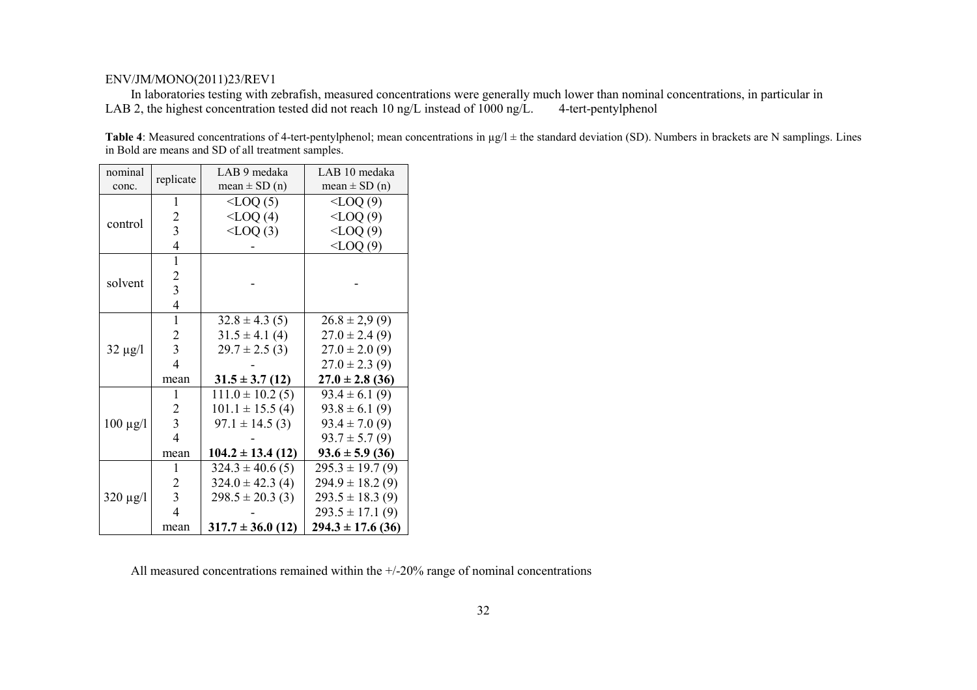In laboratories testing with zebrafish, measured concentrations were generally much lower than nominal concentrations, in particular in 3.2, the highest concentration tested did not reach 10 ng/L instead of 1000 ng/L. 4-te LAB 2, the highest concentration tested did not reach 10 ng/L instead of 1000 ng/L.

**Table 4**: Measured concentrations of 4-tert-pentylphenol; mean concentrations in  $\mu$ g/l  $\pm$  the standard deviation (SD). Numbers in brackets are N samplings. Lines in Bold are means and SD of all treatment samples.

|  | nominal<br>conc. | replicate               | LAB 9 medaka<br>mean $\pm$ SD (n) | LAB 10 medaka<br>mean $\pm$ SD (n) |
|--|------------------|-------------------------|-----------------------------------|------------------------------------|
|  |                  | 1                       | $\triangle$ LOQ $(5)$             | $<$ LOQ $(9)$                      |
|  |                  | 2                       | $<$ LOQ $(4)$                     | $<$ LOQ $(9)$                      |
|  | control          | $\overline{\mathbf{3}}$ | $\langle$ LOQ $(3)$               | $<$ LOQ $(9)$                      |
|  |                  | 4                       |                                   | $\langle$ LOQ $(9)$                |
|  |                  | 1                       |                                   |                                    |
|  |                  | 2                       |                                   |                                    |
|  | solvent          | $\overline{\mathbf{3}}$ |                                   |                                    |
|  |                  | 4                       |                                   |                                    |
|  |                  | 1                       | $32.8 \pm 4.3(5)$                 | $26.8 \pm 2.9(9)$                  |
|  | $32 \mu g/l$     | 2                       | $31.5 \pm 4.1(4)$                 | $27.0 \pm 2.4(9)$                  |
|  |                  | 3                       | $29.7 \pm 2.5$ (3)                | $27.0 \pm 2.0$ (9)                 |
|  |                  | 4                       |                                   | $27.0 \pm 2.3$ (9)                 |
|  |                  | mean                    | $31.5 \pm 3.7(12)$                | $27.0 \pm 2.8$ (36)                |
|  |                  | 1                       | $111.0 \pm 10.2$ (5)              | $93.4 \pm 6.1(9)$                  |
|  |                  | 2                       | $101.1 \pm 15.5$ (4)              | $93.8 \pm 6.1(9)$                  |
|  | $100 \mu g/l$    | $\overline{3}$          | $97.1 \pm 14.5$ (3)               | $93.4 \pm 7.0(9)$                  |
|  |                  | $\overline{4}$          |                                   | $93.7 \pm 5.7(9)$                  |
|  |                  | mean                    | $104.2 \pm 13.4(12)$              | $93.6 \pm 5.9$ (36)                |
|  |                  | 1                       | $324.3 \pm 40.6$ (5)              | $295.3 \pm 19.7(9)$                |
|  |                  | 2                       | $324.0 \pm 42.3$ (4)              | $294.9 \pm 18.2$ (9)               |
|  | $320 \mu g/l$    | $\overline{3}$          | $298.5 \pm 20.3$ (3)              | $293.5 \pm 18.3$ (9)               |
|  |                  | $\overline{4}$          |                                   | $293.5 \pm 17.1(9)$                |
|  |                  | mean                    | $317.7 \pm 36.0$ (12)             | $294.3 \pm 17.6$ (36)              |

All measured concentrations remained within the  $+/20%$  range of nominal concentrations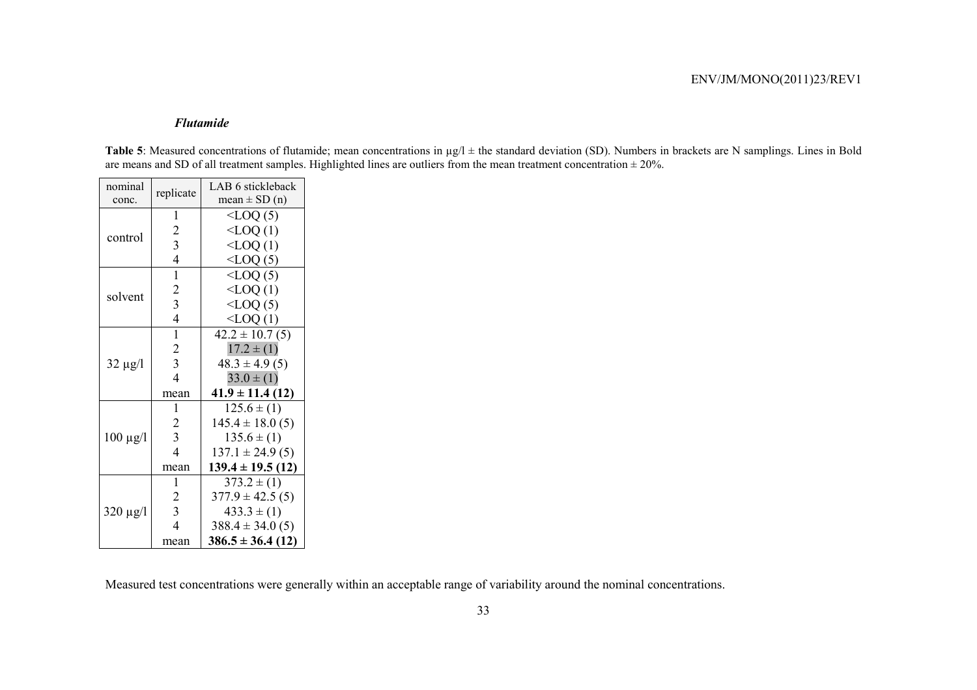#### *Flutamide*

**Table 5**: Measured concentrations of flutamide; mean concentrations in  $\mu$ g/l  $\pm$  the standard deviation (SD). Numbers in brackets are N samplings. Lines in Bold are means and SD of all treatment samples. Highlighted lines are outliers from the mean treatment concentration  $\pm 20\%$ .

| nominal       |                         | LAB 6 stickleback     |
|---------------|-------------------------|-----------------------|
| conc.         | replicate               | mean $\pm$ SD (n)     |
|               | 1                       | $\leq$ LOQ $(5)$      |
|               | $\overline{c}$          | $\triangle$ LOQ $(1)$ |
| control       | $\overline{\mathbf{3}}$ | $<$ LOQ $(1)$         |
|               | $\overline{4}$          | $<$ LOQ $(5)$         |
|               | 1                       | $<$ LOQ $(5)$         |
| solvent       | $\overline{c}$          | $\leq$ LOQ $(1)$      |
|               | 3                       | $<$ LOQ $(5)$         |
|               | $\overline{4}$          | $\leq$ LOQ $(1)$      |
|               | $\mathbf{1}$            | $42.2 \pm 10.7(5)$    |
|               | $\overline{2}$          | $17.2 \pm (1)$        |
| $32 \mu g/l$  | 3                       | $48.3 \pm 4.9(5)$     |
|               | $\overline{4}$          | $33.0 \pm (1)$        |
|               | mean                    | $41.9 \pm 11.4(12)$   |
|               | 1                       | $125.6 \pm (1)$       |
|               | 2                       | $145.4 \pm 18.0(5)$   |
| $100 \mu g/l$ | $\overline{3}$          | $135.6 \pm (1)$       |
|               | $\overline{4}$          | $137.1 \pm 24.9(5)$   |
|               | mean                    | $139.4 \pm 19.5$ (12) |
|               | 1                       | $373.2 \pm (1)$       |
|               | 2                       | $377.9 \pm 42.5(5)$   |
| $320 \mu g/l$ | $\mathfrak{Z}$          | $433.3 \pm (1)$       |
|               | $\overline{4}$          | $388.4 \pm 34.0(5)$   |
|               | mean                    | $386.5 \pm 36.4(12)$  |

Measured test concentrations were generally within an acceptable range of variability around the nominal concentrations.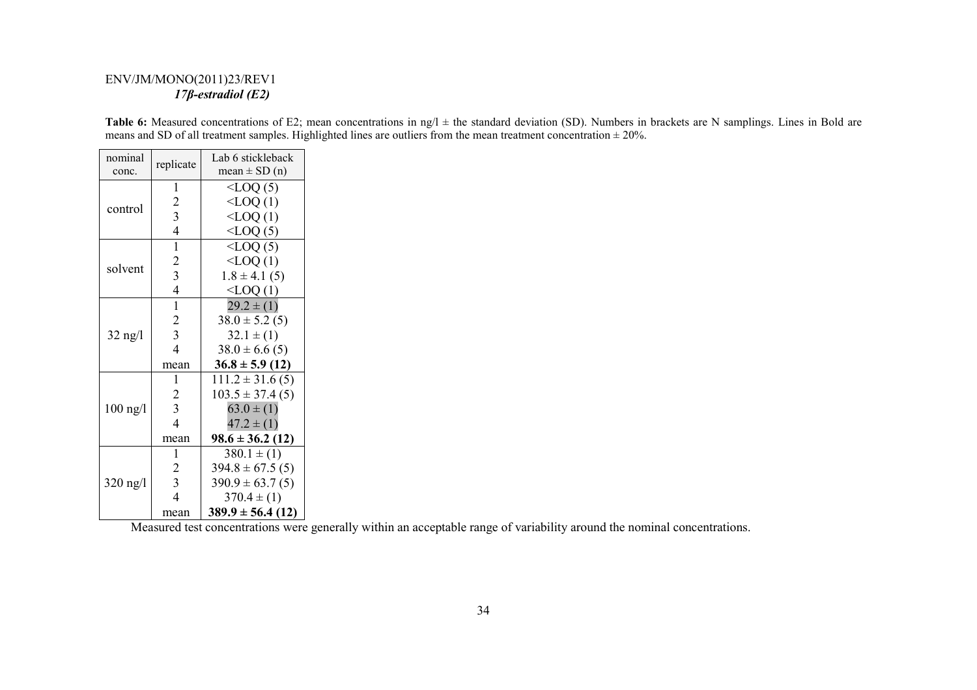# ENV/JM/MONO(2011)23/REV1  *17β-estradiol (E2)*

**Table 6:** Measured concentrations of E2; mean concentrations in ng/l  $\pm$  the standard deviation (SD). Numbers in brackets are N samplings. Lines in Bold are means and SD of all treatment samples. Highlighted lines are outliers from the mean treatment concentration  $\pm 20\%$ .

| nominal    | replicate      | Lab 6 stickleback     |
|------------|----------------|-----------------------|
| conc.      |                | $mean \pm SD(n)$      |
|            | 1              | $\leq$ LOQ $(5)$      |
| control    | 2              | $\leq$ LOQ $(1)$      |
|            | 3              | $<$ LOQ $(1)$         |
|            | $\overline{4}$ | $\text{CLOQ (5)}$     |
|            | 1              | $\triangle$ LOQ $(5)$ |
| solvent    | $\overline{2}$ | $\leq$ LOQ $(1)$      |
|            | 3              | $1.8 \pm 4.1$ (5)     |
|            | $\overline{4}$ | $\leq$ LOQ $(1)$      |
|            | 1              | $29.2 \pm (1)$        |
|            | $\overline{2}$ | $38.0 \pm 5.2(5)$     |
| $32$ ng/l  | 3              | $32.1 \pm (1)$        |
|            | $\overline{4}$ | $38.0 \pm 6.6$ (5)    |
|            | mean           | $36.8 \pm 5.9$ (12)   |
|            | 1              | $111.2 \pm 31.6(5)$   |
|            | 2              | $103.5 \pm 37.4(5)$   |
| $100$ ng/l | $\overline{3}$ | $63.0 \pm (1)$        |
|            | $\overline{4}$ | $47.2 \pm (1)$        |
|            | mean           | $98.6 \pm 36.2$ (12)  |
|            | 1              | $380.1 \pm (1)$       |
|            | $\overline{2}$ | $394.8 \pm 67.5(5)$   |
| 320 ng/l   | 3              | $390.9 \pm 63.7(5)$   |
|            | $\overline{A}$ | $370.4 \pm (1)$       |
|            | mean           | $389.9 \pm 56.4(12)$  |

Measured test concentrations were generally within an acceptable range of variability around the nominal concentrations.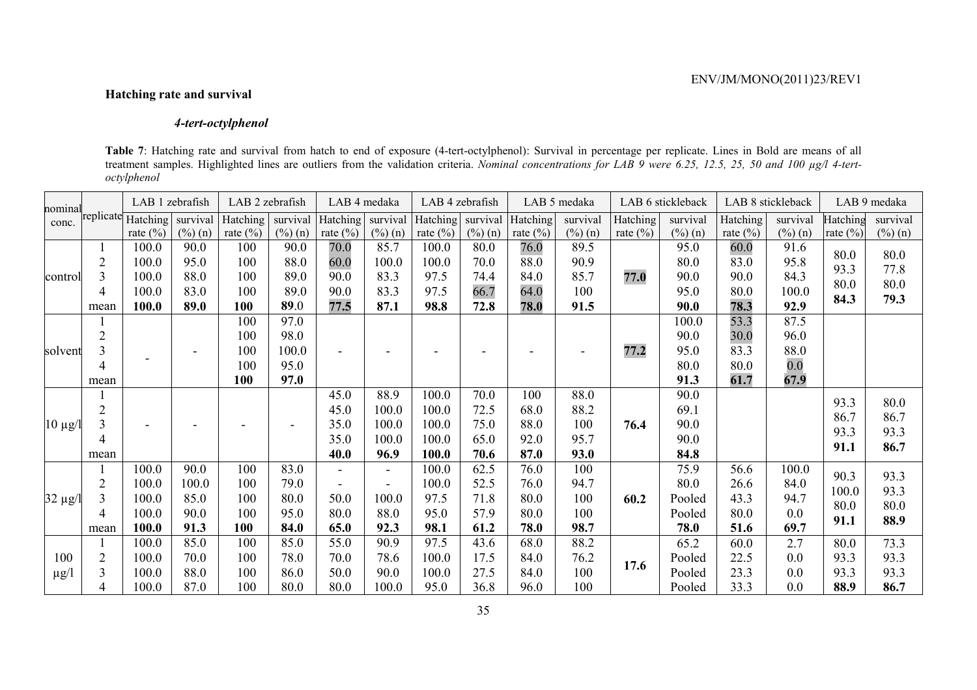# **Hatching rate and survival**

# *4-tert-octylphenol*

**Table 7**: Hatching rate and survival from hatch to end of exposure (4-tert-octylphenol): Survival in percentage per replicate. Lines in Bold are means of all treatment samples. Highlighted lines are outliers from the validation criteria. *Nominal concentrations for LAB 9 were 6.25, 12.5, 25, 50 and 100 µg/l 4-tertoctylphenol*

| nominal      |                | LAB 1 zebrafish    |                    | LAB 2 zebrafish |                    | LAB 4 medaka   |                     | LAB 4 zebrafish |                    |              | LAB 5 medaka |              | LAB 6 stickleback   |              | LAB 8 stickleback |              | LAB 9 medaka |
|--------------|----------------|--------------------|--------------------|-----------------|--------------------|----------------|---------------------|-----------------|--------------------|--------------|--------------|--------------|---------------------|--------------|-------------------|--------------|--------------|
| conc.        |                | replicate Hatching | survival           | Hatching        | survival           | Hatching       | survival            | Hatching        | survival           | Hatching     | survival     | Hatching     | survival            | Hatching     | survival          | Hatching     | survival     |
|              |                | rate $(\% )$       | $(\frac{0}{0})(n)$ | rate $(\% )$    | $(\frac{0}{0})(n)$ | rate $(\% )$   | $(\frac{6}{6})$ (n) | rate $(\% )$    | $(\frac{0}{0})(n)$ | rate $(\% )$ | $(\%)(n)$    | rate $(\% )$ | $(\frac{6}{6})$ (n) | rate $(\% )$ | $(\%)(n)$         | rate $(\% )$ | $(\%)$ (n)   |
| control      |                | 100.0              | 90.0               | 100             | 90.0               | 70.0           | 85.7                | 100.0           | 80.0               | 76.0         | 89.5         |              | 95.0                | 60.0         | 91.6              | 80.0         | 80.0         |
|              |                | 100.0              | 95.0               | 100             | 88.0               | 60.0           | 100.0               | 100.0           | 70.0               | 88.0         | 90.9         |              | 80.0                | 83.0         | 95.8              | 93.3         | 77.8         |
|              |                | 100.0              | 88.0               | 100             | 89.0               | 90.0           | 83.3                | 97.5            | 74.4               | 84.0         | 85.7         | 77.0         | 90.0                | 90.0         | 84.3              | 80.0         | 80.0         |
|              | 4              | 100.0              | 83.0               | 100             | 89.0               | 90.0           | 83.3                | 97.5            | 66.7               | 64.0         | 100          |              | 95.0                | 80.0         | 100.0             | 84.3         | 79.3         |
|              | mean           | 100.0              | 89.0               | 100             | 89.0               | 77.5           | 87.1                | 98.8            | 72.8               | 78.0         | 91.5         |              | <b>90.0</b>         | 78.3         | 92.9              |              |              |
|              |                |                    |                    | 100             | 97.0               |                |                     |                 |                    |              |              |              | 100.0               | 53.3         | 87.5              |              |              |
|              | $\overline{2}$ |                    |                    | 100             | 98.0               |                |                     |                 |                    |              |              |              | 90.0                | 30.0         | 96.0              |              |              |
| solvent      | 3              |                    |                    | 100             | 100.0              |                |                     |                 |                    |              |              | 77.2         | 95.0                | 83.3         | 88.0              |              |              |
|              | 4              |                    |                    | 100             | 95.0               |                |                     |                 |                    |              |              |              | 80.0                | 80.0         | 0.0               |              |              |
|              | mean           |                    |                    | 100             | 97.0               |                |                     |                 |                    |              |              |              | 91.3                | 61.7         | 67.9              |              |              |
|              |                |                    |                    |                 |                    | 45.0           | 88.9                | 100.0           | 70.0               | 100          | 88.0         |              | 90.0                |              |                   |              |              |
|              | $\overline{2}$ |                    |                    |                 |                    | 45.0           | 100.0               | 100.0           | 72.5               | 68.0         | 88.2         |              | 69.1                |              |                   | 93.3         | 80.0         |
| $ 10 \mu g $ |                |                    |                    |                 |                    | 35.0           | 100.0               | 100.0           | 75.0               | 88.0         | 100          | 76.4         | 90.0                |              |                   | 86.7         | 86.7         |
|              | 4              |                    |                    |                 |                    | 35.0           | 100.0               | 100.0           | 65.0               | 92.0         | 95.7         |              | 90.0                |              |                   | 93.3         | 93.3         |
|              | mean           |                    |                    |                 |                    | 40.0           | 96.9                | 100.0           | 70.6               | 87.0         | 93.0         |              | 84.8                |              |                   | 91.1         | 86.7         |
|              |                | 100.0              | 90.0               | 100             | 83.0               | $\overline{a}$ | $\sim$              | 100.0           | 62.5               | 76.0         | 100          |              | 75.9                | 56.6         | 100.0             |              |              |
|              | 2              | 100.0              | 100.0              | 100             | 79.0               |                |                     | 100.0           | 52.5               | 76.0         | 94.7         |              | 80.0                | 26.6         | 84.0              | 90.3         | 93.3         |
| $32 \mu g$   |                | 100.0              | 85.0               | 100             | 80.0               | 50.0           | 100.0               | 97.5            | 71.8               | 80.0         | 100          | 60.2         | Pooled              | 43.3         | 94.7              | 100.0        | 93.3         |
|              | 4              | 100.0              | 90.0               | 100             | 95.0               | 80.0           | 88.0                | 95.0            | 57.9               | 80.0         | 100          |              | Pooled              | 80.0         | 0.0               | 80.0         | 80.0         |
|              | mean           | 100.0              | 91.3               | 100             | 84.0               | 65.0           | 92.3                | 98.1            | 61.2               | 78.0         | 98.7         |              | 78.0                | 51.6         | 69.7              | 91.1         | 88.9         |
|              |                | 100.0              | 85.0               | 100             | 85.0               | 55.0           | 90.9                | 97.5            | 43.6               | 68.0         | 88.2         |              | 65.2                | 60.0         | 2.7               | 80.0         | 73.3         |
| 100          |                | 100.0              | 70.0               | 100             | 78.0               | 70.0           | 78.6                | 100.0           | 17.5               | 84.0         | 76.2         |              | Pooled              | 22.5         | 0.0               | 93.3         | 93.3         |
| $\mu$ g/l    |                | 100.0              | 88.0               | 100             | 86.0               | 50.0           | 90.0                | 100.0           | 27.5               | 84.0         | 100          | 17.6         | Pooled              | 23.3         | 0.0               | 93.3         | 93.3         |
|              |                | 100.0              | 87.0               | 100             | 80.0               | 80.0           | 100.0               | 95.0            | 36.8               | 96.0         | 100          |              | Pooled              | 33.3         | 0.0               | 88.9         | 86.7         |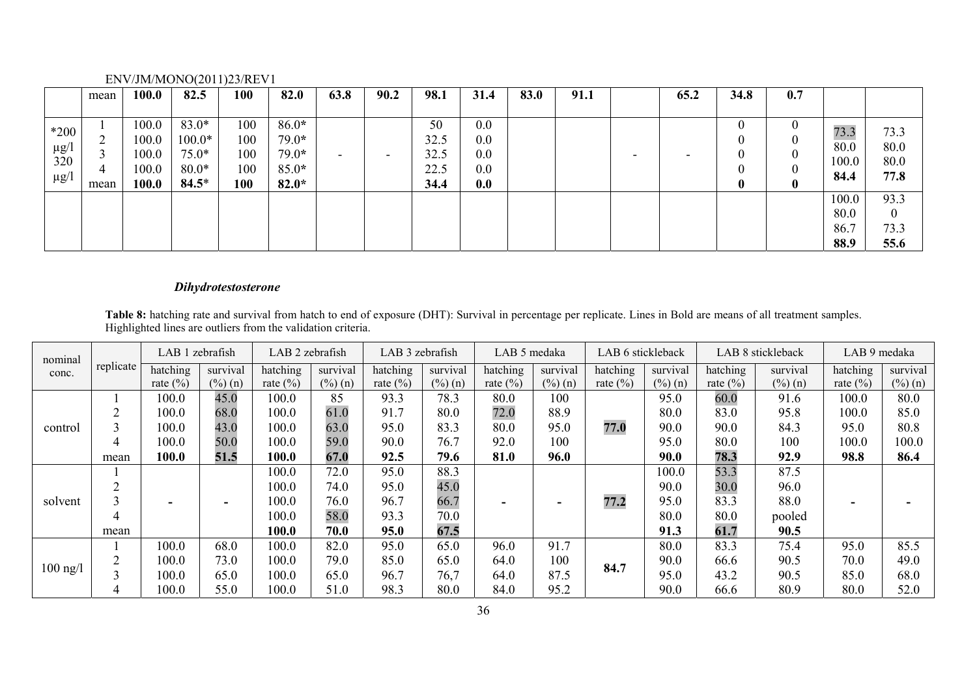|           | mean | 100.0 | 82.5     | 100 | 82.0    | 63.8                     | 90.2                     | 98.1 | 31.4 | 83.0 | 91.1 |                          | 65.2 | 34.8 | 0.7 |       |                |
|-----------|------|-------|----------|-----|---------|--------------------------|--------------------------|------|------|------|------|--------------------------|------|------|-----|-------|----------------|
|           |      |       |          |     |         |                          |                          |      |      |      |      |                          |      |      |     |       |                |
| $*200$    |      | 100.0 | $83.0*$  | 100 | $86.0*$ |                          |                          | 50   | 0.0  |      |      |                          |      |      |     | 73.3  | 73.3           |
|           |      | 100.0 | $100.0*$ | 100 | $79.0*$ |                          |                          | 32.5 | 0.0  |      |      |                          |      |      |     | 80.0  |                |
| $\mu$ g/l |      | 100.0 | $75.0*$  | 100 | $79.0*$ | $\overline{\phantom{0}}$ | $\overline{\phantom{0}}$ | 32.5 | 0.0  |      |      | $\overline{\phantom{0}}$ |      |      |     |       | 80.0           |
| 320       |      | 100.0 | $80.0*$  | 100 | $85.0*$ |                          |                          | 22.5 | 0.0  |      |      |                          |      |      |     | 100.0 | 80.0           |
| $\mu$ g/l | mean | 100.0 | $84.5*$  | 100 | $82.0*$ |                          |                          | 34.4 | 0.0  |      |      |                          |      | 0    |     | 84.4  | 77.8           |
|           |      |       |          |     |         |                          |                          |      |      |      |      |                          |      |      |     | 100.0 | 93.3           |
|           |      |       |          |     |         |                          |                          |      |      |      |      |                          |      |      |     | 80.0  | $\overline{0}$ |
|           |      |       |          |     |         |                          |                          |      |      |      |      |                          |      |      |     | 86.7  | 73.3           |
|           |      |       |          |     |         |                          |                          |      |      |      |      |                          |      |      |     | 88.9  | 55.6           |

# *Dihydrotestosterone*

**Table 8:** hatching rate and survival from hatch to end of exposure (DHT): Survival in percentage per replicate. Lines in Bold are means of all treatment samples. Highlighted lines are outliers from the validation criteria.

| nominal<br>conc. |           |              | LAB 1 zebrafish |              | LAB 2 zebrafish     |              | LAB 3 zebrafish     |              | LAB 5 medaka        | LAB 6 stickleback |                     | LAB 8 stickleback |                     | LAB 9 medaka |            |
|------------------|-----------|--------------|-----------------|--------------|---------------------|--------------|---------------------|--------------|---------------------|-------------------|---------------------|-------------------|---------------------|--------------|------------|
|                  | replicate | hatching     | survival        | hatching     | survival            | hatching     | survival            | hatching     | survival            | hatching          | survival            | hatching          | survival            | hatching     | survival   |
|                  |           | rate $(\% )$ | $(\%)$ (n)      | rate $(\% )$ | $(\frac{6}{6})$ (n) | rate $(\% )$ | $(\frac{6}{6})$ (n) | rate $(\% )$ | $(\frac{6}{6})$ (n) | rate $(\% )$      | $(\frac{6}{6})$ (n) | rate $(\% )$      | $(\frac{9}{6})$ (n) | rate $(\% )$ | $(\%)$ (n) |
|                  |           | 100.0        | 45.0            | 100.0        | 85                  | 93.3         | 78.3                | 80.0         | 100                 |                   | 95.0                | 60.0              | 91.6                | 100.0        | 80.0       |
|                  |           | 100.0        | 68.0            | 100.0        | 61.0                | 91.7         | 80.0                | 72.0         | 88.9                |                   | 80.0                | 83.0              | 95.8                | 100.0        | 85.0       |
| control          |           | 100.0        | 43.0            | 100.0        | 63.0                | 95.0         | 83.3                | 80.0         | 95.0                | 77.0              | 90.0                | 90.0              | 84.3                | 95.0         | 80.8       |
|                  |           | 100.0        | 50.0            | 100.0        | 59.0                | 90.0         | 76.7                | 92.0         | 100                 |                   | 95.0                | 80.0              | 100                 | 100.0        | 100.0      |
|                  | mean      | 100.0        | 51.5            | 100.0        | 67.0                | 92.5         | 79.6                | 81.0         | 96.0                |                   | 90.0                | 78.3              | 92.9                | 98.8         | 86.4       |
|                  |           |              |                 | 100.0        | 72.0                | 95.0         | 88.3                |              |                     |                   | 100.0               | 53.3              | 87.5                |              |            |
|                  |           |              |                 | 100.0        | 74.0                | 95.0         | 45.0                |              |                     |                   | 90.0                | 30.0              | 96.0                |              |            |
| solvent          |           | ۰            |                 | 100.0        | 76.0                | 96.7         | 66.7                |              |                     | 77.2              | 95.0                | 83.3              | 88.0                |              |            |
|                  |           |              |                 | 100.0        | 58.0                | 93.3         | 70.0                |              |                     |                   | 80.0                | 80.0              | pooled              |              |            |
|                  | mean      |              |                 | 100.0        | 70.0                | 95.0         | 67.5                |              |                     |                   | 91.3                | 61.7              | 90.5                |              |            |
|                  |           | 100.0        | 68.0            | 100.0        | 82.0                | 95.0         | 65.0                | 96.0         | 91.7                |                   | 80.0                | 83.3              | 75.4                | 95.0         | 85.5       |
|                  |           | 100.0        | 73.0            | 100.0        | 79.0                | 85.0         | 65.0                | 64.0         | 100                 |                   | 90.0                | 66.6              | 90.5                | 70.0         | 49.0       |
| $100$ ng/l       |           | 100.0        | 65.0            | 100.0        | 65.0                | 96.7         | 76,7                | 64.0         | 87.5                | 84.7              | 95.0                | 43.2              | 90.5                | 85.0         | 68.0       |
|                  |           | 100.0        | 55.0            | 100.0        | 51.0                | 98.3         | 80.0                | 84.0         | 95.2                |                   | 90.0                | 66.6              | 80.9                | 80.0         | 52.0       |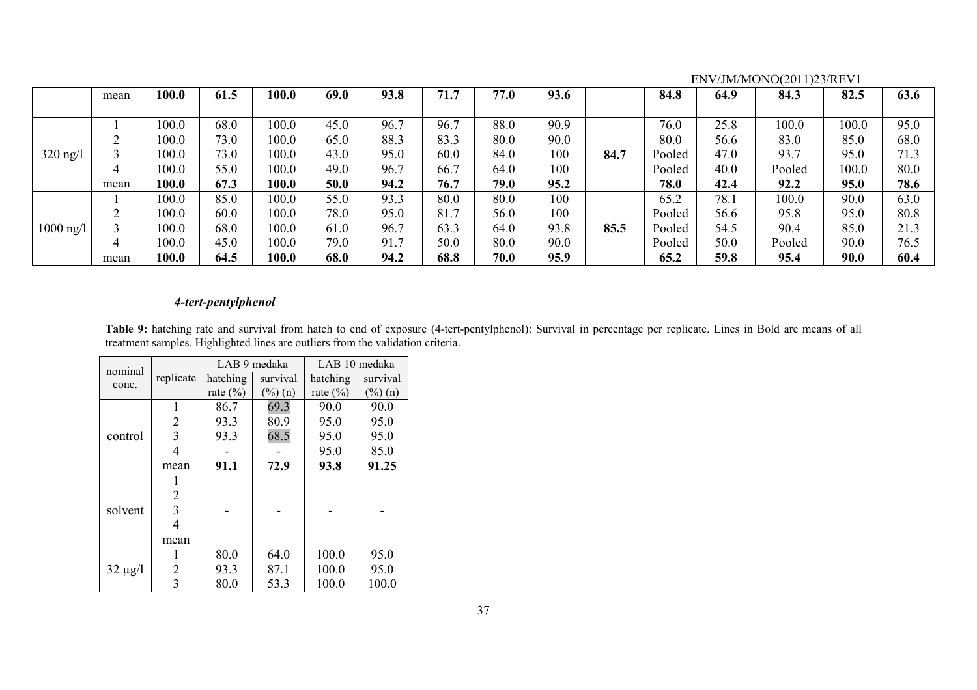|                     |      |       |      |       |      |      |      |      |      |      |        |      | $L_1 \mathbf{v}$ / $J_2 \mathbf{v}$ / $I_3 \mathbf{v}$ / $I_4 \mathbf{v}$ / $I_5 \mathbf{v}$ / $I_6 \mathbf{v}$ / $I_7 \mathbf{v}$ |       |      |
|---------------------|------|-------|------|-------|------|------|------|------|------|------|--------|------|------------------------------------------------------------------------------------------------------------------------------------|-------|------|
|                     | mean | 100.0 | 61.5 | 100.0 | 69.0 | 93.8 | 71.7 | 77.0 | 93.6 |      | 84.8   | 64.9 | 84.3                                                                                                                               | 82.5  | 63.6 |
|                     |      |       |      |       |      |      |      |      |      |      |        |      |                                                                                                                                    |       |      |
|                     |      | 100.0 | 68.0 | 100.0 | 45.0 | 96.7 | 96.7 | 88.0 | 90.9 |      | 76.0   | 25.8 | 100.0                                                                                                                              | 100.0 | 95.0 |
|                     |      | 100.0 | 73.0 | 100.0 | 65.0 | 88.3 | 83.3 | 80.0 | 90.0 |      | 80.0   | 56.6 | 83.0                                                                                                                               | 85.0  | 68.0 |
| $320$ ng/l          |      | 100.0 | 73.0 | 100.0 | 43.0 | 95.0 | 60.0 | 84.0 | 100  | 84.7 | Pooled | 47.0 | 93.7                                                                                                                               | 95.0  | 71.3 |
|                     | 4    | 100.0 | 55.0 | 100.0 | 49.0 | 96.7 | 66.7 | 64.0 | 100  |      | Pooled | 40.0 | Pooled                                                                                                                             | 100.0 | 80.0 |
|                     | mean | 100.0 | 67.3 | 100.0 | 50.0 | 94.2 | 76.7 | 79.0 | 95.2 |      | 78.0   | 42.4 | 92.2                                                                                                                               | 95.0  | 78.6 |
|                     |      | 100.0 | 85.0 | 100.0 | 55.0 | 93.3 | 80.0 | 80.0 | 100  |      | 65.2   | 78.1 | 100.0                                                                                                                              | 90.0  | 63.0 |
|                     | ◠    | 100.0 | 60.0 | 100.0 | 78.0 | 95.0 | 81.7 | 56.0 | 100  |      | Pooled | 56.6 | 95.8                                                                                                                               | 95.0  | 80.8 |
| $1000 \text{ ng}/1$ |      | 100.0 | 68.0 | 100.0 | 61.0 | 96.7 | 63.3 | 64.0 | 93.8 | 85.5 | Pooled | 54.5 | 90.4                                                                                                                               | 85.0  | 21.3 |
|                     |      | 100.0 | 45.0 | 100.0 | 79.0 | 91.7 | 50.0 | 80.0 | 90.0 |      | Pooled | 50.0 | Pooled                                                                                                                             | 90.0  | 76.5 |
|                     | mean | 100.0 | 64.5 | 100.0 | 68.0 | 94.2 | 68.8 | 70.0 | 95.9 |      | 65.2   | 59.8 | 95.4                                                                                                                               | 90.0  | 60.4 |

## *4-tert-pentylphenol*

Table 9: hatching rate and survival from hatch to end of exposure (4-tert-pentylphenol): Survival in percentage per replicate. Lines in Bold are means of all treatment samples. Highlighted lines are outliers from the validation criteria.

| nominal      |           |              | LAB 9 medaka | LAB 10 medaka |           |  |
|--------------|-----------|--------------|--------------|---------------|-----------|--|
| conc.        | replicate | hatching     | survival     | hatching      | survival  |  |
|              |           | rate $(\% )$ | $(\%)(n)$    | rate $(\% )$  | $(\%)(n)$ |  |
|              | 1         | 86.7         | 69.3         | 90.0          | 90.0      |  |
|              | 2         | 93.3         | 80.9         | 95.0          | 95.0      |  |
| control      | 3         | 93.3         | 68.5         | 95.0          | 95.0      |  |
|              | 4         |              |              | 95.0          | 85.0      |  |
|              | mean      | 91.1         | 72.9         | 93.8          | 91.25     |  |
|              | 1         |              |              |               |           |  |
|              | 2         |              |              |               |           |  |
| solvent      | 3         |              |              |               |           |  |
|              | 4         |              |              |               |           |  |
|              | mean      |              |              |               |           |  |
|              |           | 80.0         | 64.0         | 100.0         | 95.0      |  |
| $32 \mu g/l$ | 2         | 93.3         | 87.1         | 100.0         | 95.0      |  |
|              | 3         | 80.0         | 53.3         | 100.0         | 100.0     |  |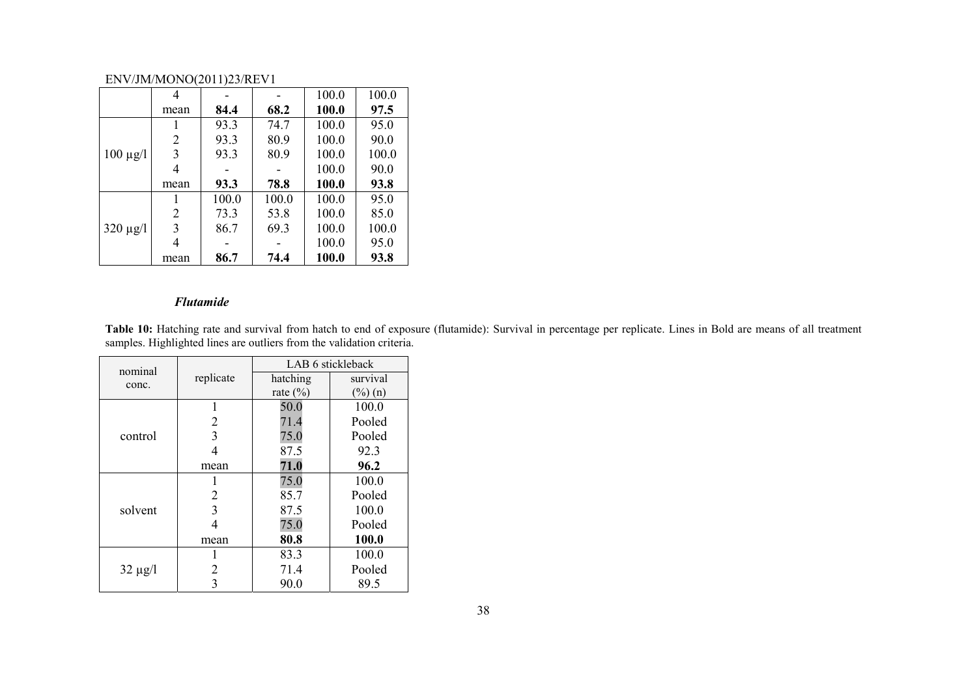|               | 4    |       |       | 100.0 | 100.0 |
|---------------|------|-------|-------|-------|-------|
|               | mean | 84.4  | 68.2  | 100.0 | 97.5  |
|               |      | 93.3  | 74.7  | 100.0 | 95.0  |
|               | 2    | 93.3  | 80.9  | 100.0 | 90.0  |
| $100 \mu g/l$ | 3    | 93.3  | 80.9  | 100.0 | 100.0 |
|               |      |       |       | 100.0 | 90.0  |
|               |      |       |       |       |       |
|               | mean | 93.3  | 78.8  | 100.0 | 93.8  |
|               |      | 100.0 | 100.0 | 100.0 | 95.0  |
|               | 2    | 73.3  | 53.8  | 100.0 | 85.0  |
| $320 \mu g/l$ | 3    | 86.7  | 69.3  | 100.0 | 100.0 |
|               | 4    |       |       | 100.0 | 95.0  |

#### *Flutamide*

**Table 10:** Hatching rate and survival from hatch to end of exposure (flutamide): Survival in percentage per replicate. Lines in Bold are means of all treatment samples. Highlighted lines are outliers from the validation criteria.

| nominal      |           |              | LAB 6 stickleback |  |
|--------------|-----------|--------------|-------------------|--|
| conc.        | replicate | hatching     | survival          |  |
|              |           | rate $(\% )$ | $(\%)$ (n)        |  |
|              |           | 50.0         | 100.0             |  |
|              | 2         | 71.4         | Pooled            |  |
| control      | 3         | 75.0         | Pooled            |  |
|              | 4         | 87.5         | 92.3              |  |
|              | mean      | 71.0         | 96.2              |  |
|              |           | 75.0         | 100.0             |  |
|              | 2         | 85.7         | Pooled            |  |
| solvent      | 3         | 87.5         | 100.0             |  |
|              | 4         | 75.0         | Pooled            |  |
|              | mean      | 80.8         | 100.0             |  |
|              |           | 83.3         | 100.0             |  |
| $32 \mu g/l$ | 2         | 71.4         | Pooled            |  |
|              | 3         | 90.0         | 89.5              |  |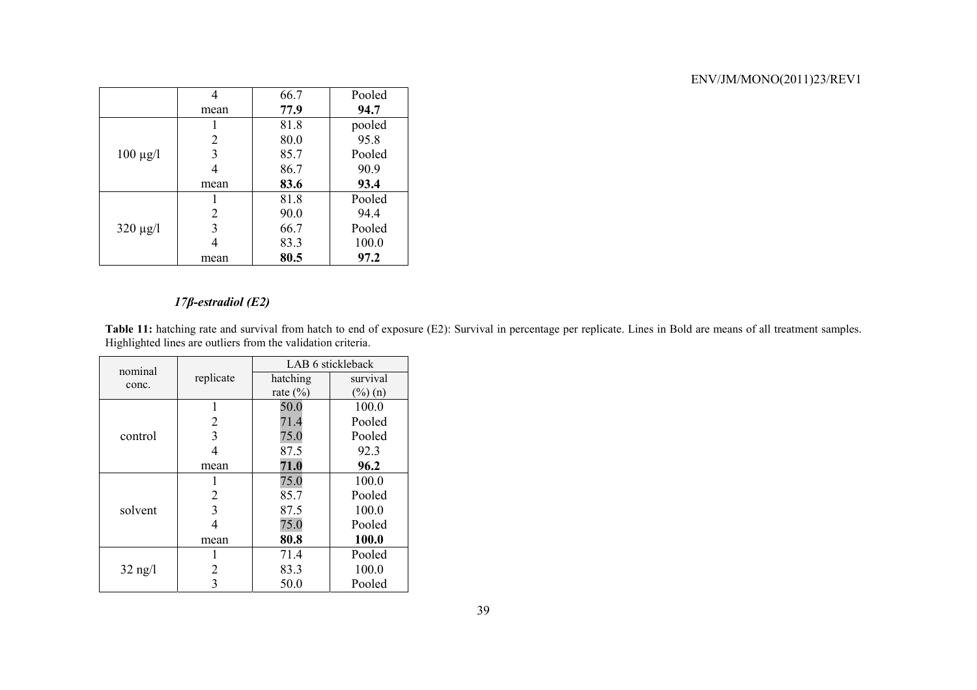|               |      | 66.7 | Pooled |
|---------------|------|------|--------|
|               | mean | 77.9 | 94.7   |
|               |      | 81.8 | pooled |
|               | 2    | 80.0 | 95.8   |
| $100 \mu g/l$ | 3    | 85.7 | Pooled |
|               |      | 86.7 | 90.9   |
|               | mean | 83.6 | 93.4   |
|               |      | 81.8 | Pooled |
|               | 2    | 90.0 | 94.4   |
| $320 \mu g/l$ | 3    | 66.7 | Pooled |
|               |      | 83.3 | 100.0  |
|               | mean | 80.5 | 97.2   |

## *17β-estradiol (E2)*

Table 11: hatching rate and survival from hatch to end of exposure (E2): Survival in percentage per replicate. Lines in Bold are means of all treatment samples. Highlighted lines are outliers from the validation criteria.

| nominal   |           |                                                                                                                                                                                                                                                               |          |
|-----------|-----------|---------------------------------------------------------------------------------------------------------------------------------------------------------------------------------------------------------------------------------------------------------------|----------|
| conc.     | replicate | hatching                                                                                                                                                                                                                                                      | survival |
|           |           | LAB 6 stickleback<br>rate $(\% )$<br>$(\%)(n)$<br>100.0<br>50.0<br>Pooled<br>71.4<br>75.0<br>Pooled<br>87.5<br>92.3<br>71.0<br>96.2<br>100.0<br>75.0<br>Pooled<br>85.7<br>100.0<br>87.5<br>75.0<br>Pooled<br>100.0<br>80.8<br>71.4<br>Pooled<br>83.3<br>100.0 |          |
|           | L         |                                                                                                                                                                                                                                                               |          |
|           | 2         |                                                                                                                                                                                                                                                               |          |
| control   | 3         |                                                                                                                                                                                                                                                               |          |
|           | 4         |                                                                                                                                                                                                                                                               |          |
|           | mean      |                                                                                                                                                                                                                                                               |          |
|           |           |                                                                                                                                                                                                                                                               |          |
|           | 2         |                                                                                                                                                                                                                                                               |          |
| solvent   | 3         |                                                                                                                                                                                                                                                               |          |
|           | 4         |                                                                                                                                                                                                                                                               |          |
|           | mean      |                                                                                                                                                                                                                                                               |          |
|           |           |                                                                                                                                                                                                                                                               |          |
| $32$ ng/l | 2         |                                                                                                                                                                                                                                                               |          |
|           | 3         | 50.0                                                                                                                                                                                                                                                          | Pooled   |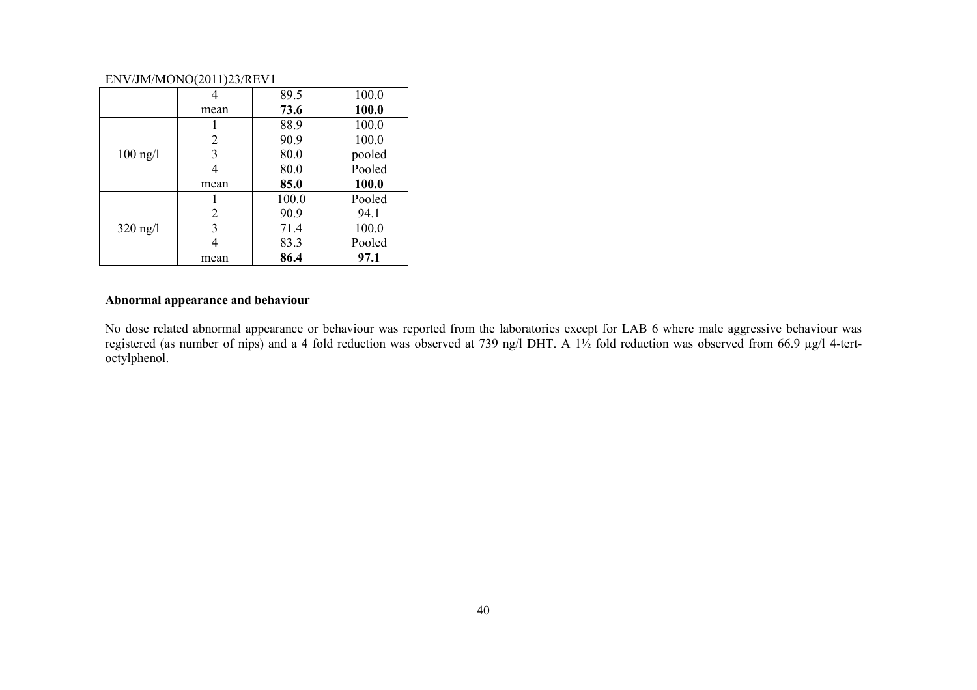|            | 4    | 89.5  | 100.0  |
|------------|------|-------|--------|
|            | mean | 73.6  | 100.0  |
|            |      | 88.9  | 100.0  |
|            | 2    | 90.9  | 100.0  |
| $100$ ng/l | 3    | 80.0  | pooled |
|            |      | 80.0  | Pooled |
|            | mean | 85.0  | 100.0  |
|            |      | 100.0 | Pooled |
|            | 2    | 90.9  | 94.1   |
| $320$ ng/l | 3    | 71.4  | 100.0  |
|            |      | 83.3  | Pooled |
|            | mean | 86.4  | 97.1   |

## **Abnormal appearance and behaviour**

No dose related abnormal appearance or behaviour was reported from the laboratories except for LAB 6 where male aggressive behaviour was registered (as number of nips) and a 4 fold reduction was observed at 739 ng/l DHT. A 1½ fold reduction was observed from 66.9 µg/l 4-tertoctylphenol.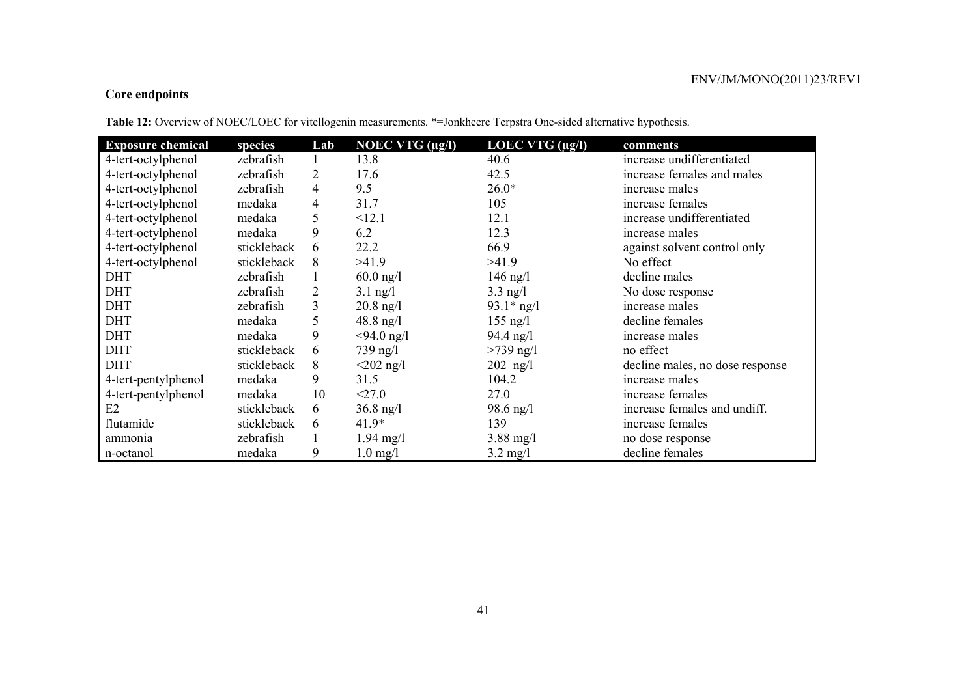## **Core endpoints**

**Table 12:** Overview of NOEC/LOEC for vitellogenin measurements. \*=Jonkheere Terpstra One-sided alternative hypothesis.

| <b>Exposure chemical</b> | species     | Lab            | <b>NOEC VTG</b> $(\mu g/I)$ | LOEC VTG $(\mu g/I)$ | comments                        |
|--------------------------|-------------|----------------|-----------------------------|----------------------|---------------------------------|
| 4-tert-octylphenol       | zebrafish   |                | 13.8                        | 40.6                 | increase undifferentiated       |
| 4-tert-octylphenol       | zebrafish   | $\overline{2}$ | 17.6                        | 42.5                 | increase females and males      |
| 4-tert-octylphenol       | zebrafish   | $\overline{4}$ | 9.5                         | $26.0*$              | increase males                  |
| 4-tert-octylphenol       | medaka      | 4              | 31.7                        | 105                  | increase females                |
| 4-tert-octylphenol       | medaka      | 5              | <12.1                       | 12.1                 | increase undifferentiated       |
| 4-tert-octylphenol       | medaka      | 9              | 6.2                         | 12.3                 | increase males                  |
| 4-tert-octylphenol       | stickleback | 6              | 22.2                        | 66.9                 | against solvent control only    |
| 4-tert-octylphenol       | stickleback | 8              | >41.9                       | >41.9                | No effect                       |
| <b>DHT</b>               | zebrafish   |                | $60.0$ ng/l                 | $146$ ng/l           | decline males                   |
| <b>DHT</b>               | zebrafish   | $\overline{2}$ | $3.1$ ng/l                  | $3.3$ ng/l           | No dose response                |
| <b>DHT</b>               | zebrafish   | 3              | $20.8$ ng/l                 | $93.1*$ ng/l         | increase males                  |
| <b>DHT</b>               | medaka      | 5              | $48.8$ ng/l                 | $155$ ng/l           | decline females                 |
| <b>DHT</b>               | medaka      | 9              | $<$ 94.0 ng/l               | $94.4$ ng/l          | increase males                  |
| <b>DHT</b>               | stickleback | 6              | 739 ng/l                    | $>739$ ng/l          | no effect                       |
| <b>DHT</b>               | stickleback | 8              | $<$ 202 ng/l                | $202$ ng/l           | decline males, no dose response |
| 4-tert-pentylphenol      | medaka      | 9              | 31.5                        | 104.2                | increase males                  |
| 4-tert-pentylphenol      | medaka      | 10             | < 27.0                      | 27.0                 | increase females                |
| E2                       | stickleback | 6              | $36.8 \text{ ng}/1$         | 98.6 ng/l            | increase females and undiff.    |
| flutamide                | stickleback | 6              | $41.9*$                     | 139                  | increase females                |
| ammonia                  | zebrafish   |                | $1.94 \text{ mg}/l$         | $3.88 \text{ mg}/1$  | no dose response                |
| n-octanol                | medaka      | 9              | $1.0$ mg/l                  | $3.2 \text{ mg/l}$   | decline females                 |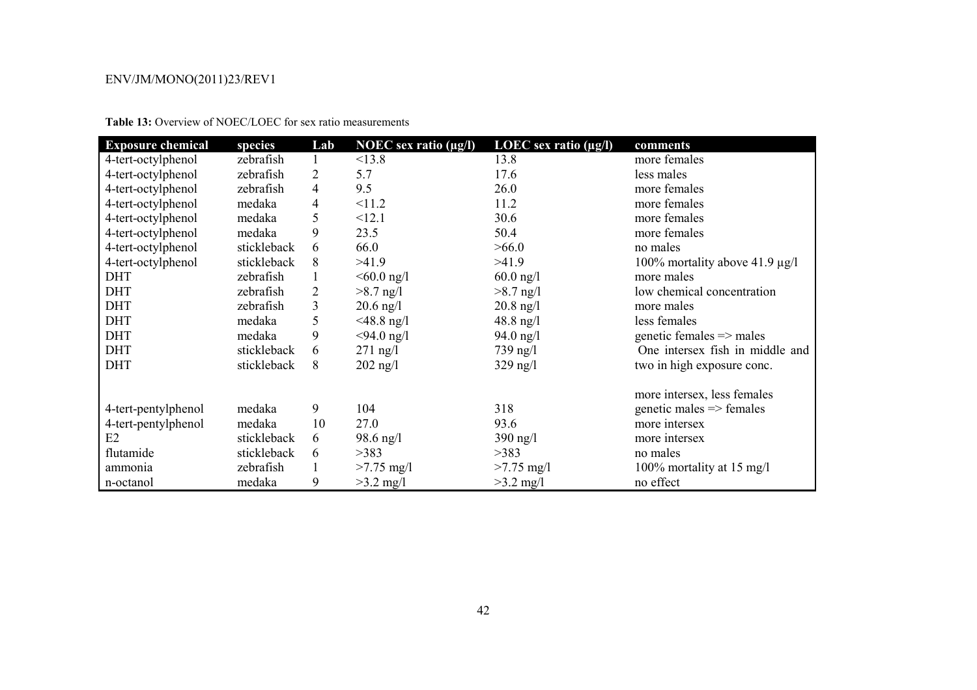| <b>Exposure chemical</b> | species     | Lab            | <b>NOEC</b> sex ratio $(\mu g/I)$ | LOEC sex ratio $(\mu g/I)$ | comments                            |
|--------------------------|-------------|----------------|-----------------------------------|----------------------------|-------------------------------------|
| 4-tert-octylphenol       | zebrafish   | 1              | <13.8                             | 13.8                       | more females                        |
| 4-tert-octylphenol       | zebrafish   | $\overline{2}$ | 5.7                               | 17.6                       | less males                          |
| 4-tert-octylphenol       | zebrafish   | $\overline{4}$ | 9.5                               | 26.0                       | more females                        |
| 4-tert-octylphenol       | medaka      | $\overline{4}$ | <11.2                             | 11.2                       | more females                        |
| 4-tert-octylphenol       | medaka      | 5              | <12.1                             | 30.6                       | more females                        |
| 4-tert-octylphenol       | medaka      | 9              | 23.5                              | 50.4                       | more females                        |
| 4-tert-octylphenol       | stickleback | 6              | 66.0                              | >66.0                      | no males                            |
| 4-tert-octylphenol       | stickleback | 8              | >41.9                             | >41.9                      | 100% mortality above 41.9 $\mu$ g/l |
| <b>DHT</b>               | zebrafish   |                | $< 60.0$ ng/l                     | $60.0$ ng/l                | more males                          |
| <b>DHT</b>               | zebrafish   | 2              | $>8.7$ ng/l                       | $>8.7$ ng/l                | low chemical concentration          |
| <b>DHT</b>               | zebrafish   | 3              | $20.6$ ng/l                       | $20.8$ ng/l                | more males                          |
| <b>DHT</b>               | medaka      | 5              | $<$ 48.8 ng/l                     | $48.8 \text{ ng}/1$        | less females                        |
| <b>DHT</b>               | medaka      | 9              | $<$ 94.0 ng/l                     | $94.0$ ng/l                | genetic females $\Rightarrow$ males |
| <b>DHT</b>               | stickleback | 6              | $271$ ng/l                        | 739 ng/l                   | One intersex fish in middle and     |
| <b>DHT</b>               | stickleback | 8              | $202$ ng/l                        | $329$ ng/l                 | two in high exposure conc.          |
|                          |             |                |                                   |                            | more intersex, less females         |
| 4-tert-pentylphenol      | medaka      | 9              | 104                               | 318                        | $genetic males \Rightarrow females$ |
| 4-tert-pentylphenol      | medaka      | 10             | 27.0                              | 93.6                       | more intersex                       |
| E2                       | stickleback | 6              | $98.6$ ng/l                       | $390$ ng/l                 | more intersex                       |
| flutamide                | stickleback | 6              | >383                              | >383                       | no males                            |
| ammonia                  | zebrafish   |                | $>7.75$ mg/l                      | $>7.75$ mg/l               | 100% mortality at 15 mg/l           |
| n-octanol                | medaka      | 9              | $>3.2$ mg/l                       | $>3.2$ mg/l                | no effect                           |

**Table 13:** Overview of NOEC/LOEC for sex ratio measurements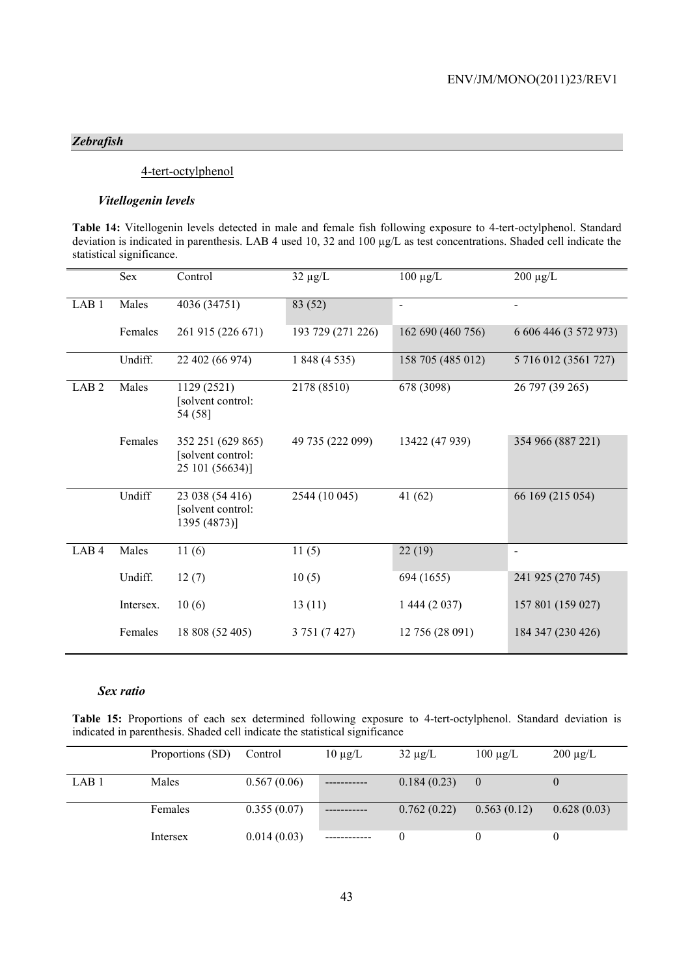## *Zebrafish*

## 4-tert-octylphenol

#### *Vitellogenin levels*

**Table 14:** Vitellogenin levels detected in male and female fish following exposure to 4-tert-octylphenol. Standard deviation is indicated in parenthesis. LAB 4 used 10, 32 and 100 µg/L as test concentrations. Shaded cell indicate the statistical significance.

|                  | Sex       | Control                                                   | $32 \mu g/L$      | $100 \mu g/L$     | $200 \mu g/L$         |
|------------------|-----------|-----------------------------------------------------------|-------------------|-------------------|-----------------------|
| LAB <sub>1</sub> | Males     | 4036 (34751)                                              | 83 (52)           | $\blacksquare$    |                       |
|                  | Females   | 261 915 (226 671)                                         | 193 729 (271 226) | 162 690 (460 756) | 6 606 446 (3 572 973) |
|                  | Undiff.   | 22 402 (66 974)                                           | 1 848 (4 535)     | 158 705 (485 012) | 5 716 012 (3561 727)  |
| LAB <sub>2</sub> | Males     | 1129 (2521)<br>[solvent control:<br>54 (58)               | 2178 (8510)       | 678 (3098)        | 26 797 (39 265)       |
|                  | Females   | 352 251 (629 865)<br>[solvent control:<br>25 101 (56634)] | 49 735 (222 099)  | 13422 (47 939)    | 354 966 (887 221)     |
|                  | Undiff    | 23 038 (54 416)<br>[solvent control:<br>1395 (4873)]      | 2544 (10 045)     | 41(62)            | 66 169 (215 054)      |
| LAB <sub>4</sub> | Males     | 11(6)                                                     | 11(5)             | 22(19)            | $\blacksquare$        |
|                  | Undiff.   | 12(7)                                                     | 10(5)             | 694 (1655)        | 241 925 (270 745)     |
|                  | Intersex. | 10(6)                                                     | 13(11)            | 1 444 (2 0 37)    | 157 801 (159 027)     |
|                  | Females   | 18 808 (52 405)                                           | 3 751 (7 427)     | 12 756 (28 091)   | 184 347 (230 426)     |

#### *Sex ratio*

**Table 15:** Proportions of each sex determined following exposure to 4-tert-octylphenol. Standard deviation is indicated in parenthesis. Shaded cell indicate the statistical significance

|                  | Proportions (SD) | Control     | $10 \mu g/L$ | $32 \mu g/L$ | $100 \mu g/L$ | $200 \mu g/L$ |
|------------------|------------------|-------------|--------------|--------------|---------------|---------------|
| LAB <sub>1</sub> | Males            | 0.567(0.06) |              | 0.184(0.23)  |               |               |
|                  | Females          | 0.355(0.07) |              | 0.762(0.22)  | 0.563(0.12)   | 0.628(0.03)   |
|                  | Intersex         | 0.014(0.03) |              |              |               |               |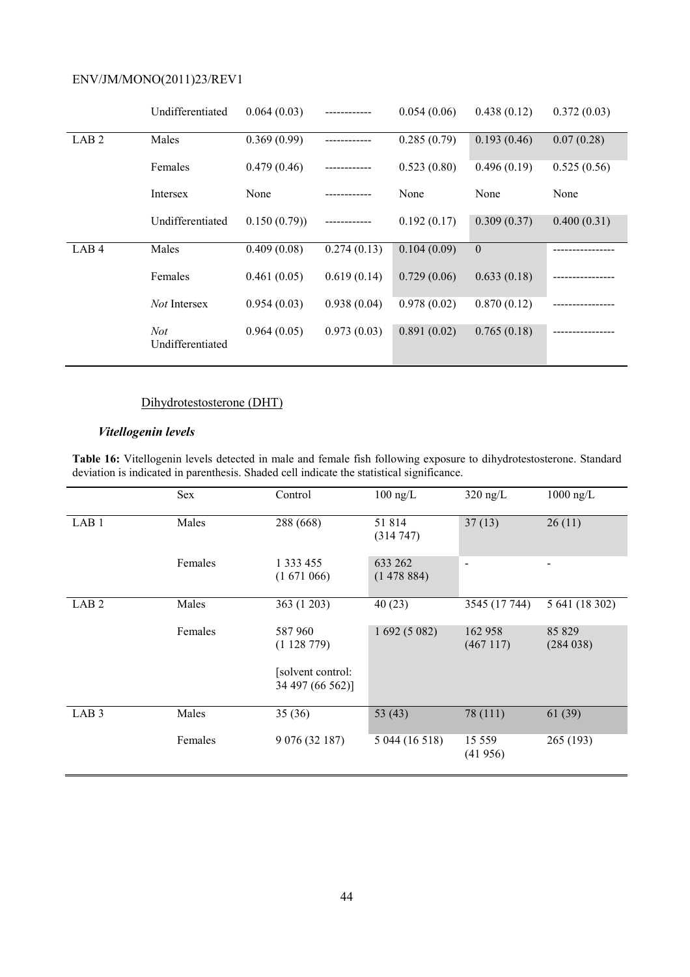|                  | Undifferentiated        | 0.064(0.03) |              | 0.054(0.06) | 0.438(0.12)  | 0.372(0.03) |
|------------------|-------------------------|-------------|--------------|-------------|--------------|-------------|
| LAB <sub>2</sub> | Males                   | 0.369(0.99) |              | 0.285(0.79) | 0.193(0.46)  | 0.07(0.28)  |
|                  | Females                 | 0.479(0.46) | ------------ | 0.523(0.80) | 0.496(0.19)  | 0.525(0.56) |
|                  | Intersex                | None        |              | None        | None         | None        |
|                  | Undifferentiated        | 0.150(0.79) |              | 0.192(0.17) | 0.309(0.37)  | 0.400(0.31) |
| LAB <sub>4</sub> | Males                   | 0.409(0.08) | 0.274(0.13)  | 0.104(0.09) | $\mathbf{0}$ |             |
|                  | Females                 | 0.461(0.05) | 0.619(0.14)  | 0.729(0.06) | 0.633(0.18)  |             |
|                  | <i>Not</i> Intersex     | 0.954(0.03) | 0.938(0.04)  | 0.978(0.02) | 0.870(0.12)  |             |
|                  | Not<br>Undifferentiated | 0.964(0.05) | 0.973(0.03)  | 0.891(0.02) | 0.765(0.18)  |             |

# Dihydrotestosterone (DHT)

## *Vitellogenin levels*

**Table 16:** Vitellogenin levels detected in male and female fish following exposure to dihydrotestosterone. Standard deviation is indicated in parenthesis. Shaded cell indicate the statistical significance.

|                  | Sex     | Control                               | $100$ ng/L           | $320$ ng/L               | $1000$ ng/L        |
|------------------|---------|---------------------------------------|----------------------|--------------------------|--------------------|
| LAB <sub>1</sub> | Males   | 288 (668)                             | 51814<br>(314747)    | 37(13)                   | 26(11)             |
|                  | Females | 1 3 3 4 5 5<br>(1671066)              | 633 262<br>(1478884) | $\overline{\phantom{0}}$ | $\blacksquare$     |
| LAB <sub>2</sub> | Males   | 363 (1 203)                           | 40(23)               | 3545 (17 744)            | 5 641 (18 302)     |
|                  | Females | 587 960<br>(1128779)                  | 1692(5082)           | 162 958<br>(467117)      | 85 829<br>(284038) |
|                  |         | [solvent control:<br>34 497 (66 562)] |                      |                          |                    |
| LAB <sub>3</sub> | Males   | 35(36)                                | 53 (43)              | 78 (111)                 | 61(39)             |
|                  | Females | 9 076 (32 187)                        | 5 044 (16 518)       | 15 5 5 9<br>(41956)      | 265 (193)          |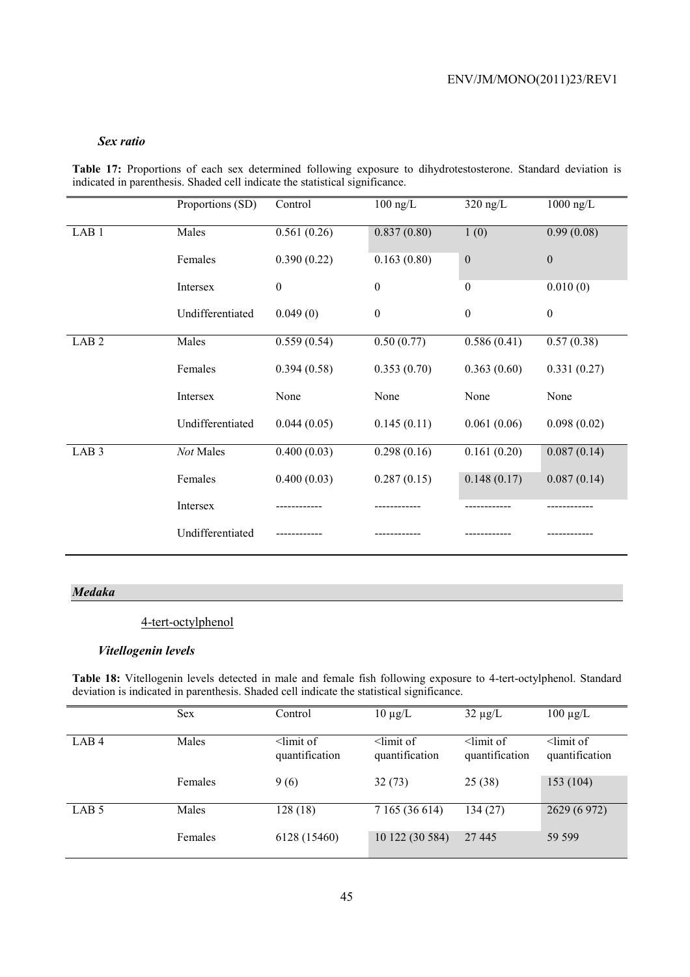#### *Sex ratio*

**Table 17:** Proportions of each sex determined following exposure to dihydrotestosterone. Standard deviation is indicated in parenthesis. Shaded cell indicate the statistical significance.

|                  | Proportions (SD) | Control          | $100$ ng/L       | $320$ ng/L       | $1000$ ng/L      |
|------------------|------------------|------------------|------------------|------------------|------------------|
| LAB <sub>1</sub> | Males            | 0.561(0.26)      | 0.837(0.80)      | 1(0)             | 0.99(0.08)       |
|                  | Females          | 0.390(0.22)      | 0.163(0.80)      | $\boldsymbol{0}$ | $\boldsymbol{0}$ |
|                  | Intersex         | $\boldsymbol{0}$ | $\boldsymbol{0}$ | $\mathbf{0}$     | 0.010(0)         |
|                  | Undifferentiated | 0.049(0)         | $\mathbf{0}$     | $\boldsymbol{0}$ | $\boldsymbol{0}$ |
| LAB <sub>2</sub> | Males            | 0.559(0.54)      | 0.50(0.77)       | 0.586(0.41)      | 0.57(0.38)       |
|                  | Females          | 0.394(0.58)      | 0.353(0.70)      | 0.363(0.60)      | 0.331(0.27)      |
|                  | Intersex         | None             | None             | None             | None             |
|                  | Undifferentiated | 0.044(0.05)      | 0.145(0.11)      | 0.061(0.06)      | 0.098(0.02)      |
| LAB <sub>3</sub> | Not Males        | 0.400(0.03)      | 0.298(0.16)      | 0.161(0.20)      | 0.087(0.14)      |
|                  | Females          | 0.400(0.03)      | 0.287(0.15)      | 0.148(0.17)      | 0.087(0.14)      |
|                  | Intersex         |                  |                  |                  |                  |
|                  | Undifferentiated |                  |                  |                  |                  |

## *Medaka*

## 4-tert-octylphenol

#### *Vitellogenin levels*

**Table 18:** Vitellogenin levels detected in male and female fish following exposure to 4-tert-octylphenol. Standard deviation is indicated in parenthesis. Shaded cell indicate the statistical significance.

|                  | <b>Sex</b> | Control                          | $10 \mu g/L$                     | $32 \mu g/L$                     | $100 \mu g/L$                    |
|------------------|------------|----------------------------------|----------------------------------|----------------------------------|----------------------------------|
| LAB <sub>4</sub> | Males      | $\le$ limit of<br>quantification | $\le$ limit of<br>quantification | $\le$ limit of<br>quantification | $\le$ limit of<br>quantification |
|                  | Females    | 9(6)                             | 32(73)                           | 25 (38)                          | 153(104)                         |
| LAB <sub>5</sub> | Males      | 128(18)                          | 7 165 (36 614)                   | 134 (27)                         | 2629 (6 972)                     |
|                  | Females    | 6128 (15460)                     | 10 122 (30 584)                  | 27 445                           | 59 599                           |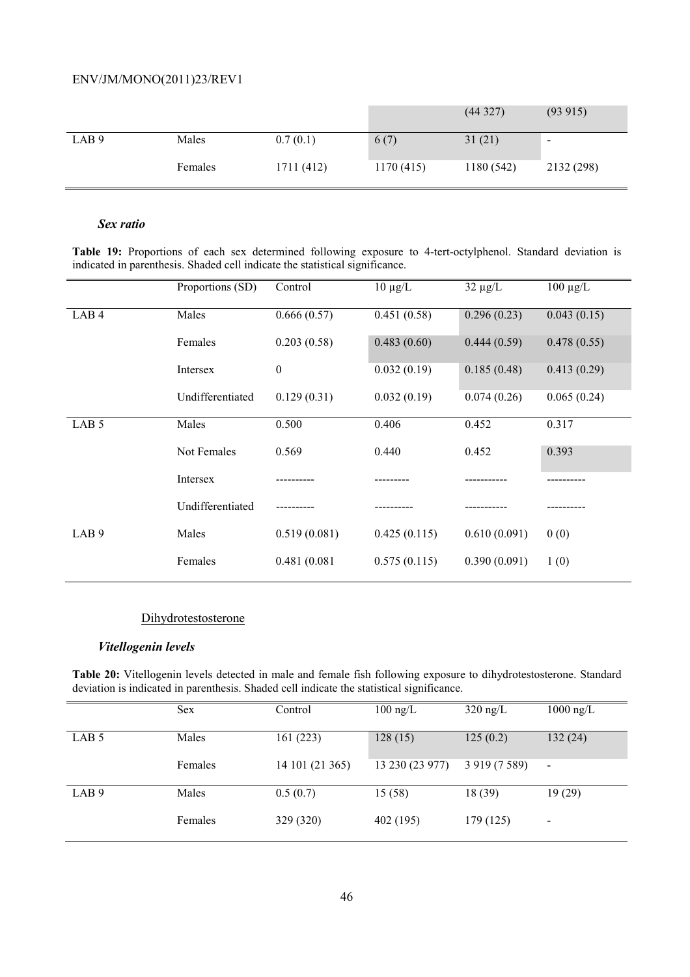|                  |         |            |           | (44327)   | (93 915)                 |
|------------------|---------|------------|-----------|-----------|--------------------------|
| LAB <sub>9</sub> | Males   | 0.7(0.1)   | 6(7)      | 31(21)    | $\overline{\phantom{a}}$ |
|                  | Females | 1711 (412) | 1170(415) | 1180(542) | 2132 (298)               |

#### *Sex ratio*

**Table 19:** Proportions of each sex determined following exposure to 4-tert-octylphenol. Standard deviation is indicated in parenthesis. Shaded cell indicate the statistical significance.

|                  | Proportions (SD) | Control          | $10 \mu g/L$ | $32 \mu g/L$ | $100 \mu g/L$ |
|------------------|------------------|------------------|--------------|--------------|---------------|
| LAB4             | Males            | 0.666(0.57)      | 0.451(0.58)  | 0.296(0.23)  | 0.043(0.15)   |
|                  | Females          | 0.203(0.58)      | 0.483(0.60)  | 0.444(0.59)  | 0.478(0.55)   |
|                  | Intersex         | $\boldsymbol{0}$ | 0.032(0.19)  | 0.185(0.48)  | 0.413(0.29)   |
|                  | Undifferentiated | 0.129(0.31)      | 0.032(0.19)  | 0.074(0.26)  | 0.065(0.24)   |
| LAB <sub>5</sub> | Males            | 0.500            | 0.406        | 0.452        | 0.317         |
|                  | Not Females      | 0.569            | 0.440        | 0.452        | 0.393         |
|                  | Intersex         |                  |              |              |               |
|                  | Undifferentiated |                  |              |              |               |
| LAB <sub>9</sub> | Males            | 0.519(0.081)     | 0.425(0.115) | 0.610(0.091) | 0(0)          |
|                  | Females          | 0.481 (0.081     | 0.575(0.115) | 0.390(0.091) | 1(0)          |

#### Dihydrotestosterone

## *Vitellogenin levels*

**Table 20:** Vitellogenin levels detected in male and female fish following exposure to dihydrotestosterone. Standard deviation is indicated in parenthesis. Shaded cell indicate the statistical significance.

|                  | <b>Sex</b> | Control         | $100$ ng/L      | $320$ ng/L       | $1000 \text{ ng/L}$ |
|------------------|------------|-----------------|-----------------|------------------|---------------------|
| LAB <sub>5</sub> | Males      | 161(223)        | 128(15)         | 125(0.2)         | 132(24)             |
|                  | Females    | 14 101 (21 365) | 13 230 (23 977) | 3 9 19 (7 5 8 9) | $\blacksquare$      |
| LAB <sub>9</sub> | Males      | 0.5(0.7)        | 15(58)          | 18(39)           | 19(29)              |
|                  | Females    | 329 (320)       | 402 (195)       | 179 (125)        | $\blacksquare$      |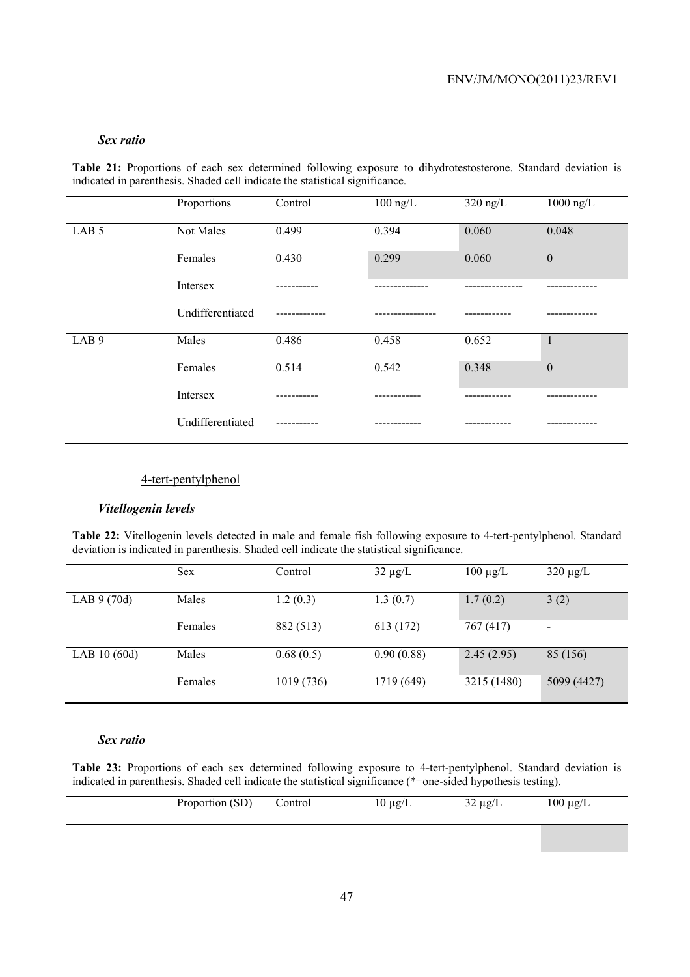#### *Sex ratio*

**Table 21:** Proportions of each sex determined following exposure to dihydrotestosterone. Standard deviation is indicated in parenthesis. Shaded cell indicate the statistical significance.

|                  | Proportions      | Control | $100$ ng/L | $320$ ng/L | $1000$ ng/L      |
|------------------|------------------|---------|------------|------------|------------------|
| LAB <sub>5</sub> | Not Males        | 0.499   | 0.394      | 0.060      | 0.048            |
|                  | Females          | 0.430   | 0.299      | 0.060      | $\boldsymbol{0}$ |
|                  | Intersex         | ------- |            |            |                  |
|                  | Undifferentiated |         |            |            |                  |
| LAB <sub>9</sub> | Males            | 0.486   | 0.458      | 0.652      | $\mathbf{1}$     |
|                  | Females          | 0.514   | 0.542      | 0.348      | $\boldsymbol{0}$ |
|                  | Intersex         |         |            |            |                  |
|                  | Undifferentiated |         |            |            |                  |

#### 4-tert-pentylphenol

#### *Vitellogenin levels*

**Table 22:** Vitellogenin levels detected in male and female fish following exposure to 4-tert-pentylphenol. Standard deviation is indicated in parenthesis. Shaded cell indicate the statistical significance.

|               | <b>Sex</b> | Control    | $32 \mu g/L$ | $100 \mu g/L$ | $320 \mu g/L$  |
|---------------|------------|------------|--------------|---------------|----------------|
| LAB $9(70d)$  | Males      | 1.2(0.3)   | 1.3(0.7)     | 1.7(0.2)      | 3(2)           |
|               | Females    | 882 (513)  | 613 (172)    | 767 (417)     | $\blacksquare$ |
| LAB $10(60d)$ | Males      | 0.68(0.5)  | 0.90(0.88)   | 2.45(2.95)    | 85 (156)       |
|               | Females    | 1019 (736) | 1719 (649)   | 3215 (1480)   | 5099 (4427)    |

#### *Sex ratio*

**Table 23:** Proportions of each sex determined following exposure to 4-tert-pentylphenol. Standard deviation is indicated in parenthesis. Shaded cell indicate the statistical significance (\*=one-sided hypothesis testing).

| Proportion (SD) | Control | $10 \mu g/L$ | $\sim$ $\sim$<br>$\mu$ g/L<br>- - | $100 \mu g/L$ |  |
|-----------------|---------|--------------|-----------------------------------|---------------|--|
|                 |         |              |                                   |               |  |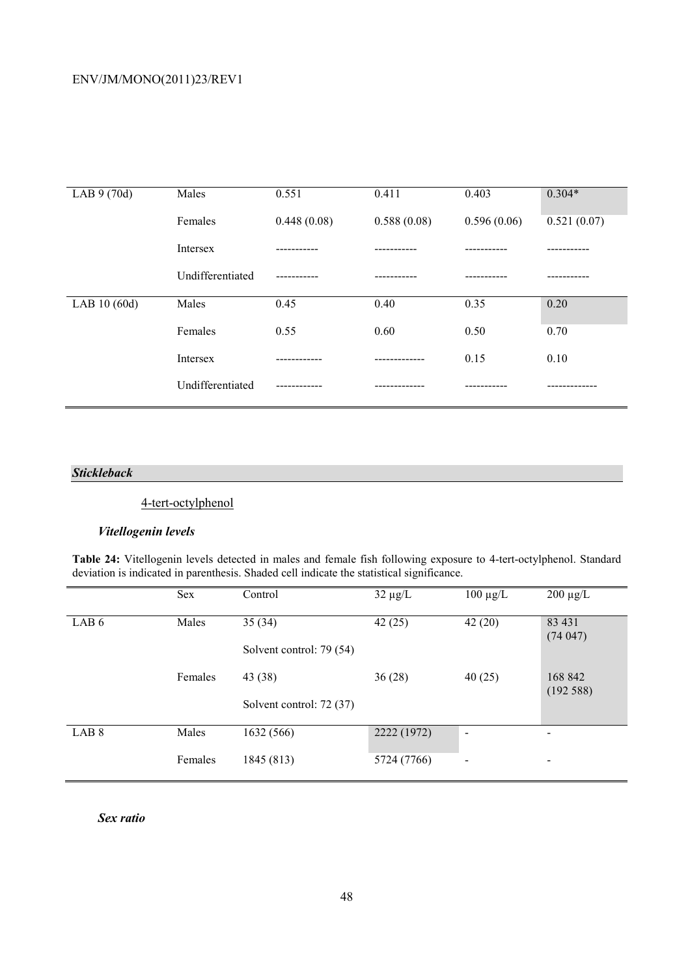| LAB $9(70d)$  | Males            | 0.551       | 0.411       | 0.403       | $0.304*$    |
|---------------|------------------|-------------|-------------|-------------|-------------|
|               | Females          | 0.448(0.08) | 0.588(0.08) | 0.596(0.06) | 0.521(0.07) |
|               | Intersex         |             |             |             |             |
|               | Undifferentiated |             |             |             |             |
| LAB $10(60d)$ | Males            | 0.45        | 0.40        | 0.35        | 0.20        |
|               | Females          | 0.55        | 0.60        | 0.50        | 0.70        |
|               | Intersex         |             |             | 0.15        | 0.10        |
|               | Undifferentiated |             |             |             |             |

#### *Stickleback*

# 4-tert-octylphenol

## *Vitellogenin levels*

**Table 24:** Vitellogenin levels detected in males and female fish following exposure to 4-tert-octylphenol. Standard deviation is indicated in parenthesis. Shaded cell indicate the statistical significance.

|                  | <b>Sex</b> | Control                            | $32 \mu g/L$ | $100 \mu g/L$            | $200 \mu g/L$            |
|------------------|------------|------------------------------------|--------------|--------------------------|--------------------------|
| LAB <sub>6</sub> | Males      | 35(34)<br>Solvent control: 79 (54) | 42(25)       | 42(20)                   | 83 431<br>(74047)        |
|                  | Females    | 43 (38)                            | 36(28)       | 40(25)                   | 168 842<br>(192588)      |
|                  |            | Solvent control: 72 (37)           |              |                          |                          |
| LAB <sub>8</sub> | Males      | 1632 (566)                         | 2222 (1972)  | $\overline{\phantom{a}}$ | $\overline{\phantom{a}}$ |
|                  | Females    | 1845 (813)                         | 5724 (7766)  | $\overline{\phantom{0}}$ | $\overline{\phantom{a}}$ |

*Sex ratio*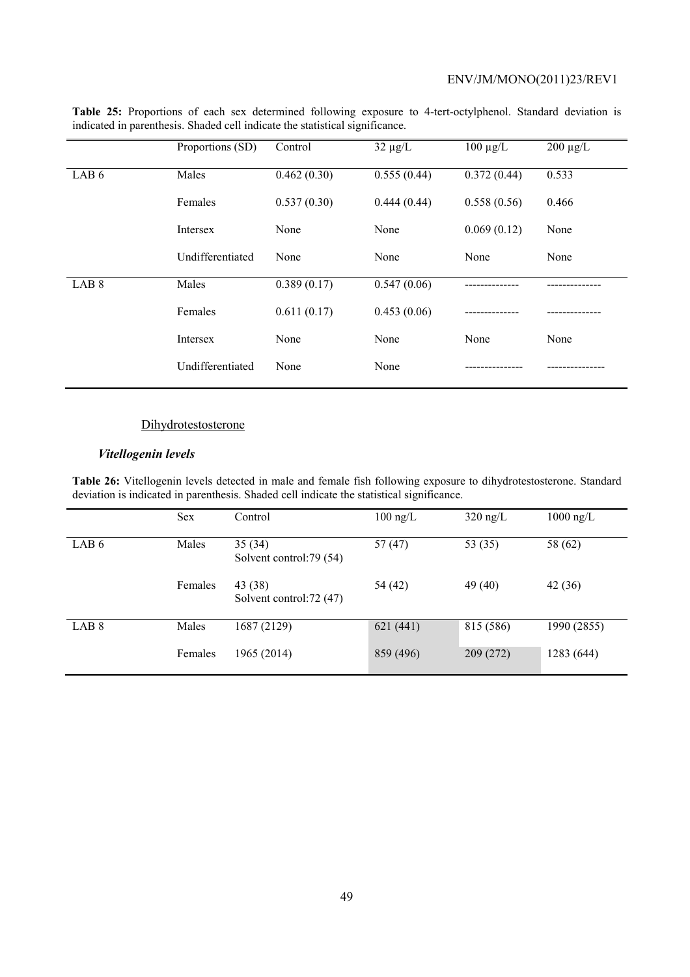|                  | Proportions (SD) | Control     | $32 \mu g/L$ | $100 \mu g/L$ | $200 \mu g/L$ |
|------------------|------------------|-------------|--------------|---------------|---------------|
| LAB <sub>6</sub> | Males            | 0.462(0.30) | 0.555(0.44)  | 0.372(0.44)   | 0.533         |
|                  | Females          | 0.537(0.30) | 0.444(0.44)  | 0.558(0.56)   | 0.466         |
|                  | Intersex         | None        | None         | 0.069(0.12)   | None          |
|                  | Undifferentiated | None        | None         | None          | None          |
| LAB <sub>8</sub> | Males            | 0.389(0.17) | 0.547(0.06)  |               |               |
|                  | Females          | 0.611(0.17) | 0.453(0.06)  |               |               |
|                  | Intersex         | None        | None         | None          | None          |
|                  | Undifferentiated | None        | None         |               |               |

**Table 25:** Proportions of each sex determined following exposure to 4-tert-octylphenol. Standard deviation is indicated in parenthesis. Shaded cell indicate the statistical significance.

#### **Dihydrotestosterone**

#### *Vitellogenin levels*

**Table 26:** Vitellogenin levels detected in male and female fish following exposure to dihydrotestosterone. Standard deviation is indicated in parenthesis. Shaded cell indicate the statistical significance.

|                  | <b>Sex</b> | Control                             | $100$ ng/L | $320$ ng/L | $1000$ ng/L |
|------------------|------------|-------------------------------------|------------|------------|-------------|
| LAB <sub>6</sub> | Males      | 35(34)<br>Solvent control: 79 (54)  | 57(47)     | 53 (35)    | 58 (62)     |
|                  | Females    | 43 (38)<br>Solvent control: 72 (47) | 54 (42)    | 49 (40)    | 42(36)      |
| LAB <sub>8</sub> | Males      | 1687 (2129)                         | 621 (441)  | 815 (586)  | 1990 (2855) |
|                  | Females    | 1965 (2014)                         | 859 (496)  | 209 (272)  | 1283 (644)  |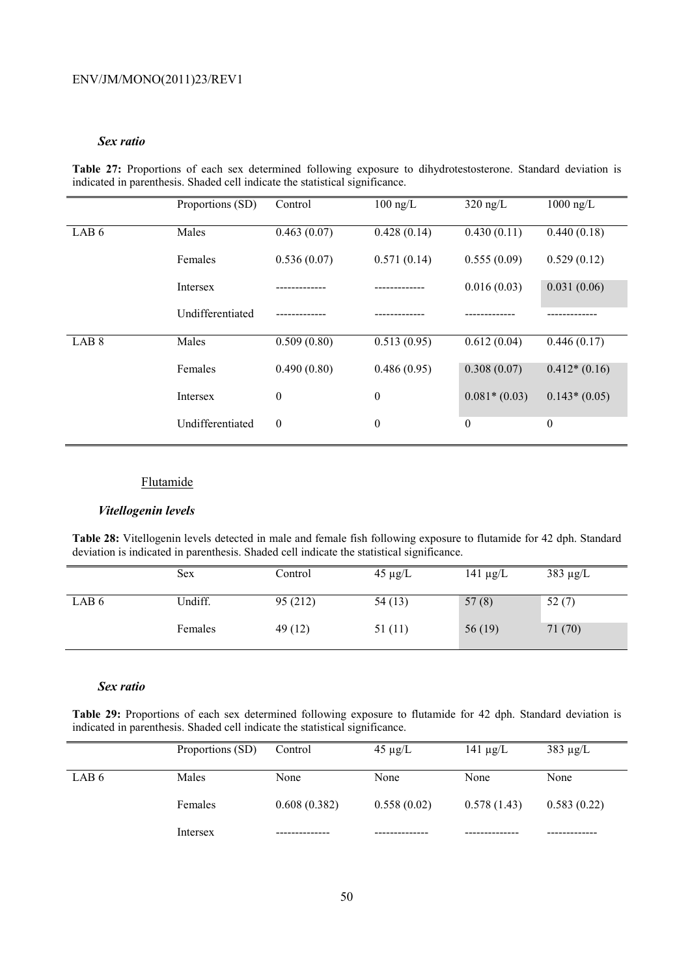#### *Sex ratio*

**Table 27:** Proportions of each sex determined following exposure to dihydrotestosterone. Standard deviation is indicated in parenthesis. Shaded cell indicate the statistical significance.

|                  | Proportions (SD) | Control          | $100$ ng/L       | $320$ ng/L       | $1000$ ng/L      |
|------------------|------------------|------------------|------------------|------------------|------------------|
| LAB <sub>6</sub> | Males            | 0.463(0.07)      | 0.428(0.14)      | 0.430(0.11)      | 0.440(0.18)      |
|                  | Females          | 0.536(0.07)      | 0.571(0.14)      | 0.555(0.09)      | 0.529(0.12)      |
|                  | <b>Intersex</b>  |                  |                  | 0.016(0.03)      | 0.031(0.06)      |
|                  | Undifferentiated |                  |                  |                  |                  |
| LAB <sub>8</sub> | Males            | 0.509(0.80)      | 0.513(0.95)      | 0.612(0.04)      | 0.446(0.17)      |
|                  | Females          | 0.490(0.80)      | 0.486(0.95)      | 0.308(0.07)      | $0.412*(0.16)$   |
|                  | Intersex         | $\boldsymbol{0}$ | $\boldsymbol{0}$ | $0.081*(0.03)$   | $0.143*(0.05)$   |
|                  | Undifferentiated | $\boldsymbol{0}$ | $\boldsymbol{0}$ | $\boldsymbol{0}$ | $\boldsymbol{0}$ |

## Flutamide

#### *Vitellogenin levels*

**Table 28:** Vitellogenin levels detected in male and female fish following exposure to flutamide for 42 dph. Standard deviation is indicated in parenthesis. Shaded cell indicate the statistical significance.

|       | <b>Sex</b> | Control  | $45 \mu g/L$ | 141 $\mu$ g/L | $383 \mu g/L$ |
|-------|------------|----------|--------------|---------------|---------------|
| LAB 6 | Undiff.    | 95 (212) | 54(13)       | 57(8)         | 52(7)         |
|       | Females    | 49(12)   | 51(11)       | 56 $(19)$     | 71(70)        |

#### *Sex ratio*

**Table 29:** Proportions of each sex determined following exposure to flutamide for 42 dph. Standard deviation is indicated in parenthesis. Shaded cell indicate the statistical significance.

|       | Proportions (SD) | Control      | $45 \mu g/L$ | 141 $\mu$ g/L | $383 \mu g/L$ |
|-------|------------------|--------------|--------------|---------------|---------------|
| LAB 6 | Males            | None         | None         | None          | None          |
|       | Females          | 0.608(0.382) | 0.558(0.02)  | 0.578(1.43)   | 0.583(0.22)   |
|       | Intersex         |              |              |               |               |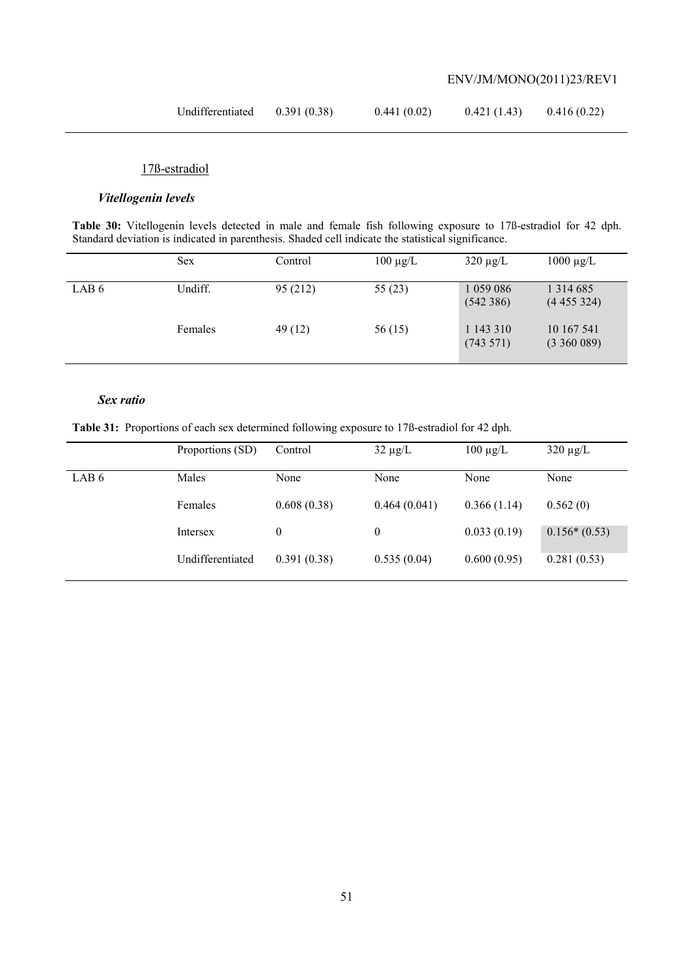| Undifferentiated | 0.391(0.38) | 0.441(0.02) | 0.421(1.43) | 0.416(0.22) |
|------------------|-------------|-------------|-------------|-------------|
|------------------|-------------|-------------|-------------|-------------|

## 17ß-estradiol

## *Vitellogenin levels*

**Table 30:** Vitellogenin levels detected in male and female fish following exposure to 17ß-estradiol for 42 dph. Standard deviation is indicated in parenthesis. Shaded cell indicate the statistical significance.

|       | <b>Sex</b> | Control  | $100 \mu g/L$ | $320 \mu g/L$             | $1000 \mu g/L$                |
|-------|------------|----------|---------------|---------------------------|-------------------------------|
| LAB 6 | Undiff.    | 95 (212) | 55(23)        | 1 059 086<br>(542386)     | 1 3 1 4 6 8 5<br>(4455324)    |
|       | Females    | 49(12)   | 56 (15)       | 1 143 310<br>$(743\;571)$ | 10 167 541<br>$(3\,360\,089)$ |

### *Sex ratio*

**Table 31:** Proportions of each sex determined following exposure to 17ß-estradiol for 42 dph.

|       | Proportions (SD) | Control          | $32 \mu g/L$ | $100 \mu g/L$ | $320 \mu g/L$  |
|-------|------------------|------------------|--------------|---------------|----------------|
| LAB 6 | Males            | None             | None         | None          | None           |
|       | Females          | 0.608(0.38)      | 0.464(0.041) | 0.366(1.14)   | 0.562(0)       |
|       | Intersex         | $\boldsymbol{0}$ | 0            | 0.033(0.19)   | $0.156*(0.53)$ |
|       | Undifferentiated | 0.391(0.38)      | 0.535(0.04)  | 0.600(0.95)   | 0.281(0.53)    |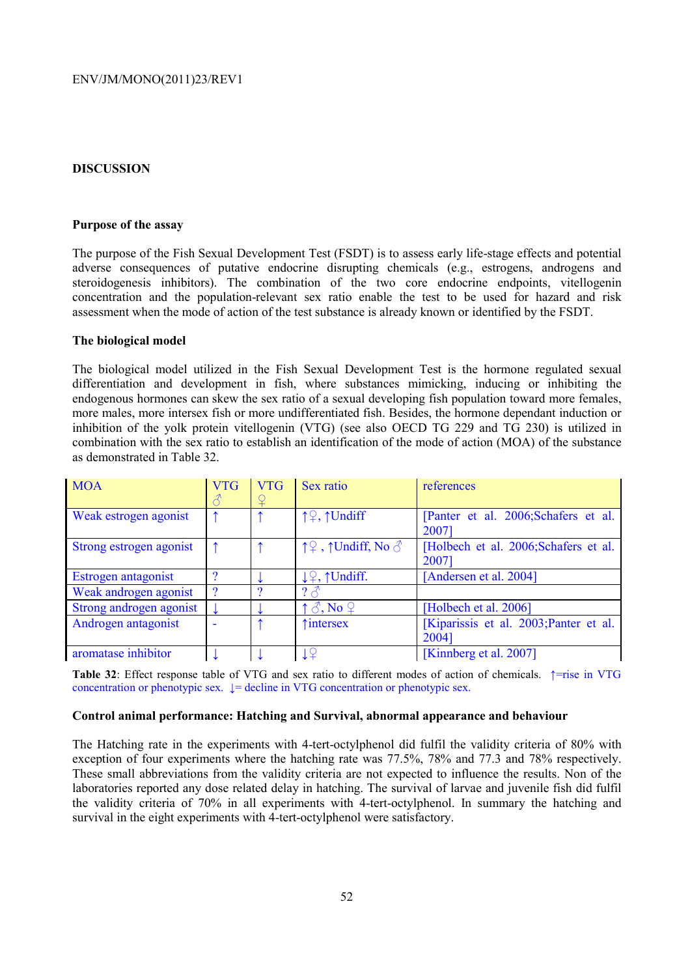### **DISCUSSION**

#### **Purpose of the assay**

The purpose of the Fish Sexual Development Test (FSDT) is to assess early life-stage effects and potential adverse consequences of putative endocrine disrupting chemicals (e.g., estrogens, androgens and steroidogenesis inhibitors). The combination of the two core endocrine endpoints, vitellogenin concentration and the population-relevant sex ratio enable the test to be used for hazard and risk assessment when the mode of action of the test substance is already known or identified by the FSDT.

#### **The biological model**

The biological model utilized in the Fish Sexual Development Test is the hormone regulated sexual differentiation and development in fish, where substances mimicking, inducing or inhibiting the endogenous hormones can skew the sex ratio of a sexual developing fish population toward more females, more males, more intersex fish or more undifferentiated fish. Besides, the hormone dependant induction or inhibition of the yolk protein vitellogenin (VTG) (see also OECD TG 229 and TG 230) is utilized in combination with the sex ratio to establish an identification of the mode of action (MOA) of the substance as demonstrated in Table 32.

| <b>MOA</b>              | <b>VTG</b><br>$\mathcal{E}$ | <b>VTG</b><br>¥ | Sex ratio                                                    | references                                      |
|-------------------------|-----------------------------|-----------------|--------------------------------------------------------------|-------------------------------------------------|
| Weak estrogen agonist   |                             |                 | ↑♀, ↑Undiff                                                  | [Panter et al. 2006;Schafers et al.<br>2007]    |
| Strong estrogen agonist |                             |                 | $\uparrow \mathcal{Q}$ , $\uparrow$ Undiff, No $\circ \circ$ | [Holbech et al. 2006;Schafers et al.<br>2007]   |
| Estrogen antagonist     |                             |                 | 1 <sup>Q</sup> , ↑Undiff.                                    | [Andersen et al. 2004]                          |
| Weak androgen agonist   | റ                           |                 | $2\sigma$                                                    |                                                 |
| Strong androgen agonist |                             |                 | $\uparrow \mathcal{S}$ , No $\varphi$                        | [Holbech et al. 2006]                           |
| Androgen antagonist     |                             |                 | <i><u><u><b>Tintersex</b></u></u></i>                        | [Kiparissis et al. 2003; Panter et al.<br>20041 |
| aromatase inhibitor     |                             |                 |                                                              | [Kinnberg et al. 2007]                          |

**Table 32**: Effect response table of VTG and sex ratio to different modes of action of chemicals. ↑=rise in VTG concentration or phenotypic sex. ↓= decline in VTG concentration or phenotypic sex.

#### **Control animal performance: Hatching and Survival, abnormal appearance and behaviour**

The Hatching rate in the experiments with 4-tert-octylphenol did fulfil the validity criteria of 80% with exception of four experiments where the hatching rate was 77.5%, 78% and 77.3 and 78% respectively. These small abbreviations from the validity criteria are not expected to influence the results. Non of the laboratories reported any dose related delay in hatching. The survival of larvae and juvenile fish did fulfil the validity criteria of 70% in all experiments with 4-tert-octylphenol. In summary the hatching and survival in the eight experiments with 4-tert-octylphenol were satisfactory.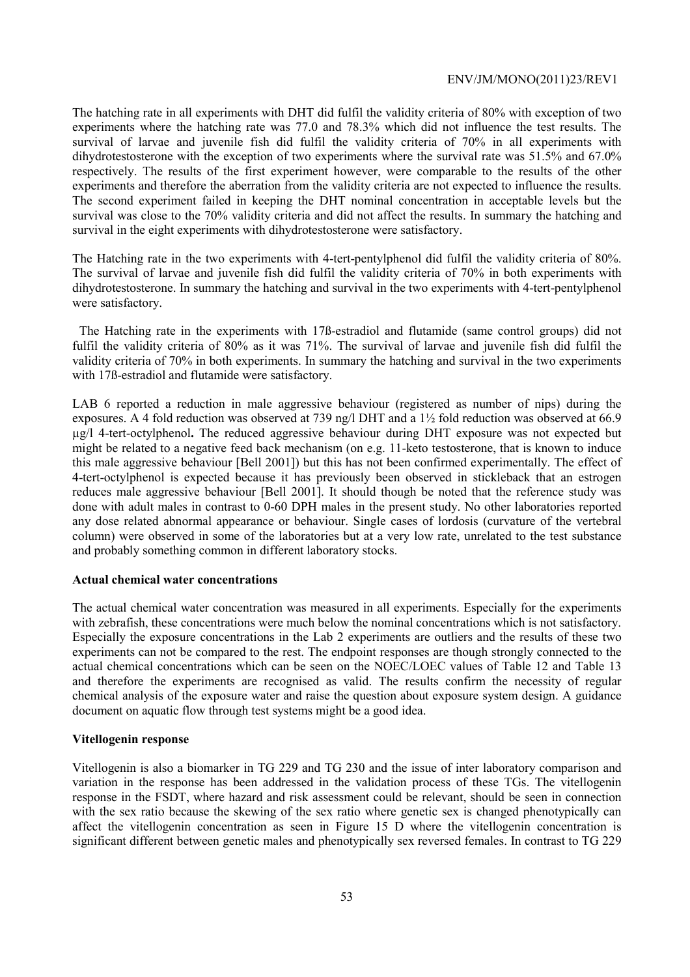The hatching rate in all experiments with DHT did fulfil the validity criteria of 80% with exception of two experiments where the hatching rate was 77.0 and 78.3% which did not influence the test results. The survival of larvae and juvenile fish did fulfil the validity criteria of 70% in all experiments with dihydrotestosterone with the exception of two experiments where the survival rate was 51.5% and 67.0% respectively. The results of the first experiment however, were comparable to the results of the other experiments and therefore the aberration from the validity criteria are not expected to influence the results. The second experiment failed in keeping the DHT nominal concentration in acceptable levels but the survival was close to the 70% validity criteria and did not affect the results. In summary the hatching and survival in the eight experiments with dihydrotestosterone were satisfactory.

The Hatching rate in the two experiments with 4-tert-pentylphenol did fulfil the validity criteria of 80%. The survival of larvae and juvenile fish did fulfil the validity criteria of 70% in both experiments with dihydrotestosterone. In summary the hatching and survival in the two experiments with 4-tert-pentylphenol were satisfactory.

The Hatching rate in the experiments with 17ß-estradiol and flutamide (same control groups) did not fulfil the validity criteria of 80% as it was 71%. The survival of larvae and juvenile fish did fulfil the validity criteria of 70% in both experiments. In summary the hatching and survival in the two experiments with 17ß-estradiol and flutamide were satisfactory.

LAB 6 reported a reduction in male aggressive behaviour (registered as number of nips) during the exposures. A 4 fold reduction was observed at 739 ng/l DHT and a 1½ fold reduction was observed at 66.9 µg/l 4-tert-octylphenol**.** The reduced aggressive behaviour during DHT exposure was not expected but might be related to a negative feed back mechanism (on e.g. 11-keto testosterone, that is known to induce this male aggressive behaviour [Bell 2001]) but this has not been confirmed experimentally. The effect of 4-tert-octylphenol is expected because it has previously been observed in stickleback that an estrogen reduces male aggressive behaviour [Bell 2001]. It should though be noted that the reference study was done with adult males in contrast to 0-60 DPH males in the present study. No other laboratories reported any dose related abnormal appearance or behaviour. Single cases of lordosis (curvature of the vertebral column) were observed in some of the laboratories but at a very low rate, unrelated to the test substance and probably something common in different laboratory stocks.

### **Actual chemical water concentrations**

The actual chemical water concentration was measured in all experiments. Especially for the experiments with zebrafish, these concentrations were much below the nominal concentrations which is not satisfactory. Especially the exposure concentrations in the Lab 2 experiments are outliers and the results of these two experiments can not be compared to the rest. The endpoint responses are though strongly connected to the actual chemical concentrations which can be seen on the NOEC/LOEC values of Table 12 and Table 13 and therefore the experiments are recognised as valid. The results confirm the necessity of regular chemical analysis of the exposure water and raise the question about exposure system design. A guidance document on aquatic flow through test systems might be a good idea.

### **Vitellogenin response**

Vitellogenin is also a biomarker in TG 229 and TG 230 and the issue of inter laboratory comparison and variation in the response has been addressed in the validation process of these TGs. The vitellogenin response in the FSDT, where hazard and risk assessment could be relevant, should be seen in connection with the sex ratio because the skewing of the sex ratio where genetic sex is changed phenotypically can affect the vitellogenin concentration as seen in Figure 15 D where the vitellogenin concentration is significant different between genetic males and phenotypically sex reversed females. In contrast to TG 229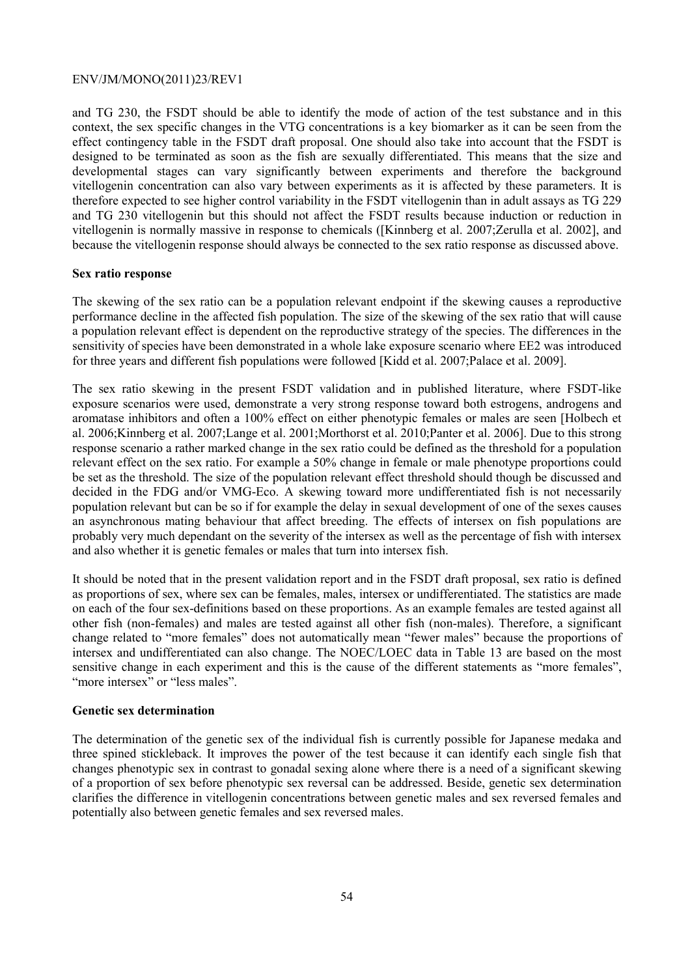and TG 230, the FSDT should be able to identify the mode of action of the test substance and in this context, the sex specific changes in the VTG concentrations is a key biomarker as it can be seen from the effect contingency table in the FSDT draft proposal. One should also take into account that the FSDT is designed to be terminated as soon as the fish are sexually differentiated. This means that the size and developmental stages can vary significantly between experiments and therefore the background vitellogenin concentration can also vary between experiments as it is affected by these parameters. It is therefore expected to see higher control variability in the FSDT vitellogenin than in adult assays as TG 229 and TG 230 vitellogenin but this should not affect the FSDT results because induction or reduction in vitellogenin is normally massive in response to chemicals ([Kinnberg et al. 2007;Zerulla et al. 2002], and because the vitellogenin response should always be connected to the sex ratio response as discussed above.

#### **Sex ratio response**

The skewing of the sex ratio can be a population relevant endpoint if the skewing causes a reproductive performance decline in the affected fish population. The size of the skewing of the sex ratio that will cause a population relevant effect is dependent on the reproductive strategy of the species. The differences in the sensitivity of species have been demonstrated in a whole lake exposure scenario where EE2 was introduced for three years and different fish populations were followed [Kidd et al. 2007;Palace et al. 2009].

The sex ratio skewing in the present FSDT validation and in published literature, where FSDT-like exposure scenarios were used, demonstrate a very strong response toward both estrogens, androgens and aromatase inhibitors and often a 100% effect on either phenotypic females or males are seen [Holbech et al. 2006;Kinnberg et al. 2007;Lange et al. 2001;Morthorst et al. 2010;Panter et al. 2006]. Due to this strong response scenario a rather marked change in the sex ratio could be defined as the threshold for a population relevant effect on the sex ratio. For example a 50% change in female or male phenotype proportions could be set as the threshold. The size of the population relevant effect threshold should though be discussed and decided in the FDG and/or VMG-Eco. A skewing toward more undifferentiated fish is not necessarily population relevant but can be so if for example the delay in sexual development of one of the sexes causes an asynchronous mating behaviour that affect breeding. The effects of intersex on fish populations are probably very much dependant on the severity of the intersex as well as the percentage of fish with intersex and also whether it is genetic females or males that turn into intersex fish.

It should be noted that in the present validation report and in the FSDT draft proposal, sex ratio is defined as proportions of sex, where sex can be females, males, intersex or undifferentiated. The statistics are made on each of the four sex-definitions based on these proportions. As an example females are tested against all other fish (non-females) and males are tested against all other fish (non-males). Therefore, a significant change related to "more females" does not automatically mean "fewer males" because the proportions of intersex and undifferentiated can also change. The NOEC/LOEC data in Table 13 are based on the most sensitive change in each experiment and this is the cause of the different statements as "more females", "more intersex" or "less males".

### **Genetic sex determination**

The determination of the genetic sex of the individual fish is currently possible for Japanese medaka and three spined stickleback. It improves the power of the test because it can identify each single fish that changes phenotypic sex in contrast to gonadal sexing alone where there is a need of a significant skewing of a proportion of sex before phenotypic sex reversal can be addressed. Beside, genetic sex determination clarifies the difference in vitellogenin concentrations between genetic males and sex reversed females and potentially also between genetic females and sex reversed males.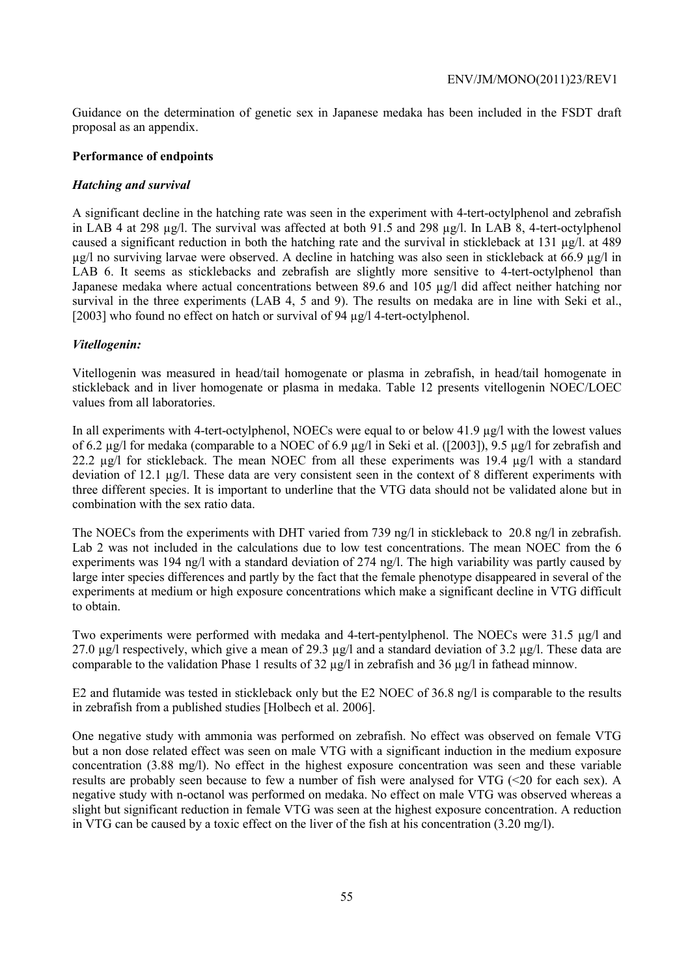Guidance on the determination of genetic sex in Japanese medaka has been included in the FSDT draft proposal as an appendix.

#### **Performance of endpoints**

### *Hatching and survival*

A significant decline in the hatching rate was seen in the experiment with 4-tert-octylphenol and zebrafish in LAB 4 at 298 µg/l. The survival was affected at both 91.5 and 298 µg/l. In LAB 8, 4-tert-octylphenol caused a significant reduction in both the hatching rate and the survival in stickleback at 131 µg/l. at 489 µg/l no surviving larvae were observed. A decline in hatching was also seen in stickleback at 66.9 µg/l in LAB 6. It seems as sticklebacks and zebrafish are slightly more sensitive to 4-tert-octylphenol than Japanese medaka where actual concentrations between 89.6 and 105 µg/l did affect neither hatching nor survival in the three experiments (LAB 4, 5 and 9). The results on medaka are in line with Seki et al., [2003] who found no effect on hatch or survival of 94  $\mu$ g/l 4-tert-octylphenol.

### *Vitellogenin:*

Vitellogenin was measured in head/tail homogenate or plasma in zebrafish, in head/tail homogenate in stickleback and in liver homogenate or plasma in medaka. Table 12 presents vitellogenin NOEC/LOEC values from all laboratories.

In all experiments with 4-tert-octylphenol, NOECs were equal to or below 41.9 µg/l with the lowest values of 6.2 µg/l for medaka (comparable to a NOEC of 6.9 µg/l in Seki et al. ([2003]), 9.5 µg/l for zebrafish and 22.2 µg/l for stickleback. The mean NOEC from all these experiments was 19.4 µg/l with a standard deviation of 12.1 µg/l. These data are very consistent seen in the context of 8 different experiments with three different species. It is important to underline that the VTG data should not be validated alone but in combination with the sex ratio data.

The NOECs from the experiments with DHT varied from 739 ng/l in stickleback to 20.8 ng/l in zebrafish. Lab 2 was not included in the calculations due to low test concentrations. The mean NOEC from the 6 experiments was 194 ng/l with a standard deviation of 274 ng/l. The high variability was partly caused by large inter species differences and partly by the fact that the female phenotype disappeared in several of the experiments at medium or high exposure concentrations which make a significant decline in VTG difficult to obtain.

Two experiments were performed with medaka and 4-tert-pentylphenol. The NOECs were 31.5  $\mu$ g/l and 27.0  $\mu$ g/l respectively, which give a mean of 29.3  $\mu$ g/l and a standard deviation of 3.2  $\mu$ g/l. These data are comparable to the validation Phase 1 results of 32 µg/l in zebrafish and 36 µg/l in fathead minnow.

E2 and flutamide was tested in stickleback only but the E2 NOEC of 36.8 ng/l is comparable to the results in zebrafish from a published studies [Holbech et al. 2006].

One negative study with ammonia was performed on zebrafish. No effect was observed on female VTG but a non dose related effect was seen on male VTG with a significant induction in the medium exposure concentration (3.88 mg/l). No effect in the highest exposure concentration was seen and these variable results are probably seen because to few a number of fish were analysed for VTG (<20 for each sex). A negative study with n-octanol was performed on medaka. No effect on male VTG was observed whereas a slight but significant reduction in female VTG was seen at the highest exposure concentration. A reduction in VTG can be caused by a toxic effect on the liver of the fish at his concentration (3.20 mg/l).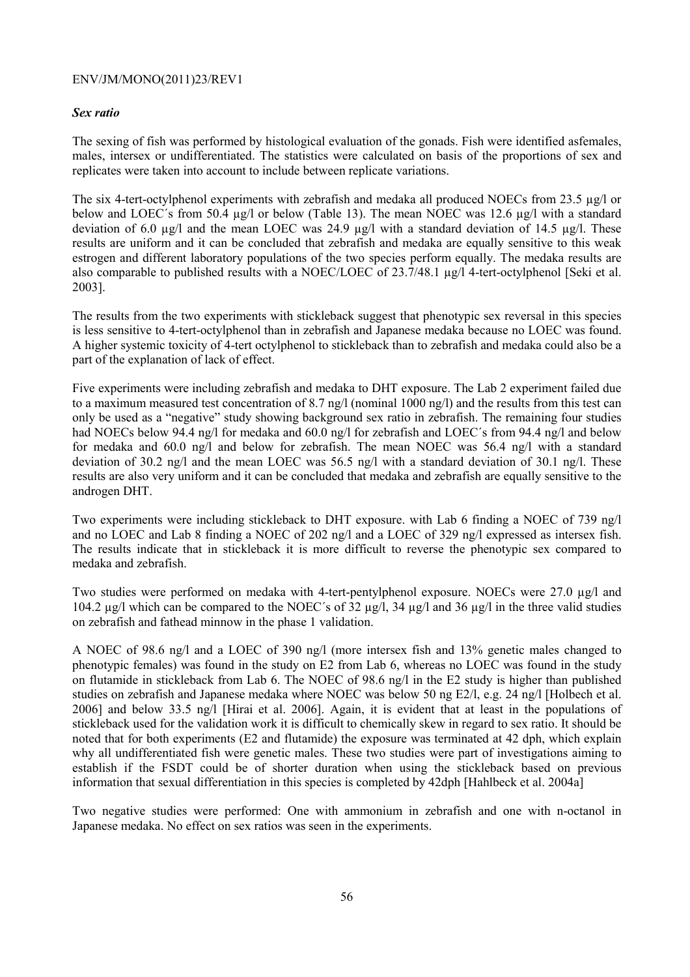#### *Sex ratio*

The sexing of fish was performed by histological evaluation of the gonads. Fish were identified asfemales, males, intersex or undifferentiated. The statistics were calculated on basis of the proportions of sex and replicates were taken into account to include between replicate variations.

The six 4-tert-octylphenol experiments with zebrafish and medaka all produced NOECs from 23.5 µg/l or below and LOEC's from 50.4 µg/l or below (Table 13). The mean NOEC was 12.6 µg/l with a standard deviation of 6.0 µg/l and the mean LOEC was 24.9 µg/l with a standard deviation of 14.5 µg/l. These results are uniform and it can be concluded that zebrafish and medaka are equally sensitive to this weak estrogen and different laboratory populations of the two species perform equally. The medaka results are also comparable to published results with a NOEC/LOEC of 23.7/48.1 µg/l 4-tert-octylphenol [Seki et al. 2003].

The results from the two experiments with stickleback suggest that phenotypic sex reversal in this species is less sensitive to 4-tert-octylphenol than in zebrafish and Japanese medaka because no LOEC was found. A higher systemic toxicity of 4-tert octylphenol to stickleback than to zebrafish and medaka could also be a part of the explanation of lack of effect.

Five experiments were including zebrafish and medaka to DHT exposure. The Lab 2 experiment failed due to a maximum measured test concentration of 8.7 ng/l (nominal 1000 ng/l) and the results from this test can only be used as a "negative" study showing background sex ratio in zebrafish. The remaining four studies had NOECs below 94.4 ng/l for medaka and 60.0 ng/l for zebrafish and LOEC's from 94.4 ng/l and below for medaka and 60.0 ng/l and below for zebrafish. The mean NOEC was 56.4 ng/l with a standard deviation of 30.2 ng/l and the mean LOEC was 56.5 ng/l with a standard deviation of 30.1 ng/l. These results are also very uniform and it can be concluded that medaka and zebrafish are equally sensitive to the androgen DHT.

Two experiments were including stickleback to DHT exposure. with Lab 6 finding a NOEC of 739 ng/l and no LOEC and Lab 8 finding a NOEC of 202 ng/l and a LOEC of 329 ng/l expressed as intersex fish. The results indicate that in stickleback it is more difficult to reverse the phenotypic sex compared to medaka and zebrafish.

Two studies were performed on medaka with 4-tert-pentylphenol exposure. NOECs were 27.0 µg/l and 104.2 µg/l which can be compared to the NOEC´s of 32 µg/l, 34 µg/l and 36 µg/l in the three valid studies on zebrafish and fathead minnow in the phase 1 validation.

A NOEC of 98.6 ng/l and a LOEC of 390 ng/l (more intersex fish and 13% genetic males changed to phenotypic females) was found in the study on E2 from Lab 6, whereas no LOEC was found in the study on flutamide in stickleback from Lab 6. The NOEC of 98.6 ng/l in the E2 study is higher than published studies on zebrafish and Japanese medaka where NOEC was below 50 ng E2/l, e.g. 24 ng/l [Holbech et al. 2006] and below 33.5 ng/l [Hirai et al. 2006]. Again, it is evident that at least in the populations of stickleback used for the validation work it is difficult to chemically skew in regard to sex ratio. It should be noted that for both experiments (E2 and flutamide) the exposure was terminated at 42 dph, which explain why all undifferentiated fish were genetic males. These two studies were part of investigations aiming to establish if the FSDT could be of shorter duration when using the stickleback based on previous information that sexual differentiation in this species is completed by 42dph [Hahlbeck et al. 2004a]

Two negative studies were performed: One with ammonium in zebrafish and one with n-octanol in Japanese medaka. No effect on sex ratios was seen in the experiments.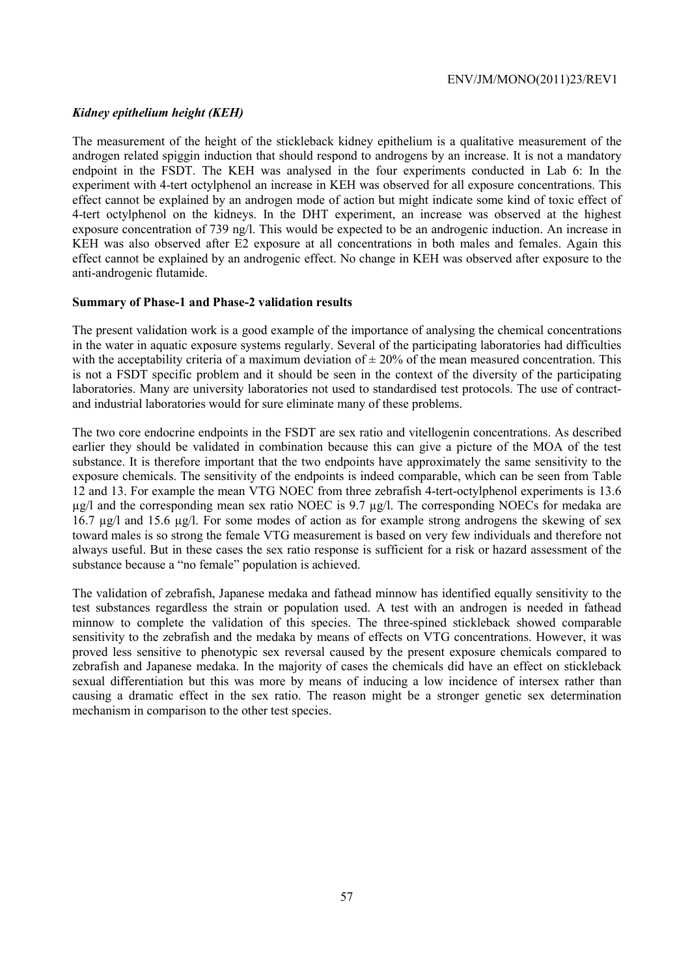## *Kidney epithelium height (KEH)*

The measurement of the height of the stickleback kidney epithelium is a qualitative measurement of the androgen related spiggin induction that should respond to androgens by an increase. It is not a mandatory endpoint in the FSDT. The KEH was analysed in the four experiments conducted in Lab 6: In the experiment with 4-tert octylphenol an increase in KEH was observed for all exposure concentrations. This effect cannot be explained by an androgen mode of action but might indicate some kind of toxic effect of 4-tert octylphenol on the kidneys. In the DHT experiment, an increase was observed at the highest exposure concentration of 739 ng/l. This would be expected to be an androgenic induction. An increase in KEH was also observed after E2 exposure at all concentrations in both males and females. Again this effect cannot be explained by an androgenic effect. No change in KEH was observed after exposure to the anti-androgenic flutamide.

### **Summary of Phase-1 and Phase-2 validation results**

The present validation work is a good example of the importance of analysing the chemical concentrations in the water in aquatic exposure systems regularly. Several of the participating laboratories had difficulties with the acceptability criteria of a maximum deviation of  $\pm 20\%$  of the mean measured concentration. This is not a FSDT specific problem and it should be seen in the context of the diversity of the participating laboratories. Many are university laboratories not used to standardised test protocols. The use of contractand industrial laboratories would for sure eliminate many of these problems.

The two core endocrine endpoints in the FSDT are sex ratio and vitellogenin concentrations. As described earlier they should be validated in combination because this can give a picture of the MOA of the test substance. It is therefore important that the two endpoints have approximately the same sensitivity to the exposure chemicals. The sensitivity of the endpoints is indeed comparable, which can be seen from Table 12 and 13. For example the mean VTG NOEC from three zebrafish 4-tert-octylphenol experiments is 13.6  $\mu$ g/l and the corresponding mean sex ratio NOEC is 9.7  $\mu$ g/l. The corresponding NOECs for medaka are 16.7 µg/l and 15.6 µg/l. For some modes of action as for example strong androgens the skewing of sex toward males is so strong the female VTG measurement is based on very few individuals and therefore not always useful. But in these cases the sex ratio response is sufficient for a risk or hazard assessment of the substance because a "no female" population is achieved.

The validation of zebrafish, Japanese medaka and fathead minnow has identified equally sensitivity to the test substances regardless the strain or population used. A test with an androgen is needed in fathead minnow to complete the validation of this species. The three-spined stickleback showed comparable sensitivity to the zebrafish and the medaka by means of effects on VTG concentrations. However, it was proved less sensitive to phenotypic sex reversal caused by the present exposure chemicals compared to zebrafish and Japanese medaka. In the majority of cases the chemicals did have an effect on stickleback sexual differentiation but this was more by means of inducing a low incidence of intersex rather than causing a dramatic effect in the sex ratio. The reason might be a stronger genetic sex determination mechanism in comparison to the other test species.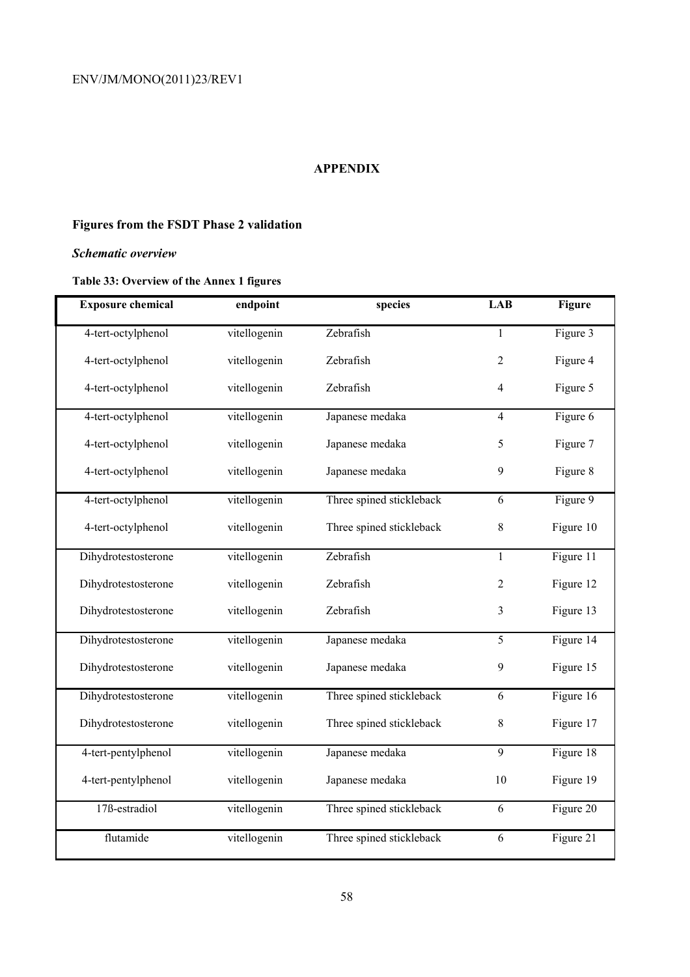## **APPENDIX**

# **Figures from the FSDT Phase 2 validation**

## *Schematic overview*

# **Table 33: Overview of the Annex 1 figures**

| <b>Exposure chemical</b> | endpoint     | species                  | <b>LAB</b>     | <b>Figure</b> |
|--------------------------|--------------|--------------------------|----------------|---------------|
| 4-tert-octylphenol       | vitellogenin | Zebrafish                | $\mathbf{1}$   | Figure 3      |
| 4-tert-octylphenol       | vitellogenin | Zebrafish                | $\overline{2}$ | Figure 4      |
| 4-tert-octylphenol       | vitellogenin | Zebrafish                | $\overline{4}$ | Figure 5      |
| 4-tert-octylphenol       | vitellogenin | Japanese medaka          | $\overline{4}$ | Figure 6      |
| 4-tert-octylphenol       | vitellogenin | Japanese medaka          | 5              | Figure 7      |
| 4-tert-octylphenol       | vitellogenin | Japanese medaka          | 9              | Figure 8      |
| 4-tert-octylphenol       | vitellogenin | Three spined stickleback | 6              | Figure 9      |
| 4-tert-octylphenol       | vitellogenin | Three spined stickleback | $\,8\,$        | Figure 10     |
| Dihydrotestosterone      | vitellogenin | Zebrafish                | $\mathbf{1}$   | Figure 11     |
| Dihydrotestosterone      | vitellogenin | Zebrafish                | $\overline{2}$ | Figure 12     |
| Dihydrotestosterone      | vitellogenin | Zebrafish                | $\mathfrak{Z}$ | Figure 13     |
| Dihydrotestosterone      | vitellogenin | Japanese medaka          | $\overline{5}$ | Figure 14     |
| Dihydrotestosterone      | vitellogenin | Japanese medaka          | 9              | Figure 15     |
| Dihydrotestosterone      | vitellogenin | Three spined stickleback | 6              | Figure 16     |
| Dihydrotestosterone      | vitellogenin | Three spined stickleback | $\,8\,$        | Figure 17     |
| 4-tert-pentylphenol      | vitellogenin | Japanese medaka          | $\overline{9}$ | Figure 18     |
| 4-tert-pentylphenol      | vitellogenin | Japanese medaka          | 10             | Figure 19     |
| 17ß-estradiol            | vitellogenin | Three spined stickleback | 6              | Figure 20     |
| flutamide                | vitellogenin | Three spined stickleback | 6              | Figure 21     |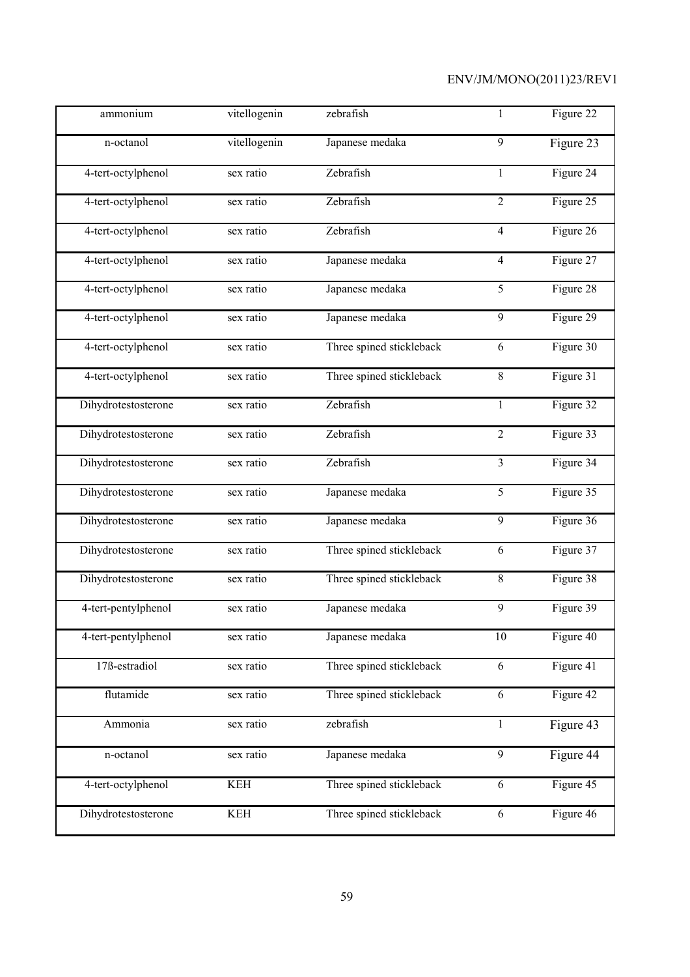| ammonium                   | vitellogenin | zebrafish                | 1              | Figure 22 |
|----------------------------|--------------|--------------------------|----------------|-----------|
| n-octanol                  | vitellogenin | Japanese medaka          | 9              | Figure 23 |
| 4-tert-octylphenol         | sex ratio    | Zebrafish                | $\mathbf{1}$   | Figure 24 |
| 4-tert-octylphenol         | sex ratio    | Zebrafish                | $\overline{2}$ | Figure 25 |
| 4-tert-octylphenol         | sex ratio    | Zebrafish                | $\overline{4}$ | Figure 26 |
| 4-tert-octylphenol         | sex ratio    | Japanese medaka          | $\overline{4}$ | Figure 27 |
| 4-tert-octylphenol         | sex ratio    | Japanese medaka          | 5              | Figure 28 |
| 4-tert-octylphenol         | sex ratio    | Japanese medaka          | 9              | Figure 29 |
| 4-tert-octylphenol         | sex ratio    | Three spined stickleback | 6              | Figure 30 |
| 4-tert-octylphenol         | sex ratio    | Three spined stickleback | 8              | Figure 31 |
| Dihydrotestosterone        | sex ratio    | Zebrafish                | $\mathbf{1}$   | Figure 32 |
| Dihydrotestosterone        | sex ratio    | Zebrafish                | $\overline{c}$ | Figure 33 |
| Dihydrotestosterone        | sex ratio    | Zebrafish                | 3              | Figure 34 |
| Dihydrotestosterone        | sex ratio    | Japanese medaka          | $\overline{5}$ | Figure 35 |
| Dihydrotestosterone        | sex ratio    | Japanese medaka          | 9              | Figure 36 |
| Dihydrotestosterone        | sex ratio    | Three spined stickleback | 6              | Figure 37 |
| Dihydrotestosterone        | sex ratio    | Three spined stickleback | $8\,$          | Figure 38 |
| 4-tert-pentylphenol        | sex ratio    | Japanese medaka          | 9              | Figure 39 |
| 4-tert-pentylphenol        | sex ratio    | Japanese medaka          | 10             | Figure 40 |
| 17 <sub>B</sub> -estradiol | sex ratio    | Three spined stickleback | $\sqrt{6}$     | Figure 41 |
| flutamide                  | sex ratio    | Three spined stickleback | 6              | Figure 42 |
| Ammonia                    | sex ratio    | zebrafish                | $\mathbf{1}$   | Figure 43 |
| n-octanol                  | sex ratio    | Japanese medaka          | 9              | Figure 44 |
| 4-tert-octylphenol         | <b>KEH</b>   | Three spined stickleback | 6              | Figure 45 |
| Dihydrotestosterone        | <b>KEH</b>   | Three spined stickleback | 6              | Figure 46 |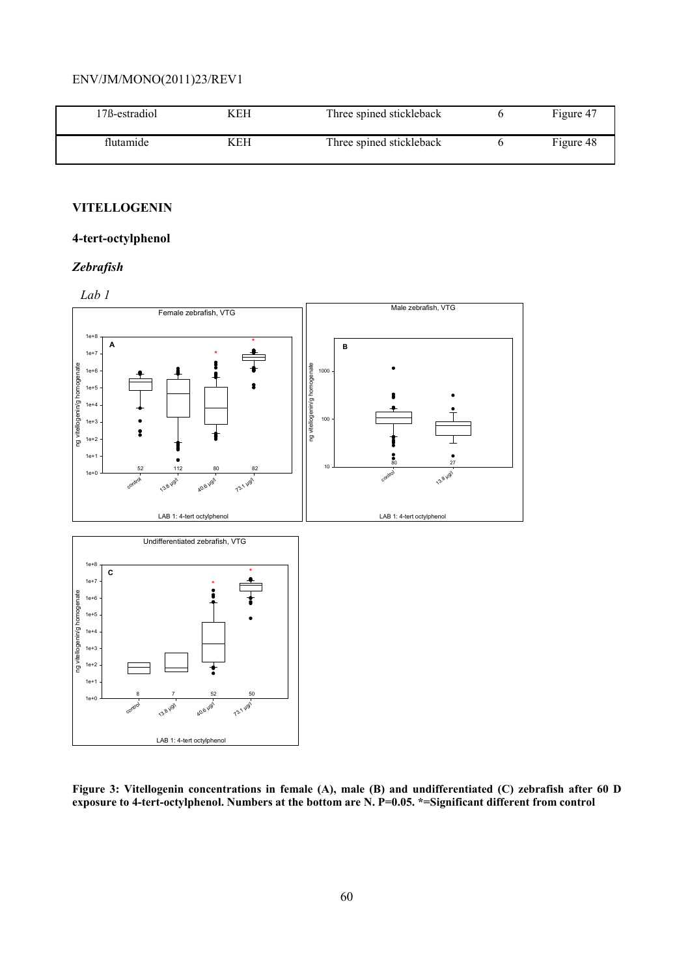| 17ß-estradiol | KEH | Three spined stickleback | Figure 47 |
|---------------|-----|--------------------------|-----------|
| flutamide     | KEH | Three spined stickleback | Figure 48 |

### **VITELLOGENIN**

## **4-tert-octylphenol**

## *Zebrafish*



**Figure 3: Vitellogenin concentrations in female (A), male (B) and undifferentiated (C) zebrafish after 60 D exposure to 4-tert-octylphenol. Numbers at the bottom are N. P=0.05. \*=Significant different from control**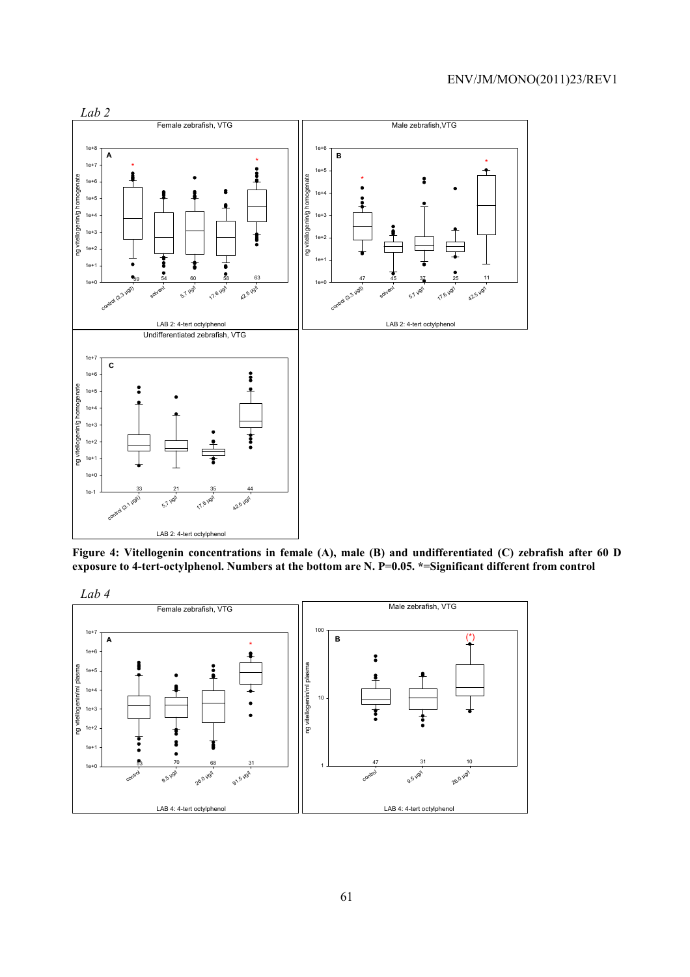

**Figure 4: Vitellogenin concentrations in female (A), male (B) and undifferentiated (C) zebrafish after 60 D exposure to 4-tert-octylphenol. Numbers at the bottom are N. P=0.05. \*=Significant different from control**



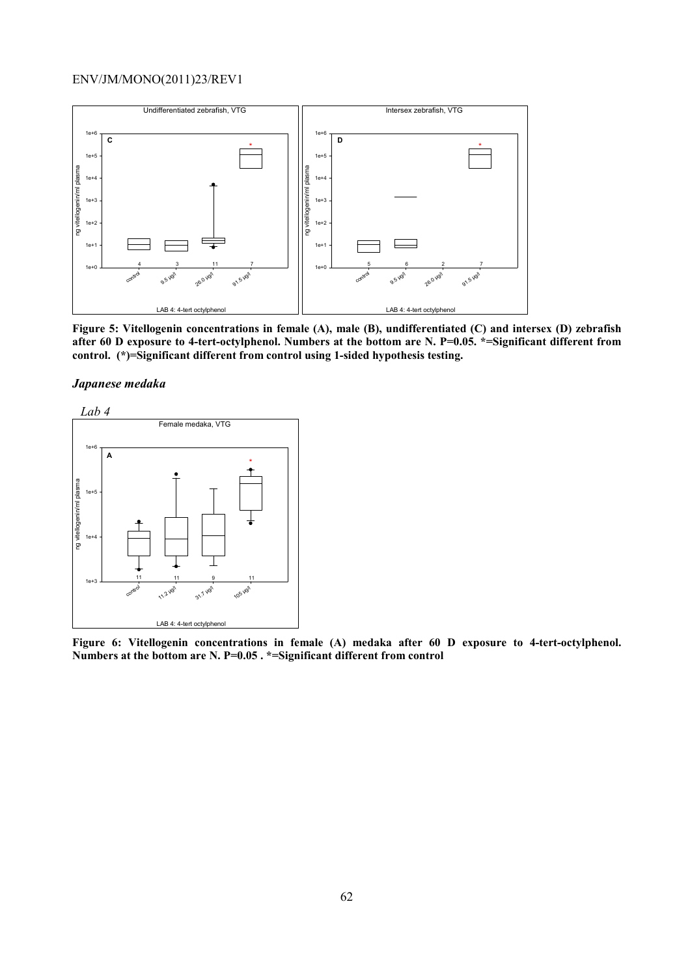

**Figure 5: Vitellogenin concentrations in female (A), male (B), undifferentiated (C) and intersex (D) zebrafish after 60 D exposure to 4-tert-octylphenol. Numbers at the bottom are N. P=0.05. \*=Significant different from control. (\*)=Significant different from control using 1-sided hypothesis testing.**





**Figure 6: Vitellogenin concentrations in female (A) medaka after 60 D exposure to 4-tert-octylphenol. Numbers at the bottom are N. P=0.05 . \*=Significant different from control**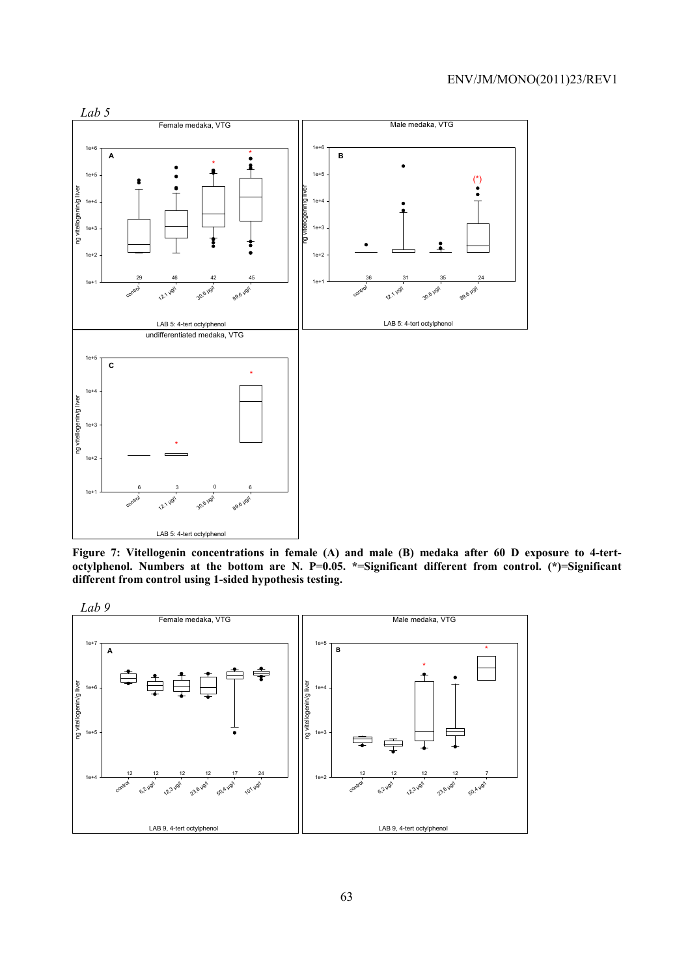

**Figure 7: Vitellogenin concentrations in female (A) and male (B) medaka after 60 D exposure to 4-tertoctylphenol. Numbers at the bottom are N. P=0.05. \*=Significant different from control. (\*)=Significant different from control using 1-sided hypothesis testing.**

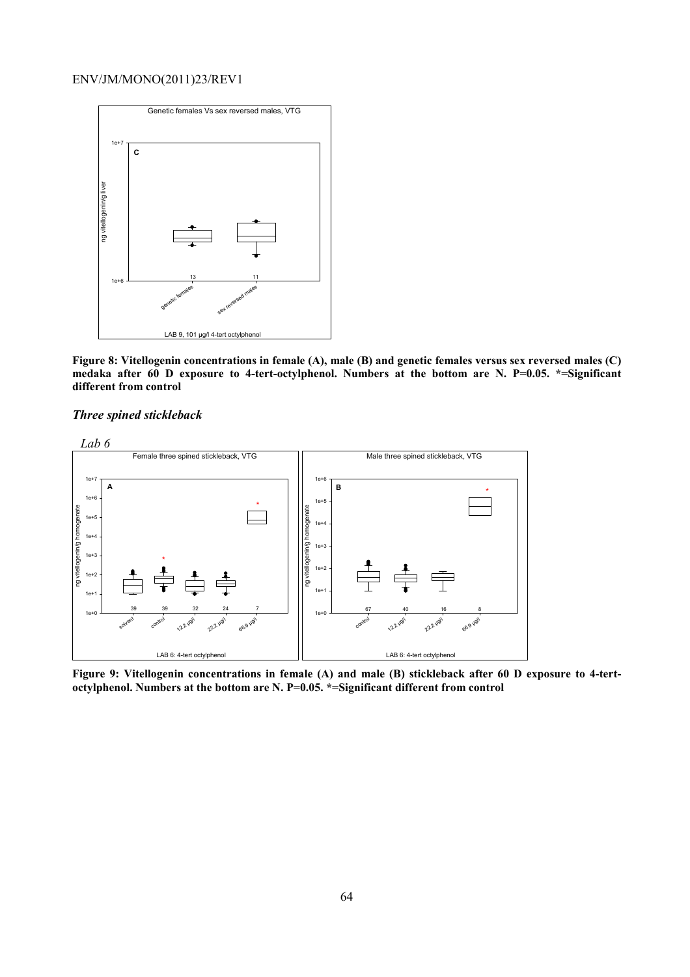

**Figure 8: Vitellogenin concentrations in female (A), male (B) and genetic females versus sex reversed males (C) medaka after 60 D exposure to 4-tert-octylphenol. Numbers at the bottom are N. P=0.05. \*=Significant different from control** 

#### *Three spined stickleback*



**Figure 9: Vitellogenin concentrations in female (A) and male (B) stickleback after 60 D exposure to 4-tertoctylphenol. Numbers at the bottom are N. P=0.05. \*=Significant different from control**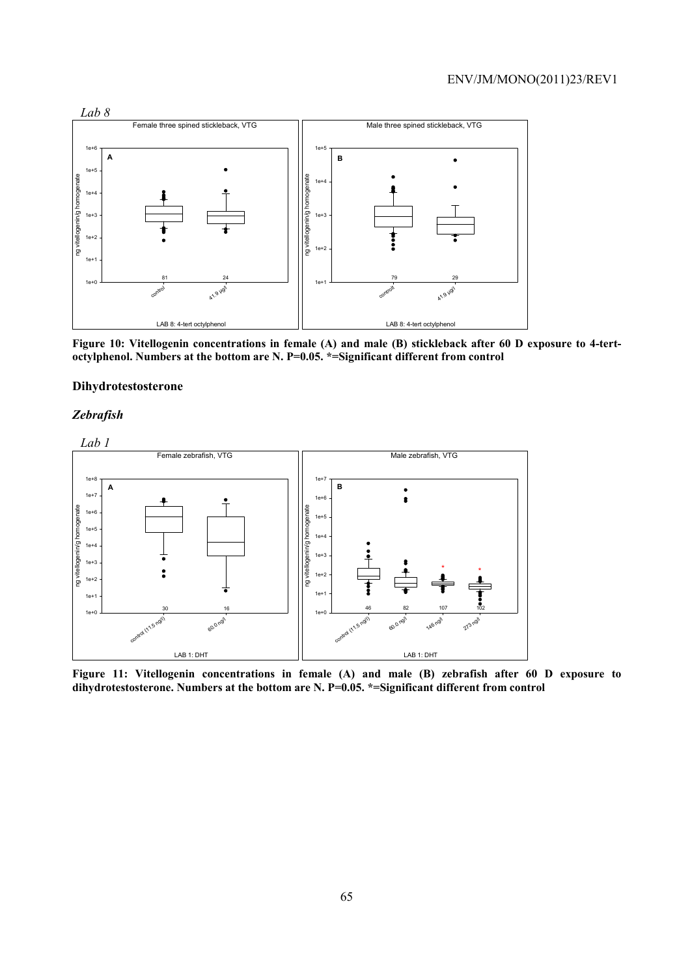

**Figure 10: Vitellogenin concentrations in female (A) and male (B) stickleback after 60 D exposure to 4-tertoctylphenol. Numbers at the bottom are N. P=0.05. \*=Significant different from control** 

#### **Dihydrotestosterone**

## *Zebrafish*



**Figure 11: Vitellogenin concentrations in female (A) and male (B) zebrafish after 60 D exposure to dihydrotestosterone. Numbers at the bottom are N. P=0.05. \*=Significant different from control**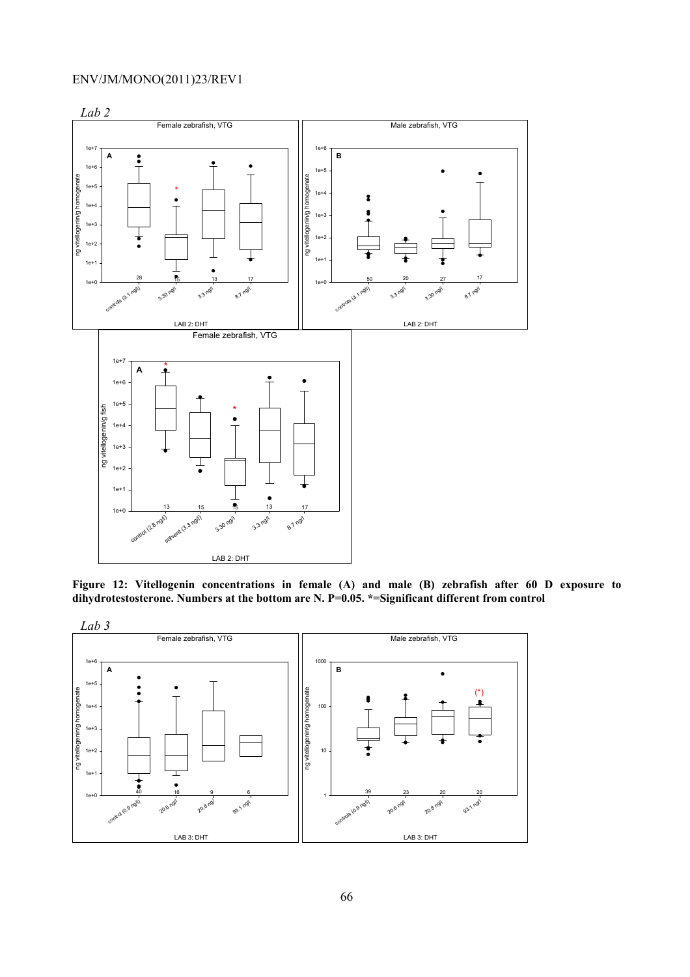

**Figure 12: Vitellogenin concentrations in female (A) and male (B) zebrafish after 60 D exposure to dihydrotestosterone. Numbers at the bottom are N. P=0.05. \*=Significant different from control** 

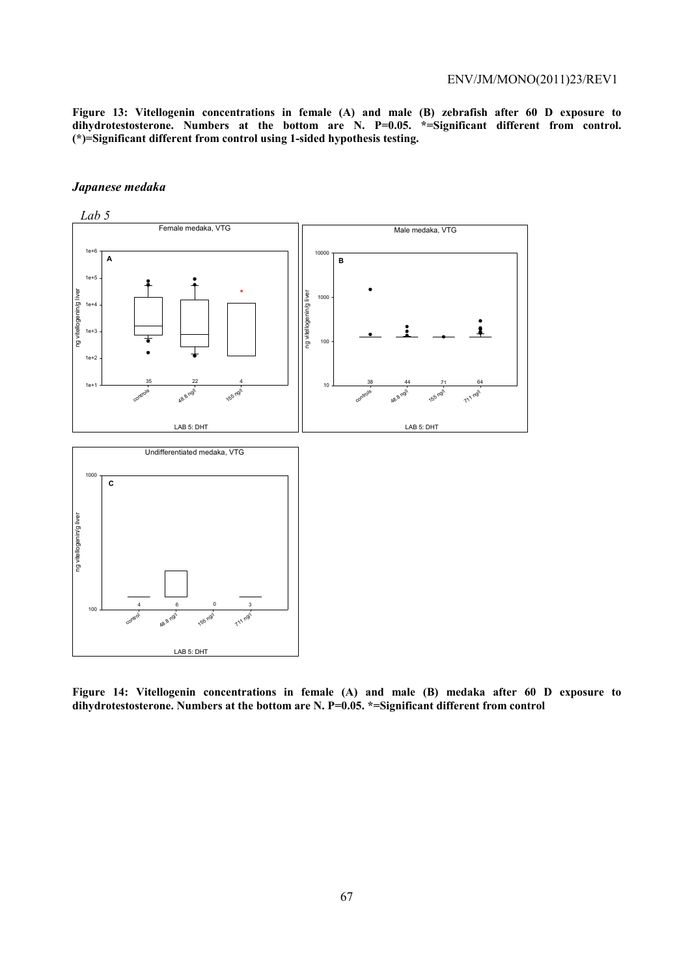**Figure 13: Vitellogenin concentrations in female (A) and male (B) zebrafish after 60 D exposure to**  dihydrotestosterone. Numbers at the bottom are N. P=0.05. \*=Significant different from control. **(\*)=Significant different from control using 1-sided hypothesis testing.**

#### *Japanese medaka*



**Figure 14: Vitellogenin concentrations in female (A) and male (B) medaka after 60 D exposure to dihydrotestosterone. Numbers at the bottom are N. P=0.05. \*=Significant different from control**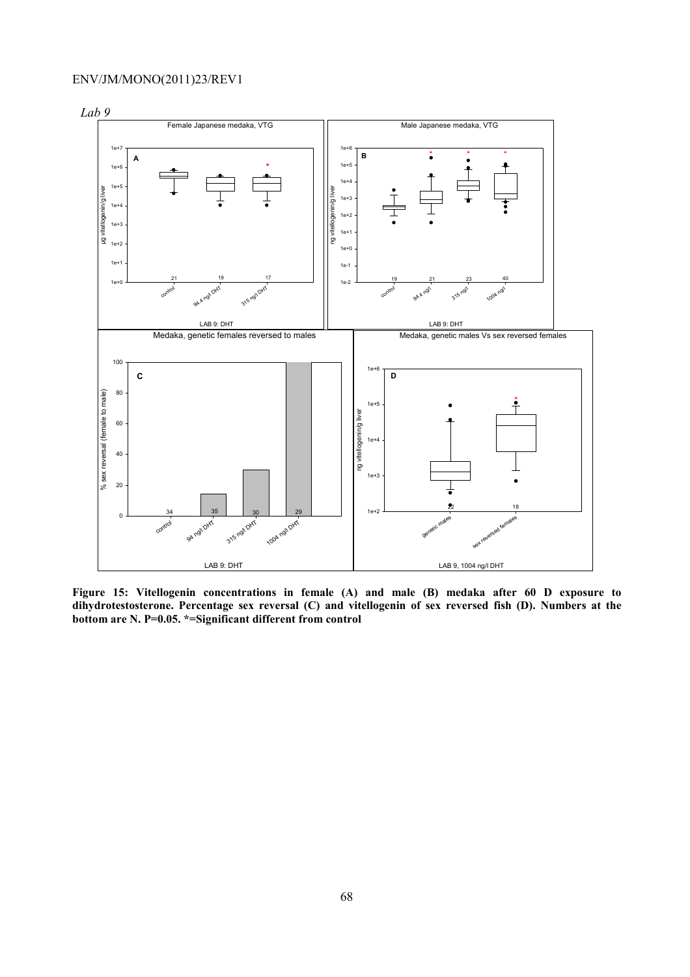

**Figure 15: Vitellogenin concentrations in female (A) and male (B) medaka after 60 D exposure to dihydrotestosterone. Percentage sex reversal (C) and vitellogenin of sex reversed fish (D). Numbers at the bottom are N. P=0.05. \*=Significant different from control**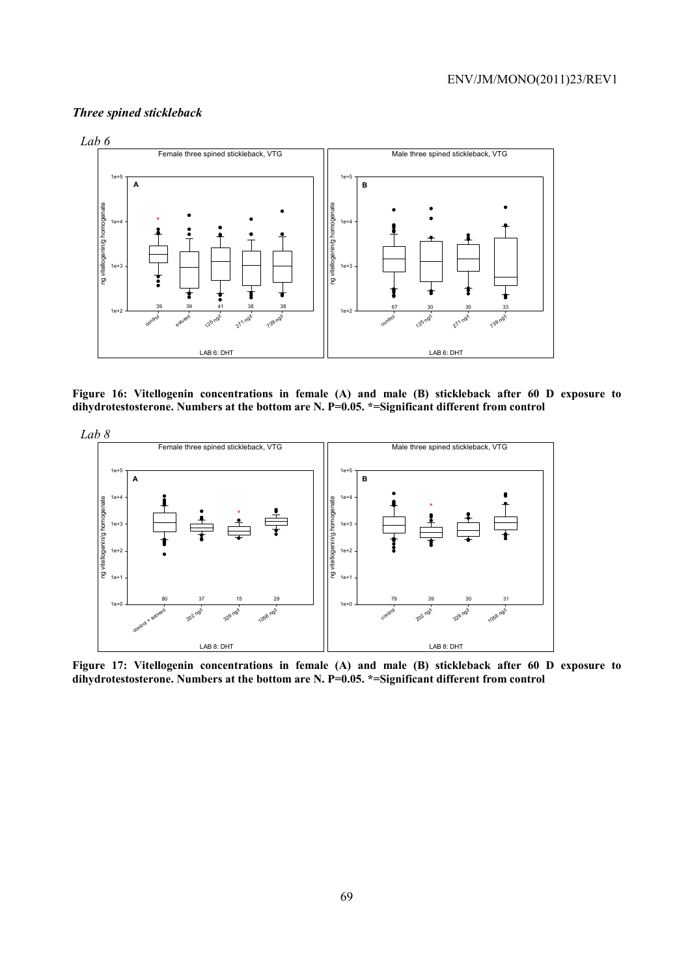# *Three spined stickleback*



**Figure 16: Vitellogenin concentrations in female (A) and male (B) stickleback after 60 D exposure to dihydrotestosterone. Numbers at the bottom are N. P=0.05. \*=Significant different from control** 



**Figure 17: Vitellogenin concentrations in female (A) and male (B) stickleback after 60 D exposure to dihydrotestosterone. Numbers at the bottom are N. P=0.05. \*=Significant different from control**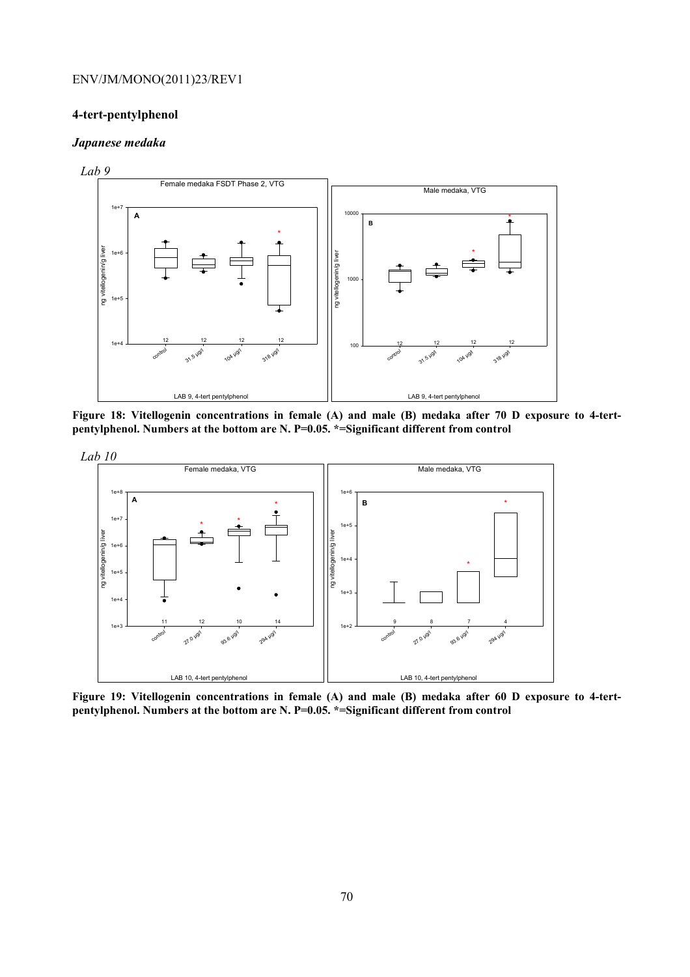#### **4-tert-pentylphenol**

#### *Japanese medaka*



**Figure 18: Vitellogenin concentrations in female (A) and male (B) medaka after 70 D exposure to 4-tertpentylphenol. Numbers at the bottom are N. P=0.05. \*=Significant different from control** 



**Figure 19: Vitellogenin concentrations in female (A) and male (B) medaka after 60 D exposure to 4-tertpentylphenol. Numbers at the bottom are N. P=0.05. \*=Significant different from control**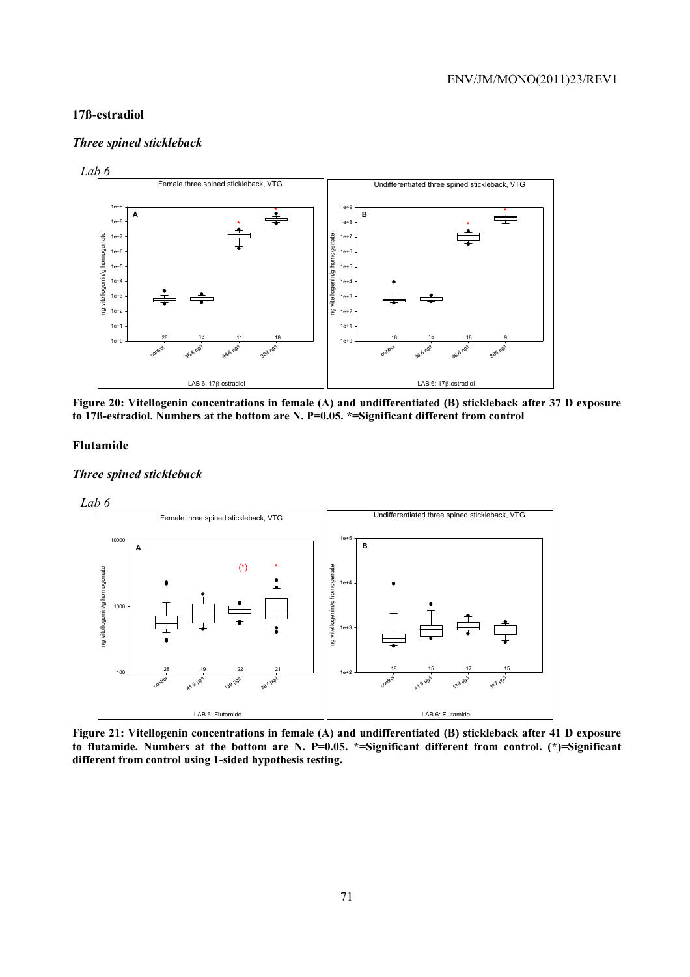#### **17ß-estradiol**

#### *Three spined stickleback*



**Figure 20: Vitellogenin concentrations in female (A) and undifferentiated (B) stickleback after 37 D exposure to 17ß-estradiol. Numbers at the bottom are N. P=0.05. \*=Significant different from control** 

#### **Flutamide**

#### *Three spined stickleback*



**Figure 21: Vitellogenin concentrations in female (A) and undifferentiated (B) stickleback after 41 D exposure to flutamide. Numbers at the bottom are N. P=0.05. \*=Significant different from control. (\*)=Significant different from control using 1-sided hypothesis testing.**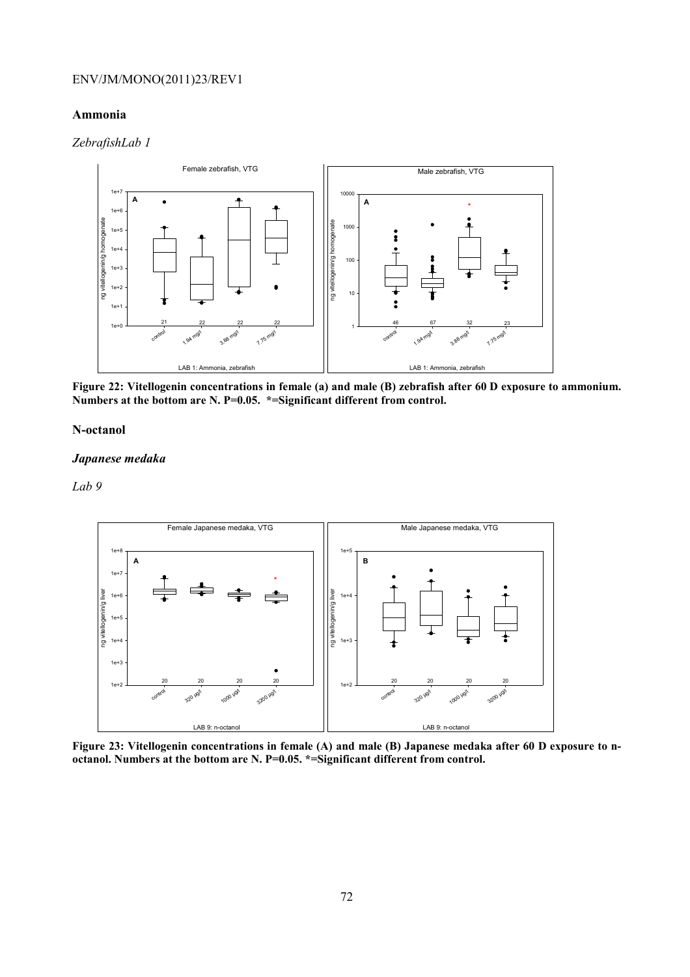#### **Ammonia**

### *ZebrafishLab 1*



**Figure 22: Vitellogenin concentrations in female (a) and male (B) zebrafish after 60 D exposure to ammonium. Numbers at the bottom are N. P=0.05. \*=Significant different from control.** 

#### **N-octanol**

#### *Japanese medaka*



**Figure 23: Vitellogenin concentrations in female (A) and male (B) Japanese medaka after 60 D exposure to noctanol. Numbers at the bottom are N. P=0.05. \*=Significant different from control.**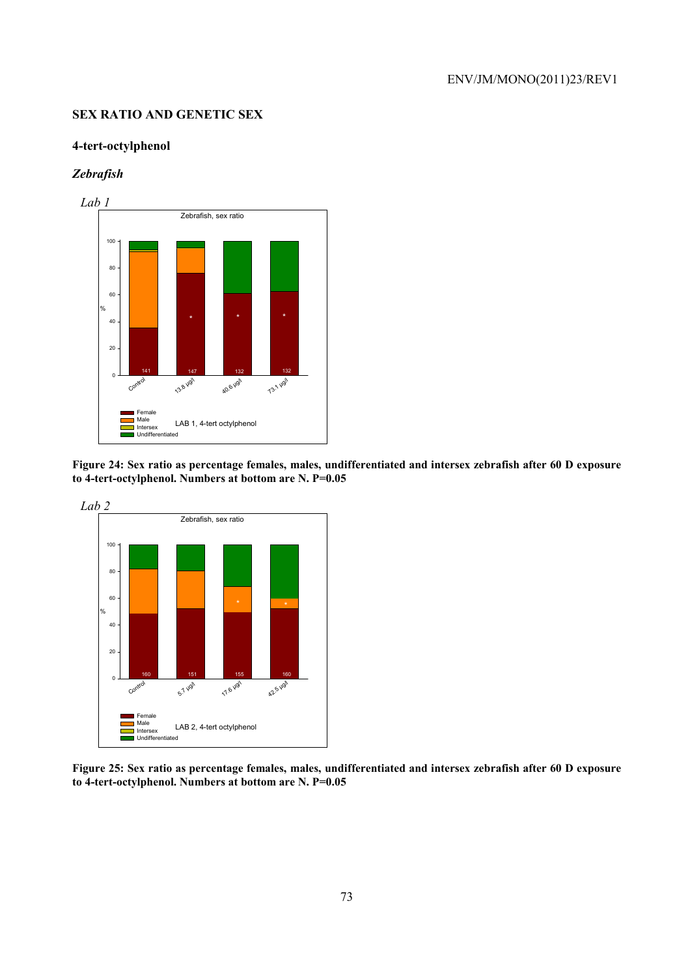### **SEX RATIO AND GENETIC SEX**

### **4-tert-octylphenol**

## *Zebrafish*



**Figure 24: Sex ratio as percentage females, males, undifferentiated and intersex zebrafish after 60 D exposure to 4-tert-octylphenol. Numbers at bottom are N. P=0.05** 



**Figure 25: Sex ratio as percentage females, males, undifferentiated and intersex zebrafish after 60 D exposure to 4-tert-octylphenol. Numbers at bottom are N. P=0.05**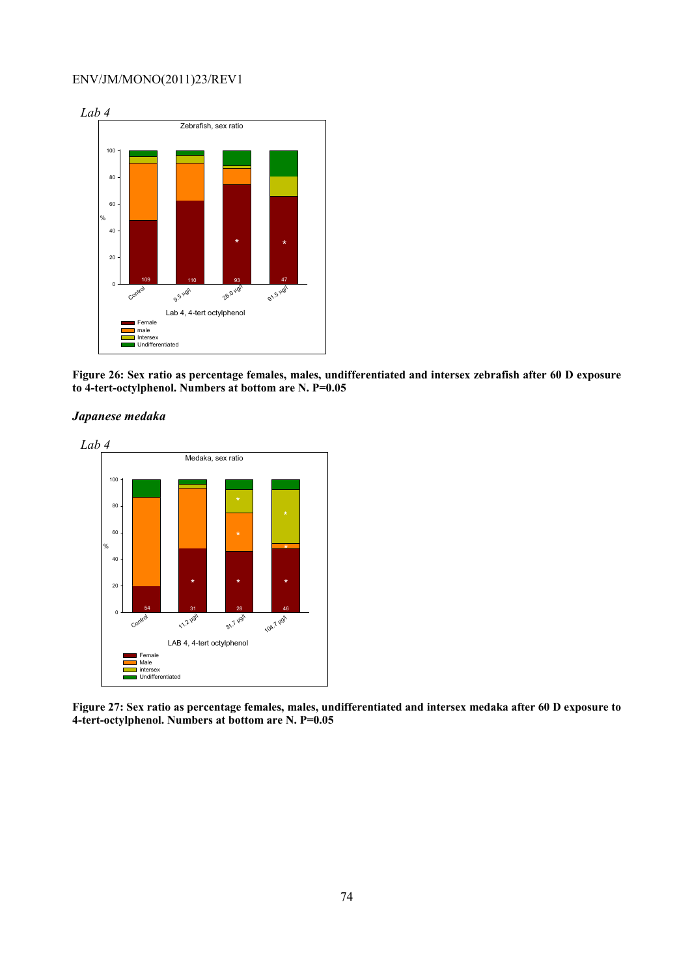

**Figure 26: Sex ratio as percentage females, males, undifferentiated and intersex zebrafish after 60 D exposure to 4-tert-octylphenol. Numbers at bottom are N. P=0.05** 

*Japanese medaka* 



**Figure 27: Sex ratio as percentage females, males, undifferentiated and intersex medaka after 60 D exposure to 4-tert-octylphenol. Numbers at bottom are N. P=0.05**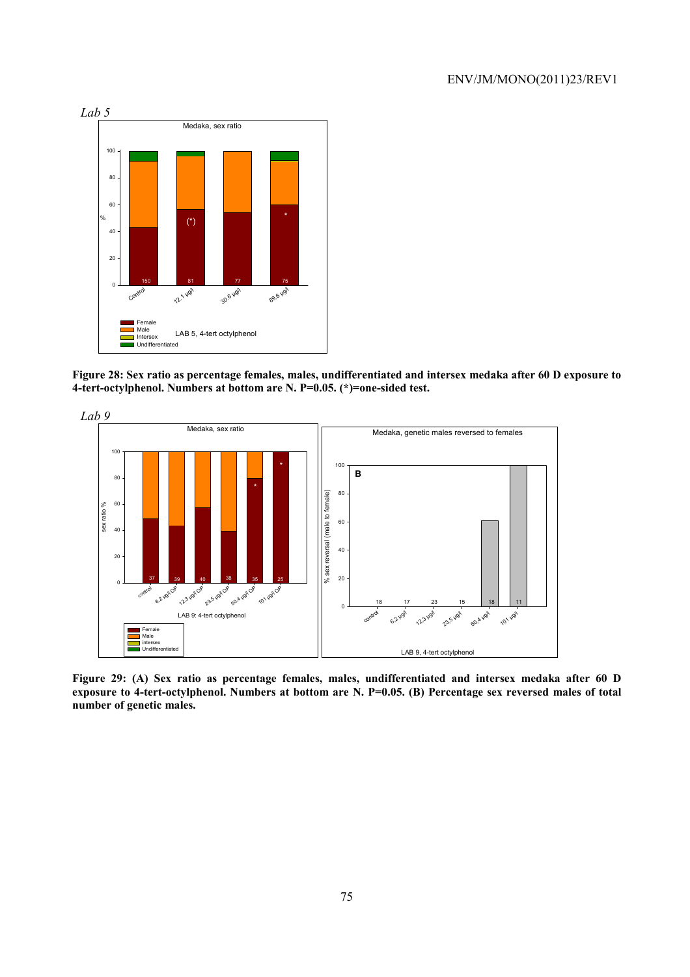

**Figure 28: Sex ratio as percentage females, males, undifferentiated and intersex medaka after 60 D exposure to 4-tert-octylphenol. Numbers at bottom are N. P=0.05. (\*)=one-sided test.** 



**Figure 29: (A) Sex ratio as percentage females, males, undifferentiated and intersex medaka after 60 D exposure to 4-tert-octylphenol. Numbers at bottom are N. P=0.05. (B) Percentage sex reversed males of total number of genetic males.**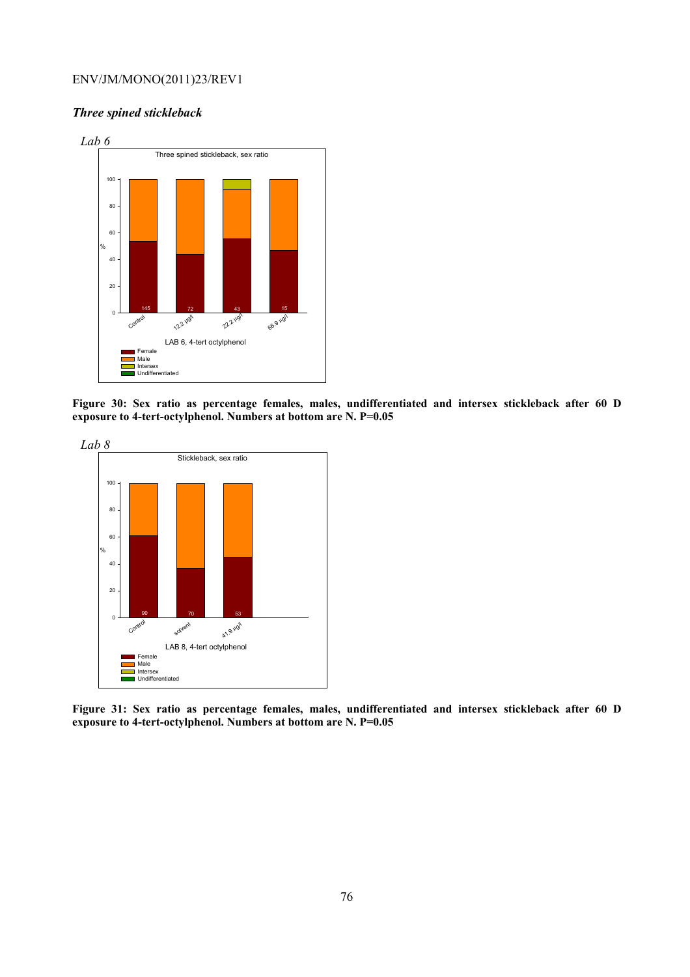## *Three spined stickleback*



**Figure 30: Sex ratio as percentage females, males, undifferentiated and intersex stickleback after 60 D exposure to 4-tert-octylphenol. Numbers at bottom are N. P=0.05** 



**Figure 31: Sex ratio as percentage females, males, undifferentiated and intersex stickleback after 60 D exposure to 4-tert-octylphenol. Numbers at bottom are N. P=0.05**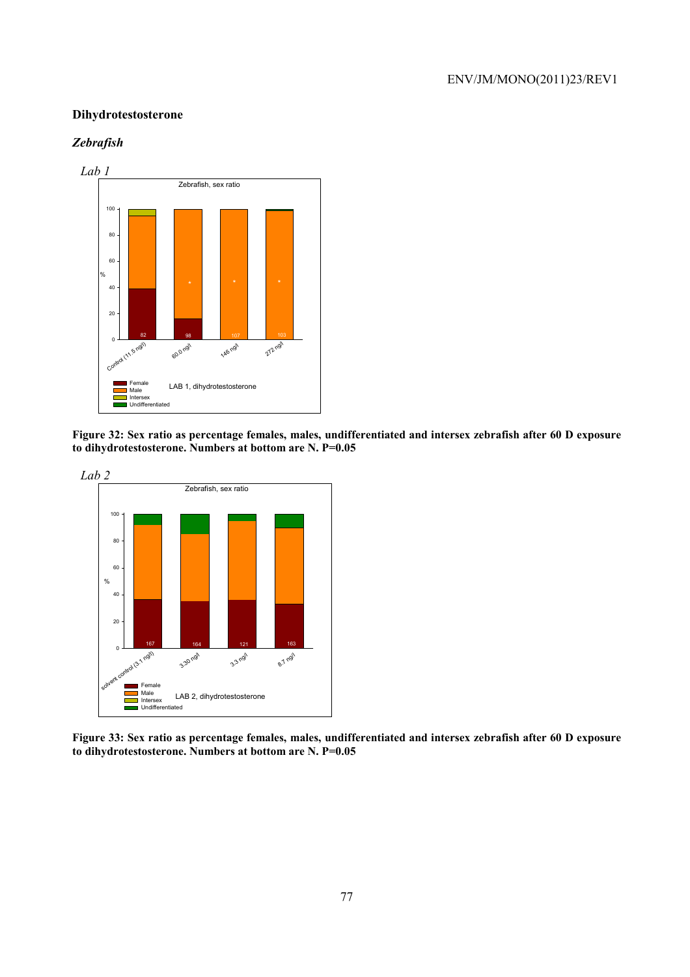### **Dihydrotestosterone**

### *Zebrafish*



**Figure 32: Sex ratio as percentage females, males, undifferentiated and intersex zebrafish after 60 D exposure to dihydrotestosterone. Numbers at bottom are N. P=0.05** 



**Figure 33: Sex ratio as percentage females, males, undifferentiated and intersex zebrafish after 60 D exposure to dihydrotestosterone. Numbers at bottom are N. P=0.05**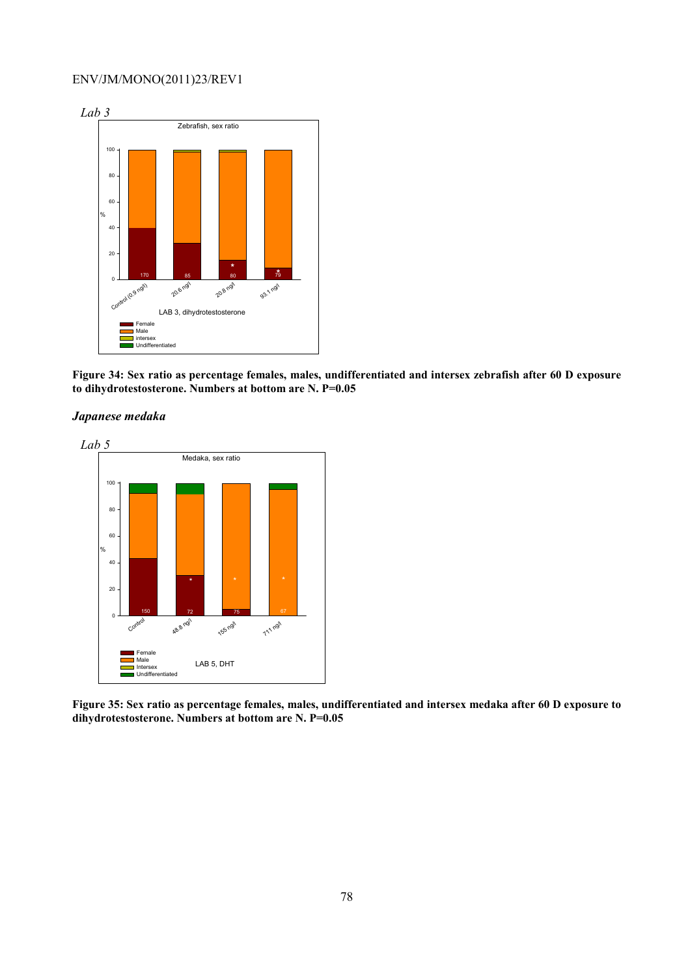

**Figure 34: Sex ratio as percentage females, males, undifferentiated and intersex zebrafish after 60 D exposure to dihydrotestosterone. Numbers at bottom are N. P=0.05** 





**Figure 35: Sex ratio as percentage females, males, undifferentiated and intersex medaka after 60 D exposure to dihydrotestosterone. Numbers at bottom are N. P=0.05**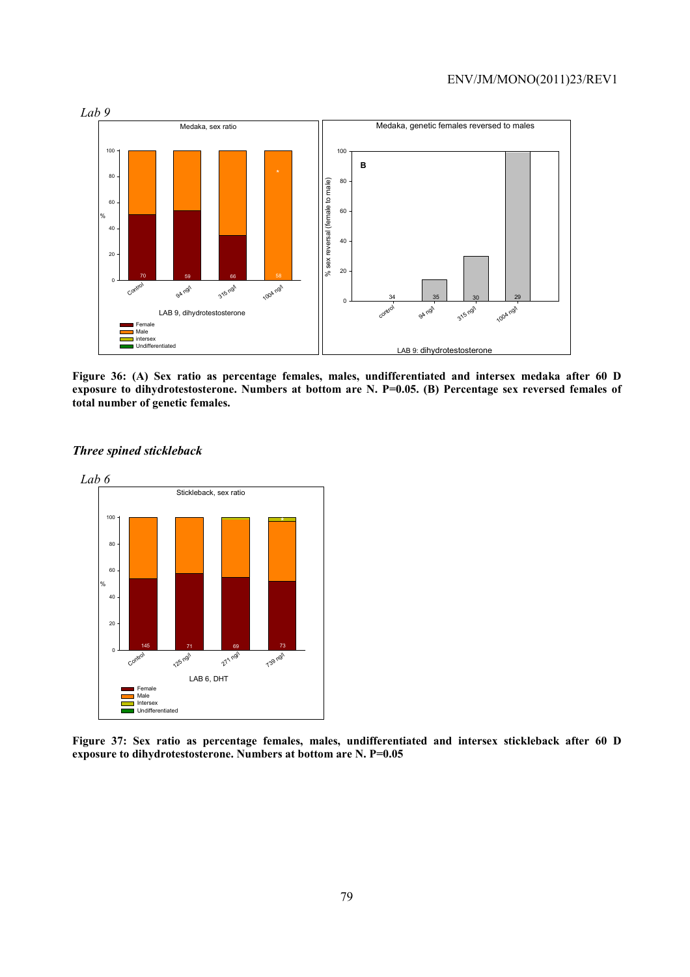

**Figure 36: (A) Sex ratio as percentage females, males, undifferentiated and intersex medaka after 60 D exposure to dihydrotestosterone. Numbers at bottom are N. P=0.05. (B) Percentage sex reversed females of total number of genetic females.** 



*Three spined stickleback* 

**Figure 37: Sex ratio as percentage females, males, undifferentiated and intersex stickleback after 60 D exposure to dihydrotestosterone. Numbers at bottom are N. P=0.05**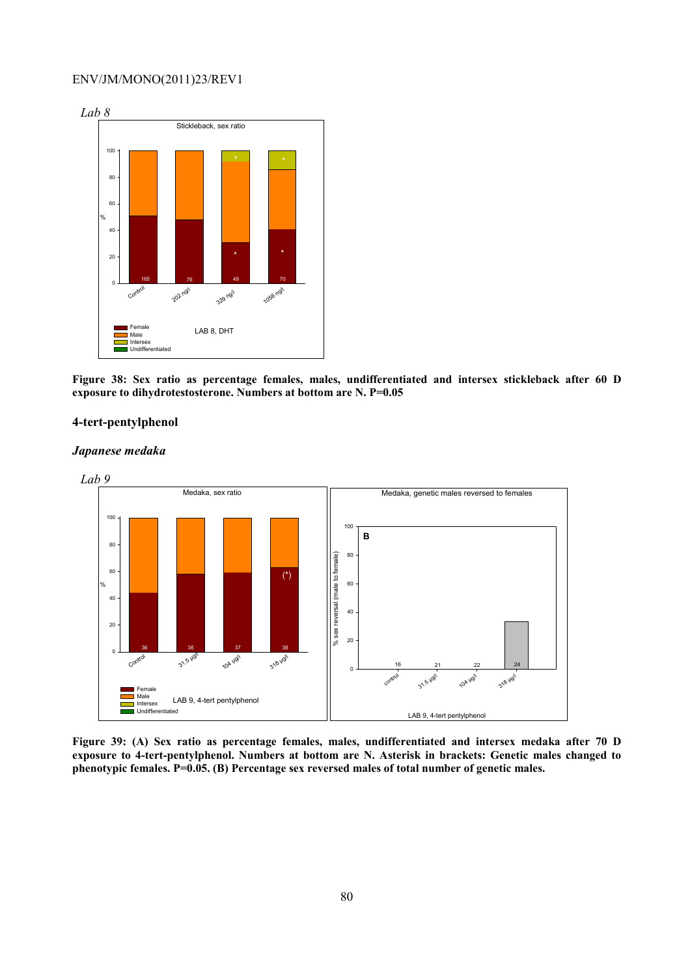

**Figure 38: Sex ratio as percentage females, males, undifferentiated and intersex stickleback after 60 D exposure to dihydrotestosterone. Numbers at bottom are N. P=0.05** 

### **4-tert-pentylphenol**

#### *Japanese medaka*



**Figure 39: (A) Sex ratio as percentage females, males, undifferentiated and intersex medaka after 70 D exposure to 4-tert-pentylphenol. Numbers at bottom are N. Asterisk in brackets: Genetic males changed to phenotypic females. P=0.05. (B) Percentage sex reversed males of total number of genetic males.**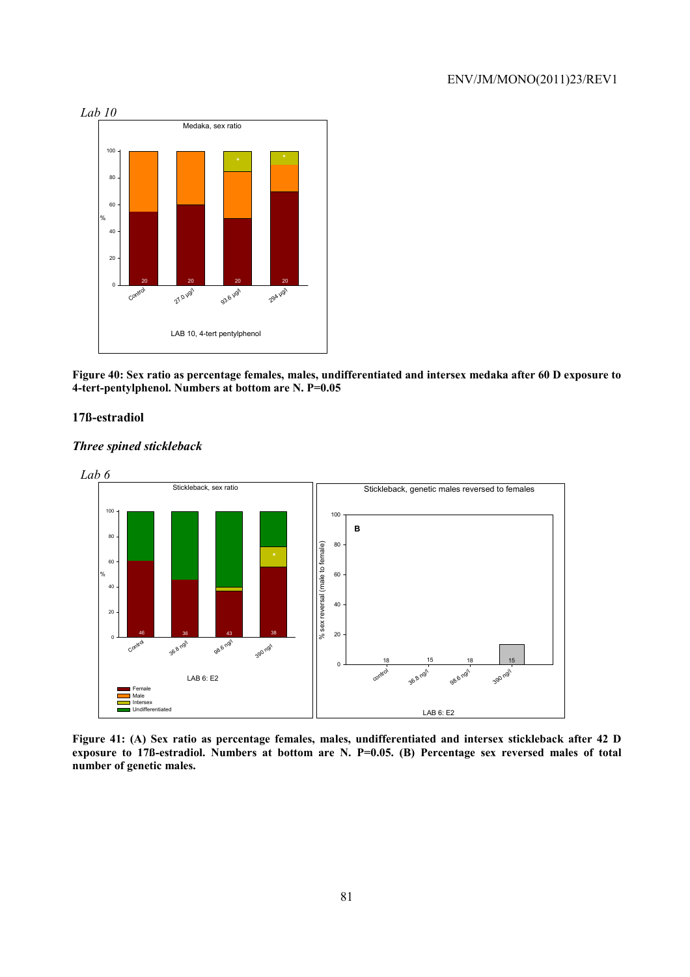

**Figure 40: Sex ratio as percentage females, males, undifferentiated and intersex medaka after 60 D exposure to 4-tert-pentylphenol. Numbers at bottom are N. P=0.05** 

## **17ß-estradiol**

#### *Three spined stickleback*



**Figure 41: (A) Sex ratio as percentage females, males, undifferentiated and intersex stickleback after 42 D exposure to 17ß-estradiol. Numbers at bottom are N. P=0.05. (B) Percentage sex reversed males of total number of genetic males.**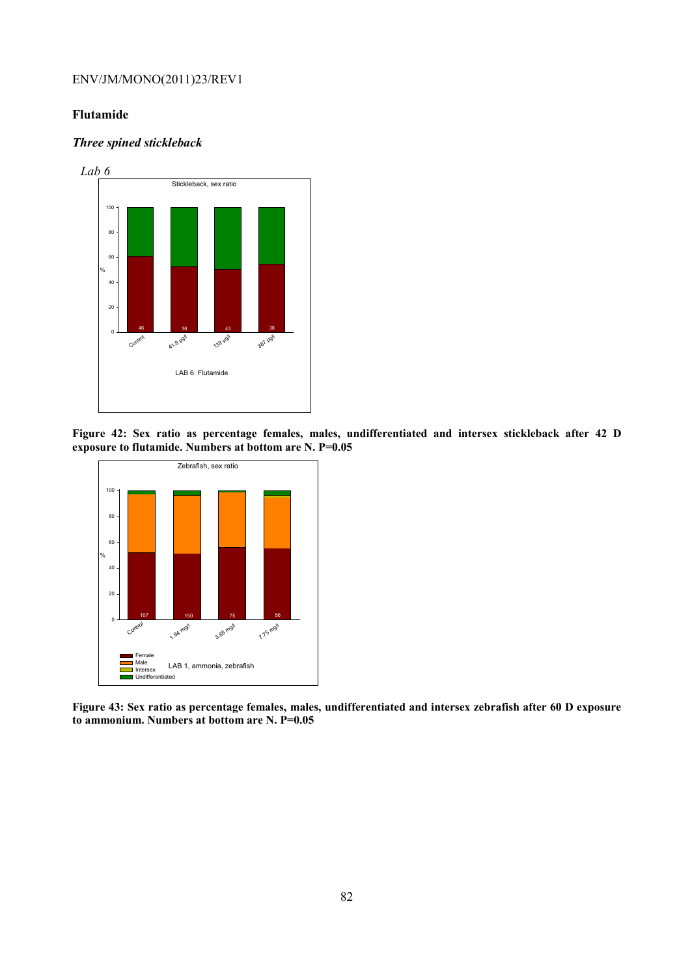### **Flutamide**

### *Three spined stickleback*



**Figure 42: Sex ratio as percentage females, males, undifferentiated and intersex stickleback after 42 D exposure to flutamide. Numbers at bottom are N. P=0.05** 



**Figure 43: Sex ratio as percentage females, males, undifferentiated and intersex zebrafish after 60 D exposure to ammonium. Numbers at bottom are N. P=0.05**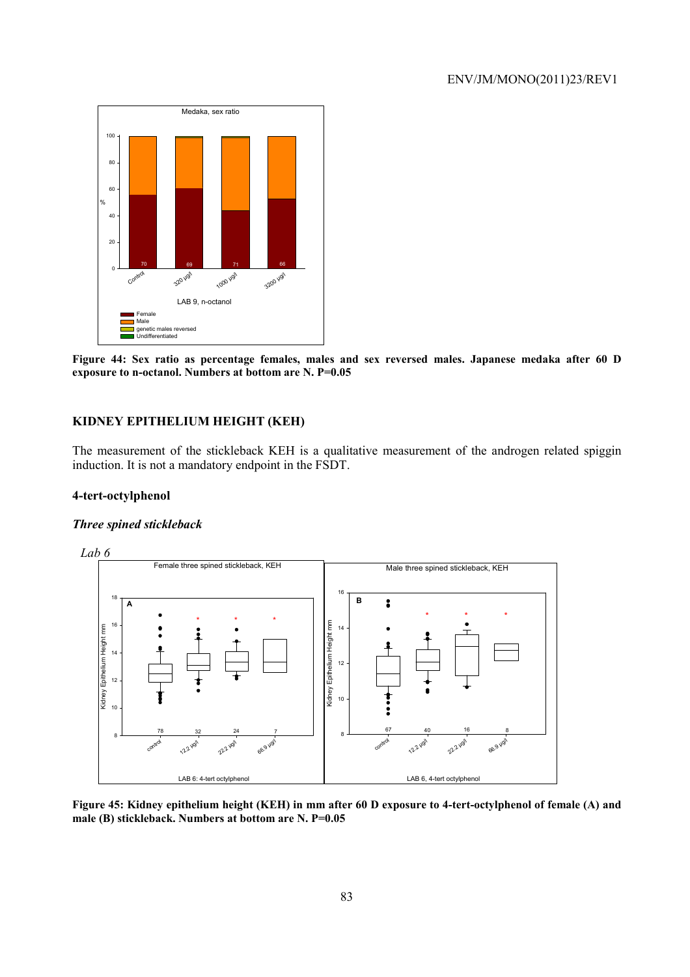

**Figure 44: Sex ratio as percentage females, males and sex reversed males. Japanese medaka after 60 D exposure to n-octanol. Numbers at bottom are N. P=0.05** 

## **KIDNEY EPITHELIUM HEIGHT (KEH)**

The measurement of the stickleback KEH is a qualitative measurement of the androgen related spiggin induction. It is not a mandatory endpoint in the FSDT.

### **4-tert-octylphenol**

### *Three spined stickleback*



**Figure 45: Kidney epithelium height (KEH) in mm after 60 D exposure to 4-tert-octylphenol of female (A) and male (B) stickleback. Numbers at bottom are N. P=0.05**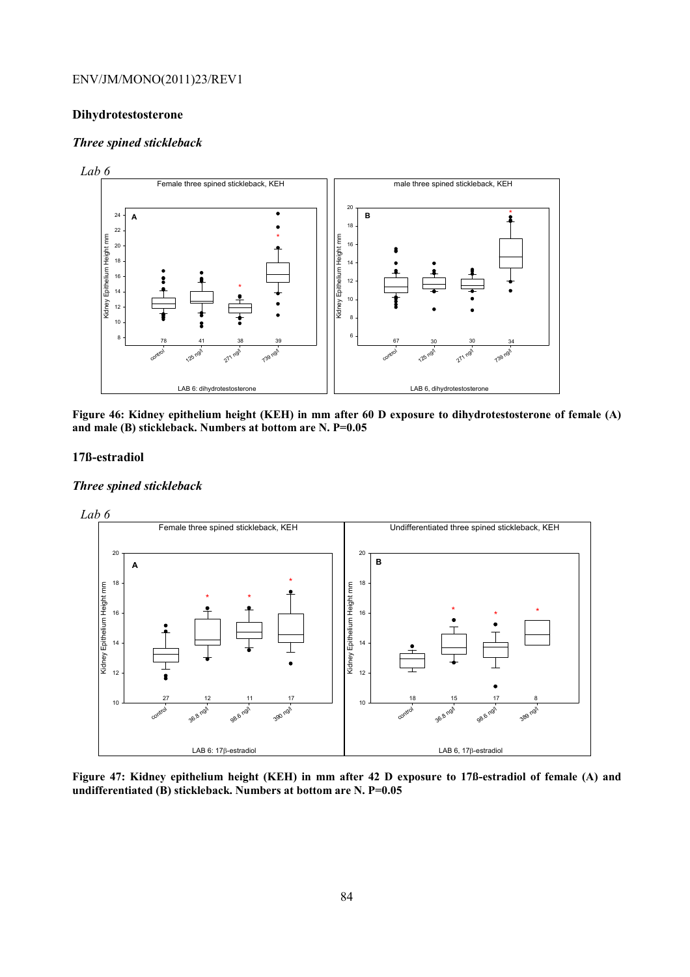### **Dihydrotestosterone**

#### *Three spined stickleback*





**Figure 46: Kidney epithelium height (KEH) in mm after 60 D exposure to dihydrotestosterone of female (A) and male (B) stickleback. Numbers at bottom are N. P=0.05** 

#### **17ß-estradiol**

### *Three spined stickleback*



**Figure 47: Kidney epithelium height (KEH) in mm after 42 D exposure to 17ß-estradiol of female (A) and undifferentiated (B) stickleback. Numbers at bottom are N. P=0.05**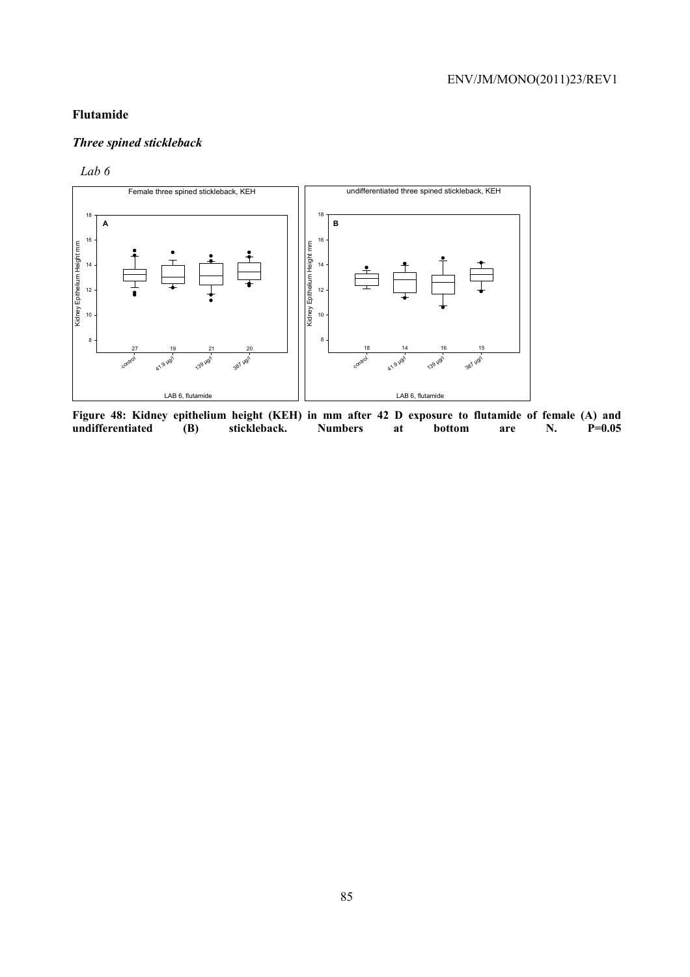## **Flutamide**

# *Three spined stickleback*

### *Lab 6*



Figure 48: Kidney epithelium height (KEH) in mm after 42 D exposure to flutamide of female (A) and undifferentiated (B) stickleback. Numbers at bottom are N. P=0.05 undifferentiated (B) stickleback. Numbers at bottom are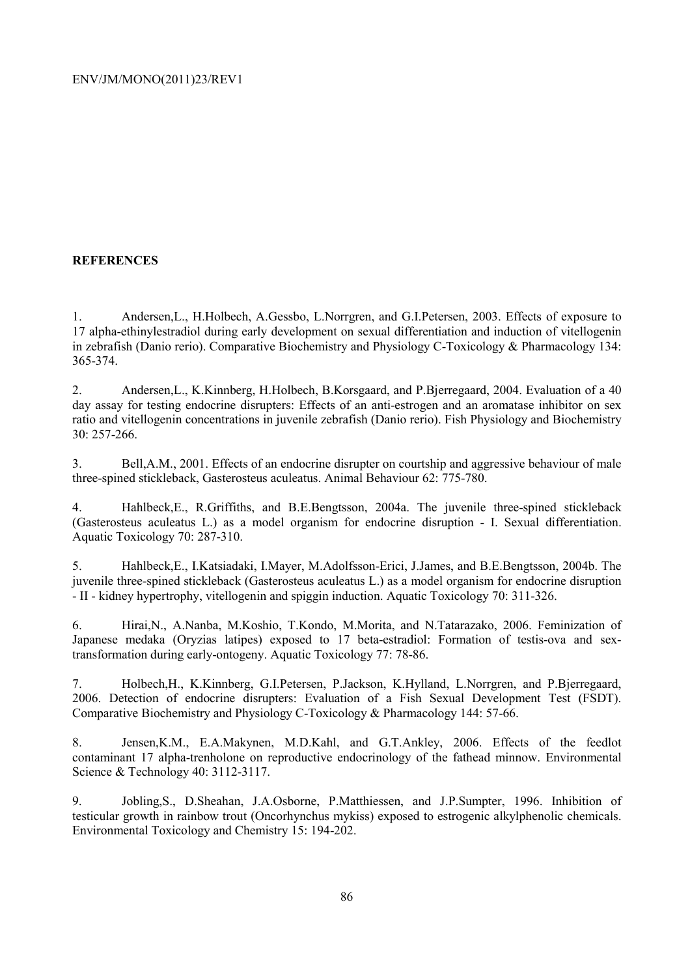## **REFERENCES**

1. Andersen,L., H.Holbech, A.Gessbo, L.Norrgren, and G.I.Petersen, 2003. Effects of exposure to 17 alpha-ethinylestradiol during early development on sexual differentiation and induction of vitellogenin in zebrafish (Danio rerio). Comparative Biochemistry and Physiology C-Toxicology & Pharmacology 134: 365-374.

2. Andersen,L., K.Kinnberg, H.Holbech, B.Korsgaard, and P.Bjerregaard, 2004. Evaluation of a 40 day assay for testing endocrine disrupters: Effects of an anti-estrogen and an aromatase inhibitor on sex ratio and vitellogenin concentrations in juvenile zebrafish (Danio rerio). Fish Physiology and Biochemistry 30: 257-266.

3. Bell,A.M., 2001. Effects of an endocrine disrupter on courtship and aggressive behaviour of male three-spined stickleback, Gasterosteus aculeatus. Animal Behaviour 62: 775-780.

4. Hahlbeck,E., R.Griffiths, and B.E.Bengtsson, 2004a. The juvenile three-spined stickleback (Gasterosteus aculeatus L.) as a model organism for endocrine disruption - I. Sexual differentiation. Aquatic Toxicology 70: 287-310.

5. Hahlbeck,E., I.Katsiadaki, I.Mayer, M.Adolfsson-Erici, J.James, and B.E.Bengtsson, 2004b. The juvenile three-spined stickleback (Gasterosteus aculeatus L.) as a model organism for endocrine disruption - II - kidney hypertrophy, vitellogenin and spiggin induction. Aquatic Toxicology 70: 311-326.

6. Hirai,N., A.Nanba, M.Koshio, T.Kondo, M.Morita, and N.Tatarazako, 2006. Feminization of Japanese medaka (Oryzias latipes) exposed to 17 beta-estradiol: Formation of testis-ova and sextransformation during early-ontogeny. Aquatic Toxicology 77: 78-86.

7. Holbech,H., K.Kinnberg, G.I.Petersen, P.Jackson, K.Hylland, L.Norrgren, and P.Bjerregaard, 2006. Detection of endocrine disrupters: Evaluation of a Fish Sexual Development Test (FSDT). Comparative Biochemistry and Physiology C-Toxicology & Pharmacology 144: 57-66.

8. Jensen,K.M., E.A.Makynen, M.D.Kahl, and G.T.Ankley, 2006. Effects of the feedlot contaminant 17 alpha-trenholone on reproductive endocrinology of the fathead minnow. Environmental Science & Technology 40: 3112-3117.

9. Jobling,S., D.Sheahan, J.A.Osborne, P.Matthiessen, and J.P.Sumpter, 1996. Inhibition of testicular growth in rainbow trout (Oncorhynchus mykiss) exposed to estrogenic alkylphenolic chemicals. Environmental Toxicology and Chemistry 15: 194-202.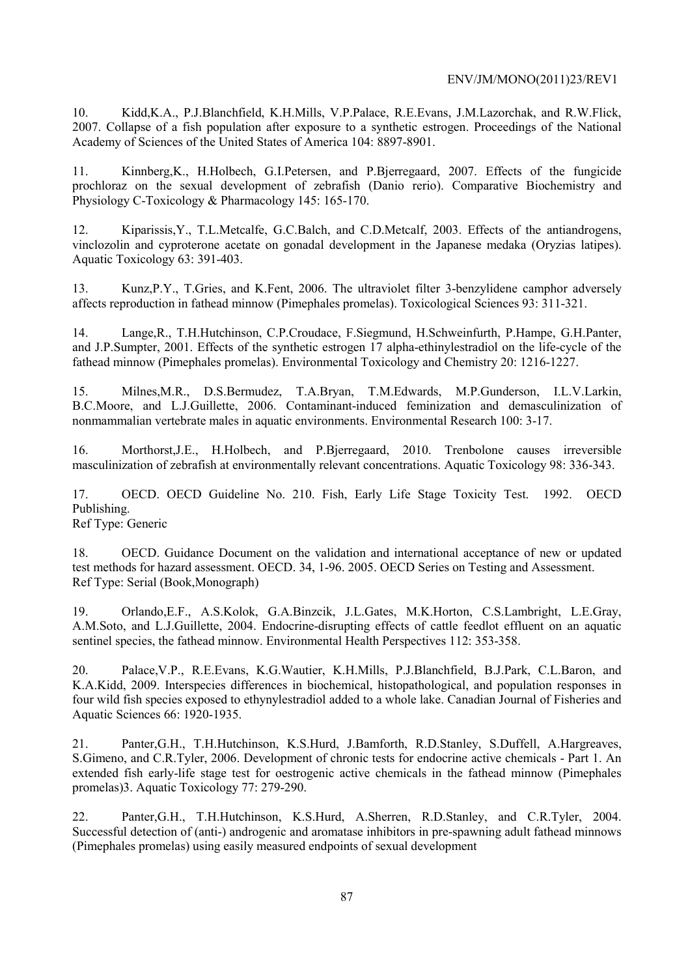10. Kidd,K.A., P.J.Blanchfield, K.H.Mills, V.P.Palace, R.E.Evans, J.M.Lazorchak, and R.W.Flick, 2007. Collapse of a fish population after exposure to a synthetic estrogen. Proceedings of the National Academy of Sciences of the United States of America 104: 8897-8901.

11. Kinnberg,K., H.Holbech, G.I.Petersen, and P.Bjerregaard, 2007. Effects of the fungicide prochloraz on the sexual development of zebrafish (Danio rerio). Comparative Biochemistry and Physiology C-Toxicology & Pharmacology 145: 165-170.

12. Kiparissis,Y., T.L.Metcalfe, G.C.Balch, and C.D.Metcalf, 2003. Effects of the antiandrogens, vinclozolin and cyproterone acetate on gonadal development in the Japanese medaka (Oryzias latipes). Aquatic Toxicology 63: 391-403.

13. Kunz,P.Y., T.Gries, and K.Fent, 2006. The ultraviolet filter 3-benzylidene camphor adversely affects reproduction in fathead minnow (Pimephales promelas). Toxicological Sciences 93: 311-321.

14. Lange,R., T.H.Hutchinson, C.P.Croudace, F.Siegmund, H.Schweinfurth, P.Hampe, G.H.Panter, and J.P.Sumpter, 2001. Effects of the synthetic estrogen 17 alpha-ethinylestradiol on the life-cycle of the fathead minnow (Pimephales promelas). Environmental Toxicology and Chemistry 20: 1216-1227.

15. Milnes,M.R., D.S.Bermudez, T.A.Bryan, T.M.Edwards, M.P.Gunderson, I.L.V.Larkin, B.C.Moore, and L.J.Guillette, 2006. Contaminant-induced feminization and demasculinization of nonmammalian vertebrate males in aquatic environments. Environmental Research 100: 3-17.

16. Morthorst,J.E., H.Holbech, and P.Bjerregaard, 2010. Trenbolone causes irreversible masculinization of zebrafish at environmentally relevant concentrations. Aquatic Toxicology 98: 336-343.

17. OECD. OECD Guideline No. 210. Fish, Early Life Stage Toxicity Test. 1992. OECD Publishing.

Ref Type: Generic

18. OECD. Guidance Document on the validation and international acceptance of new or updated test methods for hazard assessment. OECD. 34, 1-96. 2005. OECD Series on Testing and Assessment. Ref Type: Serial (Book,Monograph)

19. Orlando,E.F., A.S.Kolok, G.A.Binzcik, J.L.Gates, M.K.Horton, C.S.Lambright, L.E.Gray, A.M.Soto, and L.J.Guillette, 2004. Endocrine-disrupting effects of cattle feedlot effluent on an aquatic sentinel species, the fathead minnow. Environmental Health Perspectives 112: 353-358.

20. Palace,V.P., R.E.Evans, K.G.Wautier, K.H.Mills, P.J.Blanchfield, B.J.Park, C.L.Baron, and K.A.Kidd, 2009. Interspecies differences in biochemical, histopathological, and population responses in four wild fish species exposed to ethynylestradiol added to a whole lake. Canadian Journal of Fisheries and Aquatic Sciences 66: 1920-1935.

21. Panter,G.H., T.H.Hutchinson, K.S.Hurd, J.Bamforth, R.D.Stanley, S.Duffell, A.Hargreaves, S.Gimeno, and C.R.Tyler, 2006. Development of chronic tests for endocrine active chemicals - Part 1. An extended fish early-life stage test for oestrogenic active chemicals in the fathead minnow (Pimephales promelas)3. Aquatic Toxicology 77: 279-290.

22. Panter,G.H., T.H.Hutchinson, K.S.Hurd, A.Sherren, R.D.Stanley, and C.R.Tyler, 2004. Successful detection of (anti-) androgenic and aromatase inhibitors in pre-spawning adult fathead minnows (Pimephales promelas) using easily measured endpoints of sexual development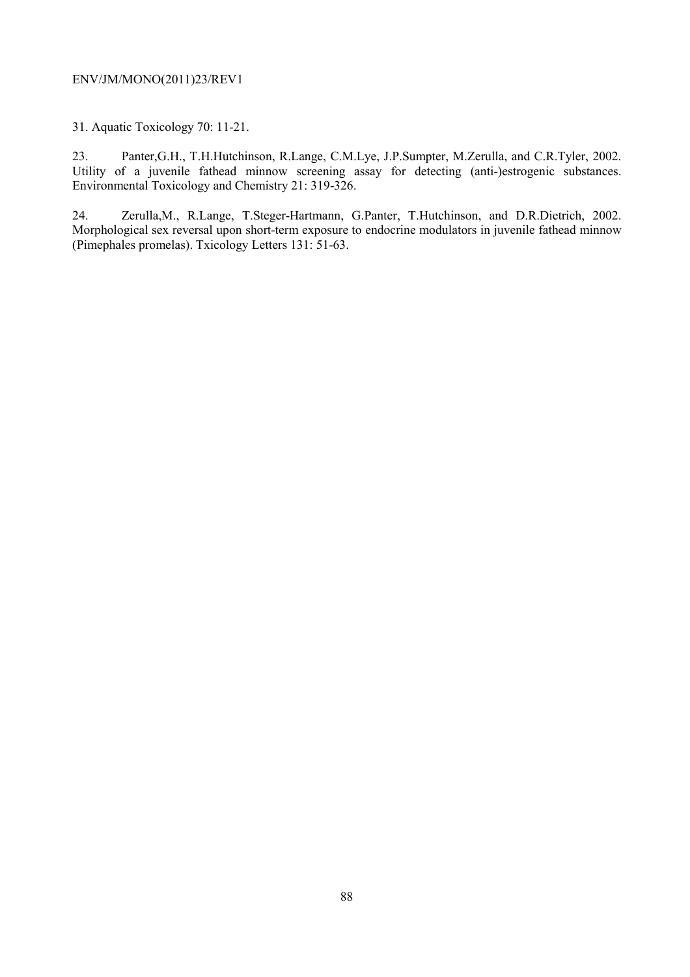31. Aquatic Toxicology 70: 11-21.

23. Panter,G.H., T.H.Hutchinson, R.Lange, C.M.Lye, J.P.Sumpter, M.Zerulla, and C.R.Tyler, 2002. Utility of a juvenile fathead minnow screening assay for detecting (anti-)estrogenic substances. Environmental Toxicology and Chemistry 21: 319-326.

24. Zerulla,M., R.Lange, T.Steger-Hartmann, G.Panter, T.Hutchinson, and D.R.Dietrich, 2002. Morphological sex reversal upon short-term exposure to endocrine modulators in juvenile fathead minnow (Pimephales promelas). Txicology Letters 131: 51-63.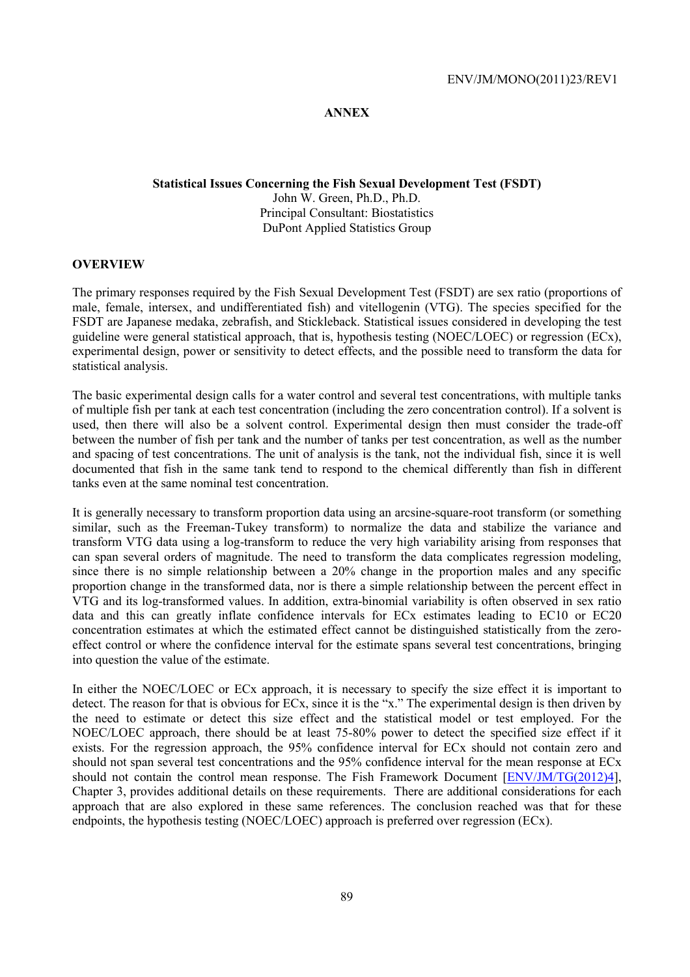### **ANNEX**

## **Statistical Issues Concerning the Fish Sexual Development Test (FSDT)**  John W. Green, Ph.D., Ph.D. Principal Consultant: Biostatistics DuPont Applied Statistics Group

#### **OVERVIEW**

The primary responses required by the Fish Sexual Development Test (FSDT) are sex ratio (proportions of male, female, intersex, and undifferentiated fish) and vitellogenin (VTG). The species specified for the FSDT are Japanese medaka, zebrafish, and Stickleback. Statistical issues considered in developing the test guideline were general statistical approach, that is, hypothesis testing (NOEC/LOEC) or regression (ECx), experimental design, power or sensitivity to detect effects, and the possible need to transform the data for statistical analysis.

The basic experimental design calls for a water control and several test concentrations, with multiple tanks of multiple fish per tank at each test concentration (including the zero concentration control). If a solvent is used, then there will also be a solvent control. Experimental design then must consider the trade-off between the number of fish per tank and the number of tanks per test concentration, as well as the number and spacing of test concentrations. The unit of analysis is the tank, not the individual fish, since it is well documented that fish in the same tank tend to respond to the chemical differently than fish in different tanks even at the same nominal test concentration.

It is generally necessary to transform proportion data using an arcsine-square-root transform (or something similar, such as the Freeman-Tukey transform) to normalize the data and stabilize the variance and transform VTG data using a log-transform to reduce the very high variability arising from responses that can span several orders of magnitude. The need to transform the data complicates regression modeling, since there is no simple relationship between a 20% change in the proportion males and any specific proportion change in the transformed data, nor is there a simple relationship between the percent effect in VTG and its log-transformed values. In addition, extra-binomial variability is often observed in sex ratio data and this can greatly inflate confidence intervals for ECx estimates leading to EC10 or EC20 concentration estimates at which the estimated effect cannot be distinguished statistically from the zeroeffect control or where the confidence interval for the estimate spans several test concentrations, bringing into question the value of the estimate.

In either the NOEC/LOEC or ECx approach, it is necessary to specify the size effect it is important to detect. The reason for that is obvious for ECx, since it is the "x." The experimental design is then driven by the need to estimate or detect this size effect and the statistical model or test employed. For the NOEC/LOEC approach, there should be at least 75-80% power to detect the specified size effect if it exists. For the regression approach, the 95% confidence interval for ECx should not contain zero and should not span several test concentrations and the 95% confidence interval for the mean response at ECx should not contain the control mean response. The Fish Framework Document [ENV/JM/TG(2012)4], Chapter 3, provides additional details on these requirements. There are additional considerations for each approach that are also explored in these same references. The conclusion reached was that for these endpoints, the hypothesis testing (NOEC/LOEC) approach is preferred over regression (ECx).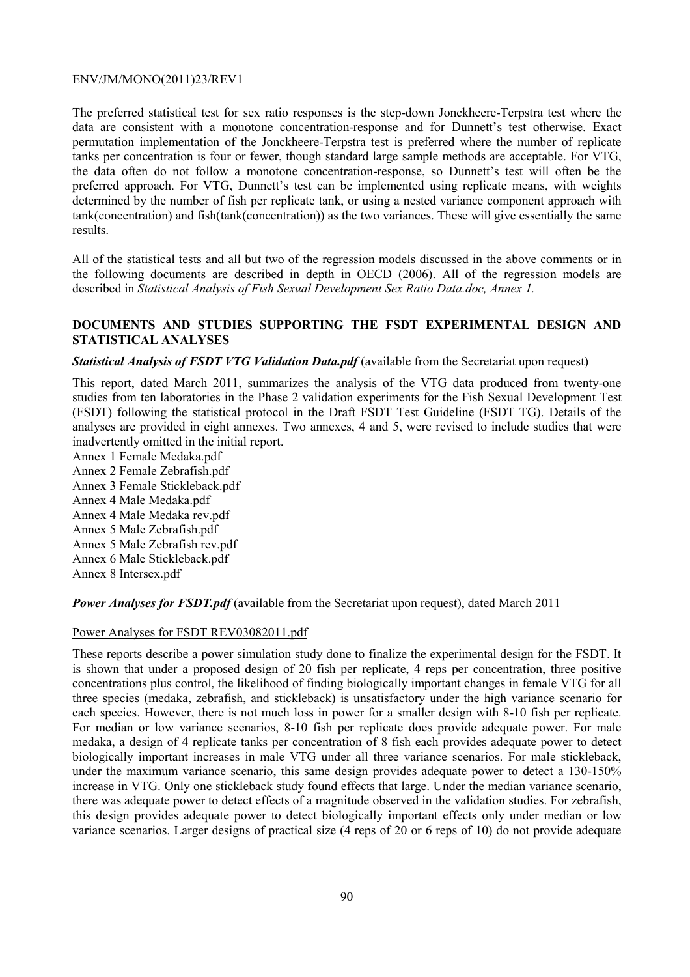The preferred statistical test for sex ratio responses is the step-down Jonckheere-Terpstra test where the data are consistent with a monotone concentration-response and for Dunnett's test otherwise. Exact permutation implementation of the Jonckheere-Terpstra test is preferred where the number of replicate tanks per concentration is four or fewer, though standard large sample methods are acceptable. For VTG, the data often do not follow a monotone concentration-response, so Dunnett's test will often be the preferred approach. For VTG, Dunnett's test can be implemented using replicate means, with weights determined by the number of fish per replicate tank, or using a nested variance component approach with tank(concentration) and fish(tank(concentration)) as the two variances. These will give essentially the same results.

All of the statistical tests and all but two of the regression models discussed in the above comments or in the following documents are described in depth in OECD (2006). All of the regression models are described in *Statistical Analysis of Fish Sexual Development Sex Ratio Data.doc, Annex 1.* 

### **DOCUMENTS AND STUDIES SUPPORTING THE FSDT EXPERIMENTAL DESIGN AND STATISTICAL ANALYSES**

### *Statistical Analysis of FSDT VTG Validation Data.pdf* (available from the Secretariat upon request)

This report, dated March 2011, summarizes the analysis of the VTG data produced from twenty-one studies from ten laboratories in the Phase 2 validation experiments for the Fish Sexual Development Test (FSDT) following the statistical protocol in the Draft FSDT Test Guideline (FSDT TG). Details of the analyses are provided in eight annexes. Two annexes, 4 and 5, were revised to include studies that were inadvertently omitted in the initial report.

Annex 1 Female Medaka.pdf Annex 2 Female Zebrafish.pdf Annex 3 Female Stickleback.pdf Annex 4 Male Medaka.pdf Annex 4 Male Medaka rev.pdf Annex 5 Male Zebrafish.pdf Annex 5 Male Zebrafish rev.pdf Annex 6 Male Stickleback.pdf Annex 8 Intersex.pdf

*Power Analyses for FSDT.pdf* (available from the Secretariat upon request), dated March 2011

#### Power Analyses for FSDT REV03082011.pdf

These reports describe a power simulation study done to finalize the experimental design for the FSDT. It is shown that under a proposed design of 20 fish per replicate, 4 reps per concentration, three positive concentrations plus control, the likelihood of finding biologically important changes in female VTG for all three species (medaka, zebrafish, and stickleback) is unsatisfactory under the high variance scenario for each species. However, there is not much loss in power for a smaller design with 8-10 fish per replicate. For median or low variance scenarios, 8-10 fish per replicate does provide adequate power. For male medaka, a design of 4 replicate tanks per concentration of 8 fish each provides adequate power to detect biologically important increases in male VTG under all three variance scenarios. For male stickleback, under the maximum variance scenario, this same design provides adequate power to detect a 130-150% increase in VTG. Only one stickleback study found effects that large. Under the median variance scenario, there was adequate power to detect effects of a magnitude observed in the validation studies. For zebrafish, this design provides adequate power to detect biologically important effects only under median or low variance scenarios. Larger designs of practical size (4 reps of 20 or 6 reps of 10) do not provide adequate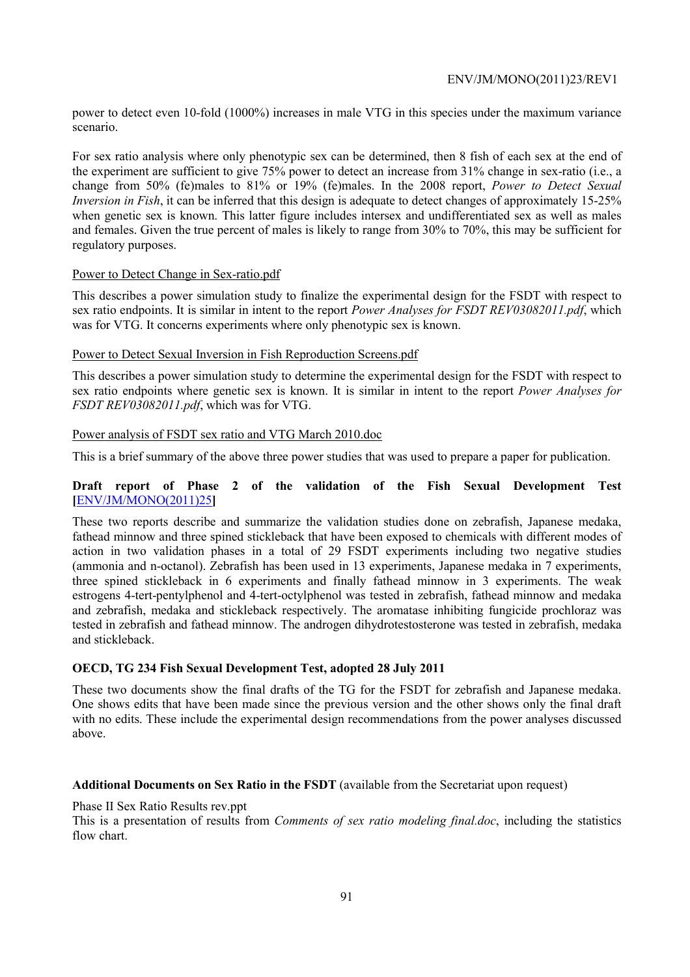power to detect even 10-fold (1000%) increases in male VTG in this species under the maximum variance scenario.

For sex ratio analysis where only phenotypic sex can be determined, then 8 fish of each sex at the end of the experiment are sufficient to give 75% power to detect an increase from 31% change in sex-ratio (i.e., a change from 50% (fe)males to 81% or 19% (fe)males. In the 2008 report, *Power to Detect Sexual Inversion in Fish*, it can be inferred that this design is adequate to detect changes of approximately 15-25% when genetic sex is known. This latter figure includes intersex and undifferentiated sex as well as males and females. Given the true percent of males is likely to range from 30% to 70%, this may be sufficient for regulatory purposes.

### Power to Detect Change in Sex-ratio.pdf

This describes a power simulation study to finalize the experimental design for the FSDT with respect to sex ratio endpoints. It is similar in intent to the report *Power Analyses for FSDT REV03082011.pdf*, which was for VTG. It concerns experiments where only phenotypic sex is known.

### Power to Detect Sexual Inversion in Fish Reproduction Screens.pdf

This describes a power simulation study to determine the experimental design for the FSDT with respect to sex ratio endpoints where genetic sex is known. It is similar in intent to the report *Power Analyses for FSDT REV03082011.pdf*, which was for VTG.

### Power analysis of FSDT sex ratio and VTG March 2010.doc

This is a brief summary of the above three power studies that was used to prepare a paper for publication.

### **Draft report of Phase 2 of the validation of the Fish Sexual Development Test [**ENV/JM/MONO(2011)25**]**

These two reports describe and summarize the validation studies done on zebrafish, Japanese medaka, fathead minnow and three spined stickleback that have been exposed to chemicals with different modes of action in two validation phases in a total of 29 FSDT experiments including two negative studies (ammonia and n-octanol). Zebrafish has been used in 13 experiments, Japanese medaka in 7 experiments, three spined stickleback in 6 experiments and finally fathead minnow in 3 experiments. The weak estrogens 4-tert-pentylphenol and 4-tert-octylphenol was tested in zebrafish, fathead minnow and medaka and zebrafish, medaka and stickleback respectively. The aromatase inhibiting fungicide prochloraz was tested in zebrafish and fathead minnow. The androgen dihydrotestosterone was tested in zebrafish, medaka and stickleback.

## **OECD, TG 234 Fish Sexual Development Test, adopted 28 July 2011**

These two documents show the final drafts of the TG for the FSDT for zebrafish and Japanese medaka. One shows edits that have been made since the previous version and the other shows only the final draft with no edits. These include the experimental design recommendations from the power analyses discussed above.

#### **Additional Documents on Sex Ratio in the FSDT** (available from the Secretariat upon request)

Phase II Sex Ratio Results rev.ppt

This is a presentation of results from *Comments of sex ratio modeling final.doc*, including the statistics flow chart.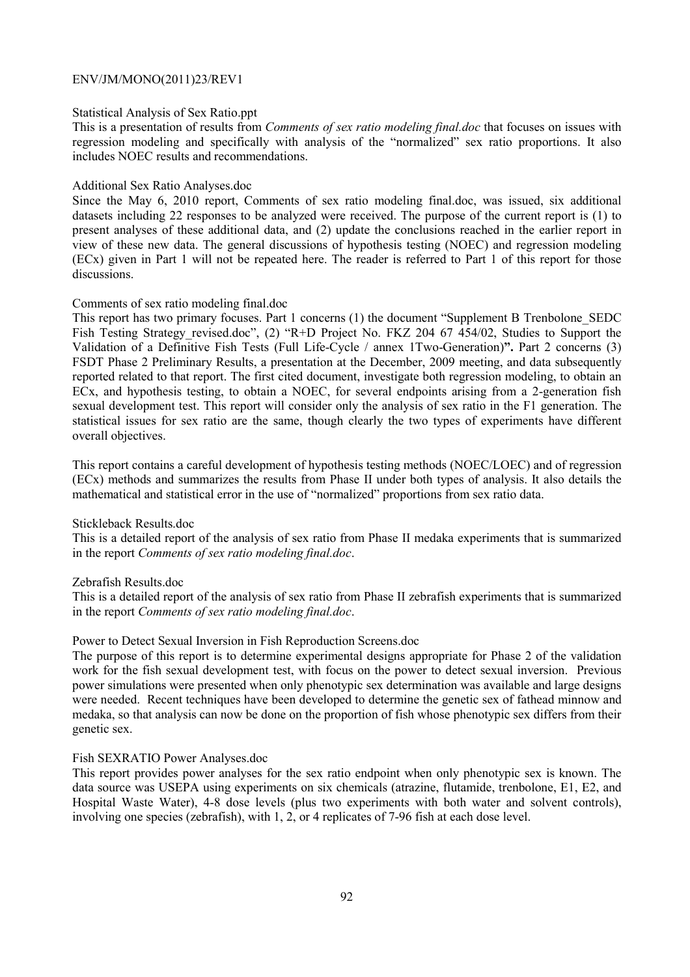#### Statistical Analysis of Sex Ratio.ppt

This is a presentation of results from *Comments of sex ratio modeling final.doc* that focuses on issues with regression modeling and specifically with analysis of the "normalized" sex ratio proportions. It also includes NOEC results and recommendations.

#### Additional Sex Ratio Analyses.doc

Since the May 6, 2010 report, Comments of sex ratio modeling final.doc, was issued, six additional datasets including 22 responses to be analyzed were received. The purpose of the current report is (1) to present analyses of these additional data, and (2) update the conclusions reached in the earlier report in view of these new data. The general discussions of hypothesis testing (NOEC) and regression modeling (ECx) given in Part 1 will not be repeated here. The reader is referred to Part 1 of this report for those discussions.

#### Comments of sex ratio modeling final.doc

This report has two primary focuses. Part 1 concerns (1) the document "Supplement B Trenbolone\_SEDC Fish Testing Strategy revised.doc", (2) "R+D Project No. FKZ 204 67 454/02, Studies to Support the Validation of a Definitive Fish Tests (Full Life-Cycle / annex 1Two-Generation)**".** Part 2 concerns (3) FSDT Phase 2 Preliminary Results, a presentation at the December, 2009 meeting, and data subsequently reported related to that report. The first cited document, investigate both regression modeling, to obtain an ECx, and hypothesis testing, to obtain a NOEC, for several endpoints arising from a 2-generation fish sexual development test. This report will consider only the analysis of sex ratio in the F1 generation. The statistical issues for sex ratio are the same, though clearly the two types of experiments have different overall objectives.

This report contains a careful development of hypothesis testing methods (NOEC/LOEC) and of regression (ECx) methods and summarizes the results from Phase II under both types of analysis. It also details the mathematical and statistical error in the use of "normalized" proportions from sex ratio data.

#### Stickleback Results.doc

This is a detailed report of the analysis of sex ratio from Phase II medaka experiments that is summarized in the report *Comments of sex ratio modeling final.doc*.

#### Zebrafish Results.doc

This is a detailed report of the analysis of sex ratio from Phase II zebrafish experiments that is summarized in the report *Comments of sex ratio modeling final.doc*.

### Power to Detect Sexual Inversion in Fish Reproduction Screens.doc

The purpose of this report is to determine experimental designs appropriate for Phase 2 of the validation work for the fish sexual development test, with focus on the power to detect sexual inversion. Previous power simulations were presented when only phenotypic sex determination was available and large designs were needed. Recent techniques have been developed to determine the genetic sex of fathead minnow and medaka, so that analysis can now be done on the proportion of fish whose phenotypic sex differs from their genetic sex.

#### Fish SEXRATIO Power Analyses.doc

This report provides power analyses for the sex ratio endpoint when only phenotypic sex is known. The data source was USEPA using experiments on six chemicals (atrazine, flutamide, trenbolone, E1, E2, and Hospital Waste Water), 4-8 dose levels (plus two experiments with both water and solvent controls), involving one species (zebrafish), with 1, 2, or 4 replicates of 7-96 fish at each dose level.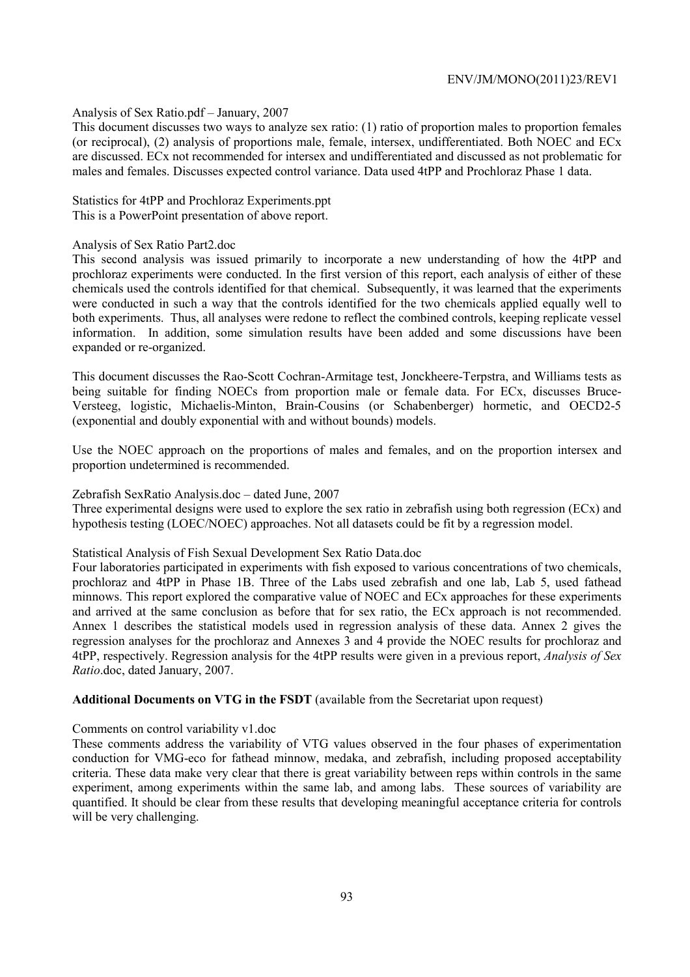#### Analysis of Sex Ratio.pdf – January, 2007

This document discusses two ways to analyze sex ratio: (1) ratio of proportion males to proportion females (or reciprocal), (2) analysis of proportions male, female, intersex, undifferentiated. Both NOEC and ECx are discussed. ECx not recommended for intersex and undifferentiated and discussed as not problematic for males and females. Discusses expected control variance. Data used 4tPP and Prochloraz Phase 1 data.

Statistics for 4tPP and Prochloraz Experiments.ppt This is a PowerPoint presentation of above report.

#### Analysis of Sex Ratio Part2.doc

This second analysis was issued primarily to incorporate a new understanding of how the 4tPP and prochloraz experiments were conducted. In the first version of this report, each analysis of either of these chemicals used the controls identified for that chemical. Subsequently, it was learned that the experiments were conducted in such a way that the controls identified for the two chemicals applied equally well to both experiments. Thus, all analyses were redone to reflect the combined controls, keeping replicate vessel information. In addition, some simulation results have been added and some discussions have been expanded or re-organized.

This document discusses the Rao-Scott Cochran-Armitage test, Jonckheere-Terpstra, and Williams tests as being suitable for finding NOECs from proportion male or female data. For ECx, discusses Bruce-Versteeg, logistic, Michaelis-Minton, Brain-Cousins (or Schabenberger) hormetic, and OECD2-5 (exponential and doubly exponential with and without bounds) models.

Use the NOEC approach on the proportions of males and females, and on the proportion intersex and proportion undetermined is recommended.

#### Zebrafish SexRatio Analysis.doc – dated June, 2007

Three experimental designs were used to explore the sex ratio in zebrafish using both regression (ECx) and hypothesis testing (LOEC/NOEC) approaches. Not all datasets could be fit by a regression model.

### Statistical Analysis of Fish Sexual Development Sex Ratio Data.doc

Four laboratories participated in experiments with fish exposed to various concentrations of two chemicals, prochloraz and 4tPP in Phase 1B. Three of the Labs used zebrafish and one lab, Lab 5, used fathead minnows. This report explored the comparative value of NOEC and ECx approaches for these experiments and arrived at the same conclusion as before that for sex ratio, the ECx approach is not recommended. Annex 1 describes the statistical models used in regression analysis of these data. Annex 2 gives the regression analyses for the prochloraz and Annexes 3 and 4 provide the NOEC results for prochloraz and 4tPP, respectively. Regression analysis for the 4tPP results were given in a previous report, *Analysis of Sex Ratio*.doc, dated January, 2007.

#### **Additional Documents on VTG in the FSDT** (available from the Secretariat upon request)

#### Comments on control variability v1.doc

These comments address the variability of VTG values observed in the four phases of experimentation conduction for VMG-eco for fathead minnow, medaka, and zebrafish, including proposed acceptability criteria. These data make very clear that there is great variability between reps within controls in the same experiment, among experiments within the same lab, and among labs. These sources of variability are quantified. It should be clear from these results that developing meaningful acceptance criteria for controls will be very challenging.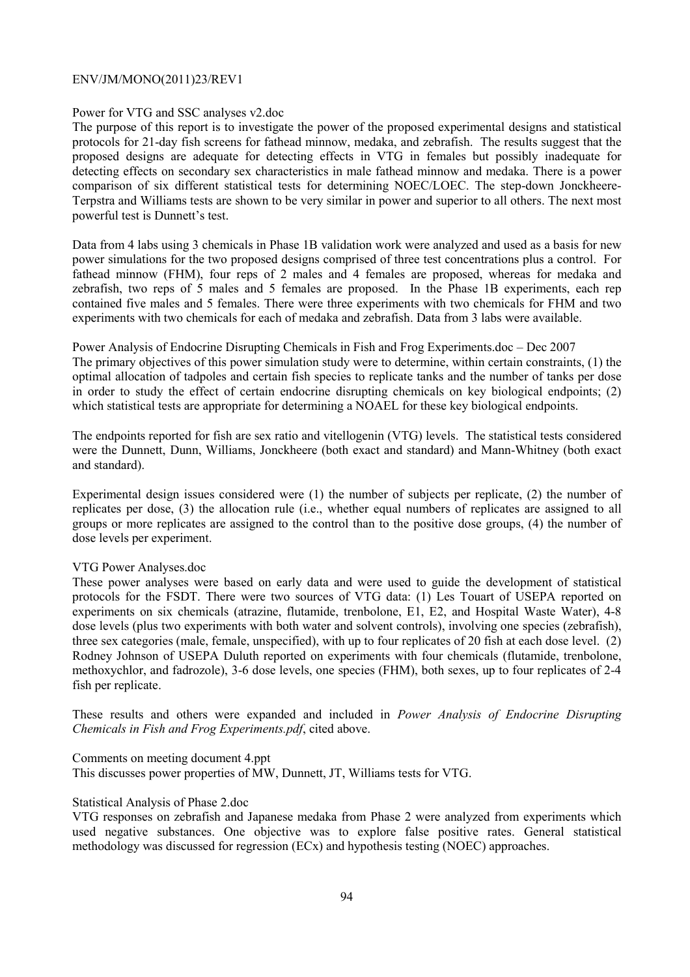#### Power for VTG and SSC analyses v2.doc

The purpose of this report is to investigate the power of the proposed experimental designs and statistical protocols for 21-day fish screens for fathead minnow, medaka, and zebrafish. The results suggest that the proposed designs are adequate for detecting effects in VTG in females but possibly inadequate for detecting effects on secondary sex characteristics in male fathead minnow and medaka. There is a power comparison of six different statistical tests for determining NOEC/LOEC. The step-down Jonckheere-Terpstra and Williams tests are shown to be very similar in power and superior to all others. The next most powerful test is Dunnett's test.

Data from 4 labs using 3 chemicals in Phase 1B validation work were analyzed and used as a basis for new power simulations for the two proposed designs comprised of three test concentrations plus a control. For fathead minnow (FHM), four reps of 2 males and 4 females are proposed, whereas for medaka and zebrafish, two reps of 5 males and 5 females are proposed. In the Phase 1B experiments, each rep contained five males and 5 females. There were three experiments with two chemicals for FHM and two experiments with two chemicals for each of medaka and zebrafish. Data from 3 labs were available.

Power Analysis of Endocrine Disrupting Chemicals in Fish and Frog Experiments.doc – Dec 2007 The primary objectives of this power simulation study were to determine, within certain constraints, (1) the optimal allocation of tadpoles and certain fish species to replicate tanks and the number of tanks per dose in order to study the effect of certain endocrine disrupting chemicals on key biological endpoints; (2) which statistical tests are appropriate for determining a NOAEL for these key biological endpoints.

The endpoints reported for fish are sex ratio and vitellogenin (VTG) levels. The statistical tests considered were the Dunnett, Dunn, Williams, Jonckheere (both exact and standard) and Mann-Whitney (both exact and standard).

Experimental design issues considered were (1) the number of subjects per replicate, (2) the number of replicates per dose, (3) the allocation rule (i.e., whether equal numbers of replicates are assigned to all groups or more replicates are assigned to the control than to the positive dose groups, (4) the number of dose levels per experiment.

### VTG Power Analyses.doc

These power analyses were based on early data and were used to guide the development of statistical protocols for the FSDT. There were two sources of VTG data: (1) Les Touart of USEPA reported on experiments on six chemicals (atrazine, flutamide, trenbolone, E1, E2, and Hospital Waste Water), 4-8 dose levels (plus two experiments with both water and solvent controls), involving one species (zebrafish), three sex categories (male, female, unspecified), with up to four replicates of 20 fish at each dose level. (2) Rodney Johnson of USEPA Duluth reported on experiments with four chemicals (flutamide, trenbolone, methoxychlor, and fadrozole), 3-6 dose levels, one species (FHM), both sexes, up to four replicates of 2-4 fish per replicate.

These results and others were expanded and included in *Power Analysis of Endocrine Disrupting Chemicals in Fish and Frog Experiments.pdf*, cited above.

Comments on meeting document 4.ppt

This discusses power properties of MW, Dunnett, JT, Williams tests for VTG.

#### Statistical Analysis of Phase 2.doc

VTG responses on zebrafish and Japanese medaka from Phase 2 were analyzed from experiments which used negative substances. One objective was to explore false positive rates. General statistical methodology was discussed for regression (ECx) and hypothesis testing (NOEC) approaches.